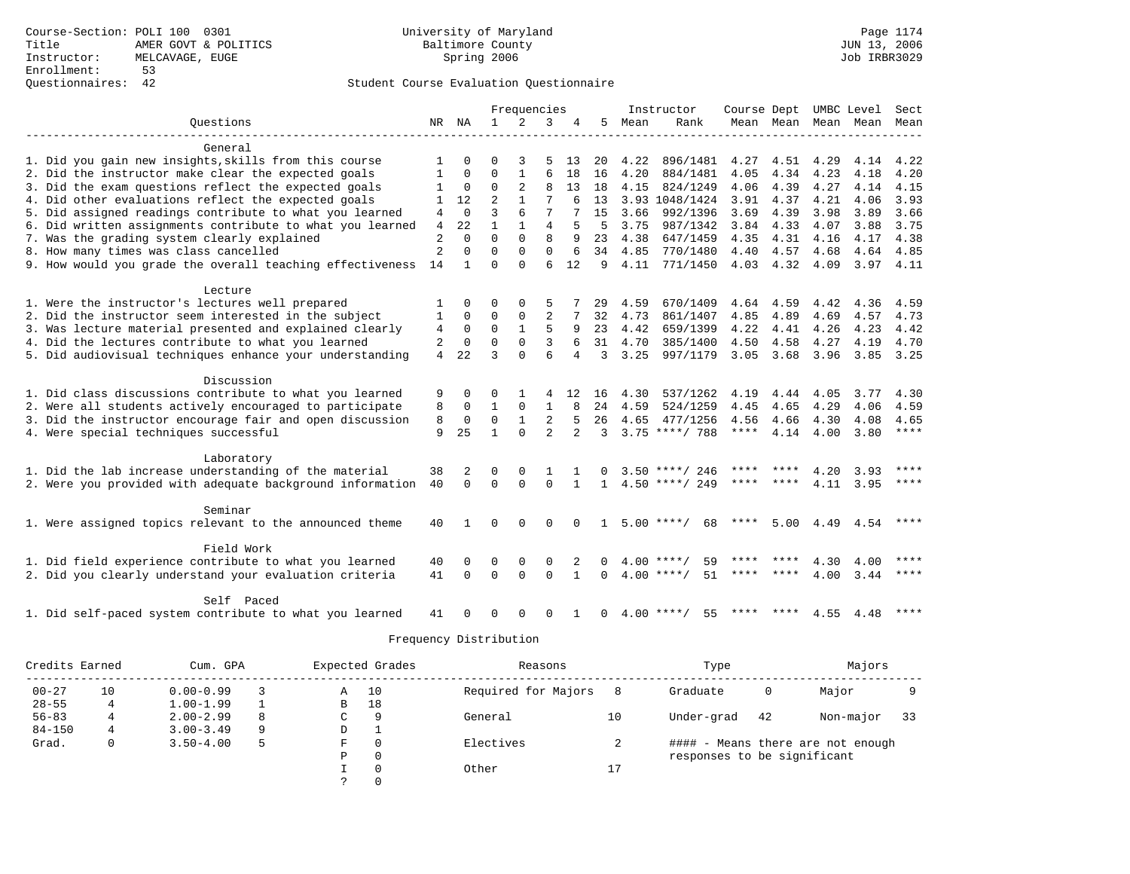|                                                                                                                    |                |               |                      | Frequencies          |                |                |               |      | Instructor                              | Course Dept UMBC Level |                |              |             | Sect        |
|--------------------------------------------------------------------------------------------------------------------|----------------|---------------|----------------------|----------------------|----------------|----------------|---------------|------|-----------------------------------------|------------------------|----------------|--------------|-------------|-------------|
| Ouestions                                                                                                          |                | NR NA         | $\mathbf{1}$         | 2                    | 3              | 4              | 5             | Mean | Rank                                    |                        | Mean Mean Mean |              | Mean        | Mean        |
|                                                                                                                    |                |               |                      |                      |                |                |               |      |                                         |                        |                |              |             |             |
| General                                                                                                            |                |               |                      |                      |                |                |               |      |                                         |                        |                |              |             |             |
| 1. Did you gain new insights, skills from this course                                                              |                |               | ∩                    | 3                    | 5              | 13             | 20            | 4.22 | 896/1481                                | 4.27                   | 4.51           | 4.29         | 4.14        | 4.22        |
| 2. Did the instructor make clear the expected goals                                                                | 1              | $\Omega$      | $\Omega$             |                      |                | 18             | 16            | 4.20 | 884/1481                                | 4.05                   | 4.34           | 4.23         | 4.18        | 4.20        |
| 3. Did the exam questions reflect the expected goals                                                               |                | $\mathbf 0$   | $\Omega$             | $\overline{2}$       | $\mathsf{R}$   | 13             | 18            | 4.15 | 824/1249                                | 4.06                   | 4.39           | 4.27         | 4.14        | 4.15        |
| 4. Did other evaluations reflect the expected goals                                                                | $\mathbf{1}$   | 12            | $\overline{a}$       | $\mathbf{1}$         | 7              | 6              | 13            |      | 3.93 1048/1424                          | 3.91                   | 4.37           | 4.21         | 4.06        | 3.93        |
| 5. Did assigned readings contribute to what you learned                                                            | 4              | $\Omega$      | 3                    |                      | 7              |                | 15            | 3.66 | 992/1396                                | 3.69                   | 4.39           | 3.98         | 3.89        | 3.66        |
| 6. Did written assignments contribute to what you learned                                                          | $\overline{4}$ | 22            |                      |                      | $\overline{4}$ |                | .5            | 3.75 | 987/1342                                | 3.84                   | 4.33           | 4.07         | 3.88        | 3.75        |
| 7. Was the grading system clearly explained                                                                        | $\overline{2}$ | $\Omega$      | $\Omega$             | $\Omega$             | 8              | 9              | 23            | 4.38 | 647/1459                                | 4.35                   | 4.31           | 4.16         | 4.17        | 4.38        |
| 8. How many times was class cancelled                                                                              | $\overline{2}$ | $\Omega$      | $\Omega$             | $\Omega$             | $\Omega$       | 6              | 34            | 4.85 | 770/1480                                | 4.40                   | 4.57           | 4.68         | 4.64        | 4.85        |
| 9. How would you grade the overall teaching effectiveness                                                          | 14             | $\mathbf{1}$  | $\Omega$             | $\Omega$             | 6              | 12             | 9             | 4.11 | 771/1450                                | 4.03                   | 4.32           | 4.09         | $3.97$ 4.11 |             |
|                                                                                                                    |                |               |                      |                      |                |                |               |      |                                         |                        |                |              |             |             |
| Lecture                                                                                                            |                |               |                      |                      |                |                |               |      |                                         |                        |                |              |             |             |
| 1. Were the instructor's lectures well prepared                                                                    |                | $\Omega$      | $\Omega$             | $\Omega$             | 5              |                | 29            | 4.59 | 670/1409                                | 4.64                   | 4.59           | 4.42         | 4.36        | 4.59        |
| 2. Did the instructor seem interested in the subject                                                               |                | $\Omega$      | $\mathbf 0$          | $\mathbf{0}$         | 2              |                | 32            | 4.73 | 861/1407                                | 4.85                   | 4.89           | 4.69         | 4.57        | 4.73        |
| 3. Was lecture material presented and explained clearly                                                            | 4              | $\mathbf 0$   | $\mathbf 0$          |                      | 5              | 9              | 23            | 4.42 | 659/1399                                | 4.22                   | 4.41           | 4.26         | 4.23        | 4.42        |
| 4. Did the lectures contribute to what you learned                                                                 | 2              | $\Omega$      | $\Omega$             | $\Omega$             | 3              | 6              | 31            | 4.70 | 385/1400                                | 4.50                   | 4.58           | 4.27         | 4.19        | 4.70        |
| 5. Did audiovisual techniques enhance your understanding                                                           | 4              | 22            | 3                    | $\Omega$             | 6              | $\overline{4}$ | $\mathcal{L}$ | 3.25 | 997/1179                                | 3.05                   | 3.68           | 3.96         | 3.85        | 3.25        |
|                                                                                                                    |                |               |                      |                      |                |                |               |      |                                         |                        |                |              |             |             |
| Discussion                                                                                                         |                |               |                      |                      |                |                |               |      |                                         |                        |                |              |             |             |
| 1. Did class discussions contribute to what you learned                                                            | 9              | $\Omega$      | $\Omega$             |                      |                | 12             | 16            | 4.30 | 537/1262                                | 4.19                   | 4.44           | 4.05         | 3.77        | 4.30        |
| 2. Were all students actively encouraged to participate                                                            | 8              | 0             |                      | $\Omega$             | 1              | 8              | 24            | 4.59 | 524/1259                                | 4.45                   | 4.65           | 4.29         | 4.06        | 4.59        |
| 3. Did the instructor encourage fair and open discussion                                                           | 8              | 0             | $\Omega$             | $\mathbf{1}$         | 2              |                | 26            | 4.65 | 477/1256                                | 4.56                   | 4.66           | 4.30         | 4.08        | 4.65        |
| 4. Were special techniques successful                                                                              | 9              | 25            | $\mathbf{1}$         | $\cap$               | $\mathfrak{D}$ | $2^{1}$        | 3             |      | $3.75$ ****/ 788                        | ****                   | 4.14           | 4.00         | 3.80        | $***$ * * * |
|                                                                                                                    |                |               |                      |                      |                |                |               |      |                                         |                        |                |              |             |             |
| Laboratory                                                                                                         |                |               |                      |                      |                |                |               |      |                                         | ****                   |                |              |             | ****        |
| 1. Did the lab increase understanding of the material<br>2. Were you provided with adequate background information | 38<br>40       | 2<br>$\Omega$ | $\Omega$<br>$\Omega$ | $\Omega$<br>$\Omega$ | $\Omega$       |                | $\mathbf{1}$  |      | 246<br>$3.50$ ****/<br>$4.50$ ****/ 249 | ****                   | $***$ *        | 4.20<br>4.11 | 3.93        | ****        |
|                                                                                                                    |                |               |                      |                      |                | $\mathbf{1}$   |               |      |                                         |                        |                |              | 3.95        |             |
| Seminar                                                                                                            |                |               |                      |                      |                |                |               |      |                                         |                        |                |              |             |             |
| 1. Were assigned topics relevant to the announced theme                                                            | 40             |               | ∩                    | $\Omega$             | <sup>0</sup>   |                | 1.            |      | $5.00$ ****/<br>68                      | ****                   | 5.00           | 4.49         | 4.54        | ****        |
|                                                                                                                    |                |               |                      |                      |                |                |               |      |                                         |                        |                |              |             |             |
| Field Work                                                                                                         |                |               |                      |                      |                |                |               |      |                                         |                        |                |              |             |             |
| 1. Did field experience contribute to what you learned                                                             | 40             | $\Omega$      | $\Omega$             | $\Omega$             | $\Omega$       | 2              | $\Omega$      | 4.00 | 59<br>****/                             |                        |                | 4.30         | 4.00        | ****        |
| 2. Did you clearly understand your evaluation criteria                                                             | 41             | $\Omega$      | $\Omega$             | $\Omega$             | $\Omega$       | 1              | $\Omega$      |      | $4.00$ ****/<br>51                      | ****                   |                | 4.00         | 3.44        | ****        |
|                                                                                                                    |                |               |                      |                      |                |                |               |      |                                         |                        |                |              |             |             |
| Self Paced                                                                                                         |                |               |                      |                      |                |                |               |      |                                         |                        |                |              |             |             |
| 1. Did self-paced system contribute to what you learned                                                            | 41             |               | ∩                    |                      | ∩              |                | 0             |      | $4.00$ ****/<br>55                      |                        |                | 4.55         | 4.48        | ****        |
|                                                                                                                    |                |               |                      |                      |                |                |               |      |                                         |                        |                |              |             |             |

| Credits Earned |    | Cum. GPA      |   |               | Expected Grades | Reasons             |                | Type                        |    | Majors                            |    |
|----------------|----|---------------|---|---------------|-----------------|---------------------|----------------|-----------------------------|----|-----------------------------------|----|
| $00 - 27$      | 10 | $0.00 - 0.99$ |   | Α             | 10              | Required for Majors | 8              | Graduate                    | 0  | Major                             |    |
| $28 - 55$      | 4  | $1.00 - 1.99$ |   | B             | 18              |                     |                |                             |    |                                   |    |
| $56 - 83$      | 4  | $2.00 - 2.99$ | 8 | $\sim$<br>◡   | -9              | General             | 10             | Under-grad                  | 42 | Non-major                         | 33 |
| $84 - 150$     | 4  | $3.00 - 3.49$ | 9 | D             |                 |                     |                |                             |    |                                   |    |
| Grad.          | 0  | $3.50 - 4.00$ | 5 | F             | 0               | Electives           |                |                             |    | #### - Means there are not enough |    |
|                |    |               |   | Ρ             | 0               |                     |                | responses to be significant |    |                                   |    |
|                |    |               |   |               | 0               | Other               | 17<br><b>L</b> |                             |    |                                   |    |
|                |    |               |   | $\mathcal{L}$ |                 |                     |                |                             |    |                                   |    |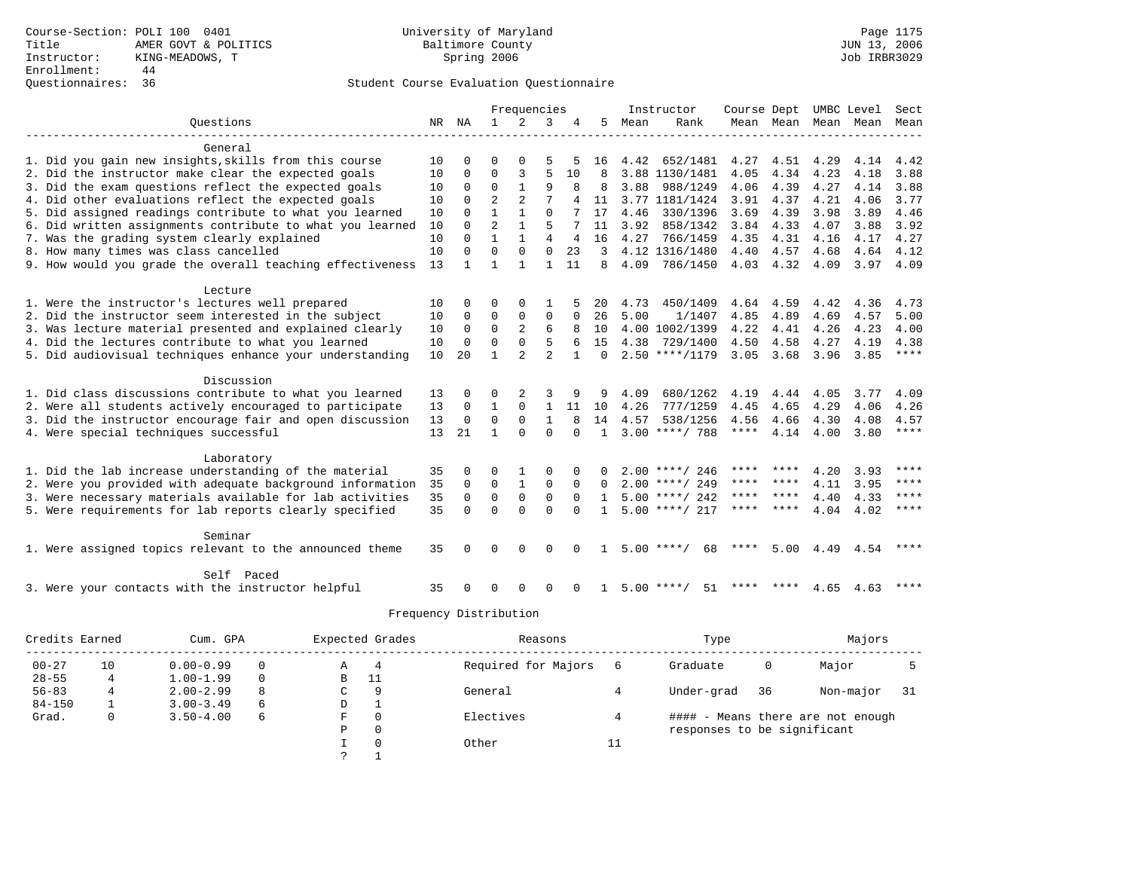# Questionnaires: 36 Student Course Evaluation Questionnaire

|                                                           |    |             |                | Frequencies    |                |                |              |      | Instructor         | Course Dept |      |      | UMBC Level Sect          |             |
|-----------------------------------------------------------|----|-------------|----------------|----------------|----------------|----------------|--------------|------|--------------------|-------------|------|------|--------------------------|-------------|
| Ouestions                                                 |    | NR NA       | $\mathbf{1}$   | 2              | 3              | 4              | 5            | Mean | Rank               |             |      |      | Mean Mean Mean Mean Mean |             |
|                                                           |    |             |                |                |                |                |              |      |                    |             |      |      |                          |             |
| General                                                   |    |             |                |                |                |                |              |      |                    |             |      |      |                          |             |
| 1. Did you gain new insights, skills from this course     | 10 | $\Omega$    | $\Omega$       |                |                |                | 16           | 4.42 | 652/1481           | 4.27        | 4.51 | 4.29 | 4.14                     | 4.42        |
| 2. Did the instructor make clear the expected goals       | 10 | 0           | $\mathbf 0$    | 3              | 5              | 10             | 8            |      | 3.88 1130/1481     | 4.05        | 4.34 | 4.23 | 4.18                     | 3.88        |
| 3. Did the exam questions reflect the expected goals      | 10 | 0           | $\mathbf 0$    | $\mathbf{1}$   | 9              | 8              | 8            | 3.88 | 988/1249           | 4.06        | 4.39 | 4.27 | 4.14                     | 3.88        |
| 4. Did other evaluations reflect the expected goals       | 10 | $\Omega$    | $\overline{2}$ | $\mathfrak{D}$ |                |                | 11           |      | 3.77 1181/1424     | 3.91        | 4.37 | 4.21 | 4.06                     | 3.77        |
| 5. Did assigned readings contribute to what you learned   | 10 | $\Omega$    | $\mathbf{1}$   | $\mathbf{1}$   | $\Omega$       |                | 17           | 4.46 | 330/1396           | 3.69        | 4.39 | 3.98 | 3.89                     | 4.46        |
| 6. Did written assignments contribute to what you learned | 10 |             | $\overline{a}$ | $\mathbf{1}$   | 5              |                | 11           | 3.92 | 858/1342           | 3.84        | 4.33 | 4.07 | 3.88                     | 3.92        |
| 7. Was the grading system clearly explained               | 10 | $\Omega$    | $\mathbf{1}$   | $\mathbf{1}$   | 4              | $\overline{4}$ | 16           | 4.27 | 766/1459           | 4.35        | 4.31 | 4.16 | 4.17                     | 4.27        |
| 8. How many times was class cancelled                     | 10 | 0           | $\Omega$       | $\mathbf 0$    | $\Omega$       | 23             | 3            |      | 4.12 1316/1480     | 4.40        | 4.57 | 4.68 | 4.64                     | 4.12        |
| 9. How would you grade the overall teaching effectiveness | 13 | 1           | 1              | 1              | 1              | 11             | 8            | 4.09 | 786/1450           | 4.03        | 4.32 | 4.09 | 3.97 4.09                |             |
|                                                           |    |             |                |                |                |                |              |      |                    |             |      |      |                          |             |
| Lecture                                                   |    |             |                |                |                |                |              |      |                    |             |      |      |                          |             |
| 1. Were the instructor's lectures well prepared           | 10 | $\Omega$    | $\Omega$       | $\Omega$       |                |                | 20           | 4.73 | 450/1409           | 4.64        | 4.59 | 4.42 | 4.36                     | 4.73        |
| 2. Did the instructor seem interested in the subject      | 10 | 0           | $\mathbf 0$    | $\mathbf{0}$   | $\mathbf 0$    | $\mathbf 0$    | 26           | 5.00 | 1/1407             | 4.85        | 4.89 | 4.69 | 4.57                     | 5.00        |
| 3. Was lecture material presented and explained clearly   | 10 | 0           | $\mathbf 0$    | $\overline{2}$ | 6              | 8              | 10           |      | 4.00 1002/1399     | 4.22        | 4.41 | 4.26 | 4.23                     | 4.00        |
| 4. Did the lectures contribute to what you learned        | 10 | $\Omega$    | $\Omega$       | $\Omega$       | 5              | 6              | 15           | 4.38 | 729/1400           | 4.50        | 4.58 | 4.27 | 4.19                     | 4.38        |
| 5. Did audiovisual techniques enhance your understanding  | 10 | 20          | 1              | $\mathcal{D}$  | $\overline{a}$ | $\mathbf{1}$   | $\Omega$     |      | $2.50$ ****/1179   | 3.05        | 3.68 | 3.96 | 3.85                     | ****        |
|                                                           |    |             |                |                |                |                |              |      |                    |             |      |      |                          |             |
| Discussion                                                |    |             |                |                |                |                |              |      |                    |             |      |      |                          |             |
| 1. Did class discussions contribute to what you learned   | 13 | O           | $\Omega$       | 2              | 3              | 9              | 9            | 4.09 | 680/1262           | 4.19        | 4.44 | 4.05 | 3.77                     | 4.09        |
| 2. Were all students actively encouraged to participate   | 13 | $\mathbf 0$ | 1              | $\mathbf 0$    | 1              | 11             | 10           | 4.26 | 777/1259           | 4.45        | 4.65 | 4.29 | 4.06                     | 4.26        |
| 3. Did the instructor encourage fair and open discussion  | 13 | $\mathbf 0$ | $\Omega$       | $\Omega$       | $\mathbf{1}$   | 8              | 14           | 4.57 | 538/1256           | 4.56        | 4.66 | 4.30 | 4.08                     | 4.57        |
| 4. Were special techniques successful                     | 13 | 21          | $\mathbf{1}$   | $\Omega$       | $\Omega$       | $\Omega$       | $\mathbf{1}$ |      | $3.00$ ****/ 788   | ****        | 4.14 | 4.00 | 3.80                     | $***$ * * * |
|                                                           |    |             |                |                |                |                |              |      |                    |             |      |      |                          |             |
| Laboratory                                                |    |             |                |                |                |                |              |      |                    |             |      |      |                          |             |
| 1. Did the lab increase understanding of the material     | 35 | O           | $\Omega$       | 1              | $\Omega$       |                |              |      | $2.00$ ****/ 246   | ****        |      | 4.20 | 3.93                     | ****        |
| 2. Were you provided with adequate background information | 35 | $\Omega$    | $\Omega$       | $\mathbf{1}$   | $\mathbf 0$    | $\Omega$       | $\Omega$     |      | $2.00$ ****/ 249   | ****        | **** | 4.11 | 3.95                     | $***$       |
| 3. Were necessary materials available for lab activities  | 35 | $\mathbf 0$ | $\Omega$       | $\mathbf 0$    | $\mathbf 0$    | $\Omega$       | $\mathbf{1}$ |      | $5.00$ ****/ 242   | **** ****   |      | 4.40 | 4.33                     | $* * * * *$ |
| 5. Were requirements for lab reports clearly specified    | 35 | $\Omega$    | $\Omega$       | $\Omega$       | $\Omega$       | $\Omega$       | $\mathbf{1}$ |      | $5.00$ ****/ 217   | **** ****   |      | 4.04 | 4.02                     | $***$ *     |
|                                                           |    |             |                |                |                |                |              |      |                    |             |      |      |                          |             |
| Seminar                                                   |    |             |                |                |                |                |              |      |                    |             |      |      |                          |             |
| 1. Were assigned topics relevant to the announced theme   | 35 | U           | $\Omega$       | $\Omega$       | $\Omega$       |                |              |      | $5.00$ ****/<br>68 | ****        | 5.00 |      | 4.49 4.54                | $***$ * * * |
|                                                           |    |             |                |                |                |                |              |      |                    |             |      |      |                          |             |
| Self Paced                                                |    |             |                |                |                |                |              |      |                    |             |      |      |                          |             |
| 3. Were your contacts with the instructor helpful         | 35 |             | $\Omega$       | ∩              | U              |                |              |      | $5.00$ ****/<br>51 | ****        | **** |      | 4.65 4.63                | ****        |
|                                                           |    |             |                |                |                |                |              |      |                    |             |      |      |                          |             |

| Credits Earned |    | Cum. GPA      |   |   | Expected Grades | Reasons             |    | Type                        |    | Majors                            |    |
|----------------|----|---------------|---|---|-----------------|---------------------|----|-----------------------------|----|-----------------------------------|----|
| $00 - 27$      | 10 | $0.00 - 0.99$ | 0 | Α |                 | Required for Majors |    | Graduate                    | 0  | Major                             |    |
| $28 - 55$      |    | $1.00 - 1.99$ | 0 | B | -11             |                     |    |                             |    |                                   |    |
| $56 - 83$      |    | $2.00 - 2.99$ | 8 | C | 9               | General             |    | Under-grad                  | 36 | Non-major                         | 31 |
| $84 - 150$     |    | $3.00 - 3.49$ | 6 | D |                 |                     |    |                             |    |                                   |    |
| Grad.          | 0  | $3.50 - 4.00$ | 6 | F |                 | Electives           |    |                             |    | #### - Means there are not enough |    |
|                |    |               |   | P | $\Omega$        |                     |    | responses to be significant |    |                                   |    |
|                |    |               |   |   |                 | Other               | TT |                             |    |                                   |    |
|                |    |               |   |   |                 |                     |    |                             |    |                                   |    |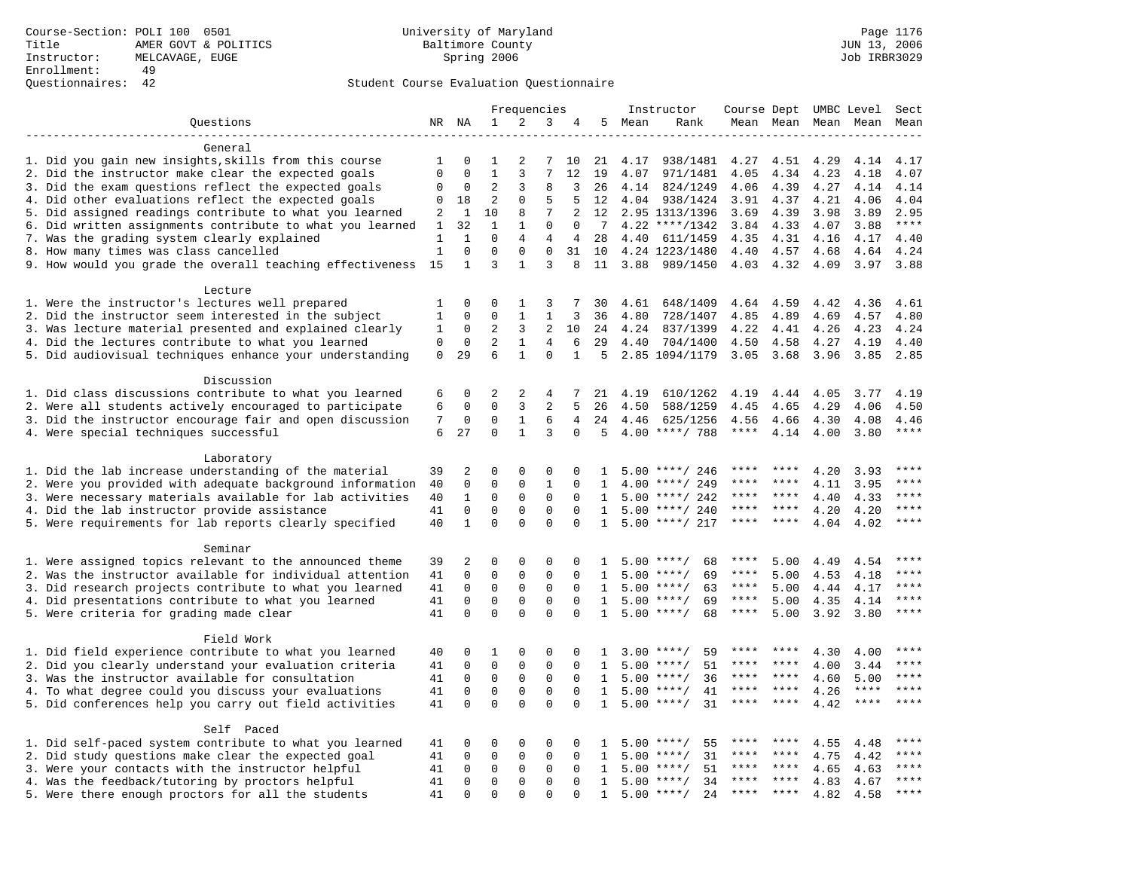|                                                           |                |                             |                  | Frequencies                  |                  |              |              |        | Instructor         | Course Dept UMBC Level |                     |      |             | Sect        |
|-----------------------------------------------------------|----------------|-----------------------------|------------------|------------------------------|------------------|--------------|--------------|--------|--------------------|------------------------|---------------------|------|-------------|-------------|
| Questions                                                 |                | NR NA                       | 1                | 2                            | 3                | 4            |              | 5 Mean | Rank               |                        | Mean Mean Mean Mean |      |             | Mean        |
|                                                           |                |                             |                  |                              |                  |              |              |        |                    |                        |                     |      |             |             |
| General                                                   |                |                             |                  |                              |                  |              |              |        |                    |                        |                     |      |             |             |
| 1. Did you gain new insights, skills from this course     | 1              | $\Omega$                    | 1                | 2                            | 7                | 10           | 21           | 4.17   | 938/1481           | 4.27                   | 4.51                | 4.29 | 4.14        | 4.17        |
| 2. Did the instructor make clear the expected goals       | $\mathbf 0$    | $\Omega$                    | $\mathbf{1}$     | 3                            | 7                | 12           | 19           | 4.07   | 971/1481           | 4.05                   | 4.34                | 4.23 | 4.18        | 4.07        |
| 3. Did the exam questions reflect the expected goals      | 0              | 0                           | $\overline{2}$   | 3                            | 8                | 3            | 26           | 4.14   | 824/1249           | 4.06                   | 4.39                | 4.27 | 4.14        | 4.14        |
| 4. Did other evaluations reflect the expected goals       | 0              | 18                          | $\overline{2}$   | $\Omega$                     | 5                | 5            | 12           |        | 4.04 938/1424      | 3.91                   | 4.37                | 4.21 | 4.06        | 4.04        |
| 5. Did assigned readings contribute to what you learned   | $\overline{c}$ | 1                           | 10               | 8                            | 7                | 2            | 12           |        | 2.95 1313/1396     | 3.69                   | 4.39                | 3.98 | 3.89        | 2.95        |
| 6. Did written assignments contribute to what you learned | 1              | 32                          | $\mathbf{1}$     | $\mathbf{1}$                 | 0                | $\mathbf 0$  | 7            |        | $4.22$ ****/1342   | 3.84                   | 4.33                | 4.07 | 3.88        | $***$       |
| 7. Was the grading system clearly explained               | 1              | $\mathbf{1}$                | $\Omega$         | $\overline{4}$               | 4                | 4            | 28           | 4.40   | 611/1459           | 4.35                   | 4.31                | 4.16 | 4.17        | 4.40        |
| 8. How many times was class cancelled                     | $\mathbf{1}$   | $\mathbf 0$<br>$\mathbf{1}$ | $\mathbf 0$<br>3 | $\mathbf{0}$<br>$\mathbf{1}$ | $\mathbf 0$<br>3 | 31<br>8      | 10           |        | 4.24 1223/1480     | 4.40                   | 4.57                | 4.68 | 4.64        | 4.24        |
| 9. How would you grade the overall teaching effectiveness | 15             |                             |                  |                              |                  |              | 11           | 3.88   | 989/1450           |                        | 4.03 4.32           | 4.09 | 3.97        | 3.88        |
| Lecture                                                   |                |                             |                  |                              |                  |              |              |        |                    |                        |                     |      |             |             |
| 1. Were the instructor's lectures well prepared           | 1              | 0                           | 0                | 1                            | 3                | 7            | 30           | 4.61   | 648/1409           | 4.64                   | 4.59                | 4.42 | 4.36        | 4.61        |
| 2. Did the instructor seem interested in the subject      | 1              | 0                           | 0                | 1                            | 1                | 3            | 36           | 4.80   | 728/1407           | 4.85                   | 4.89                | 4.69 | 4.57        | 4.80        |
| 3. Was lecture material presented and explained clearly   | 1              | 0                           | 2                | 3                            | 2                | 10           | 24           | 4.24   | 837/1399           | 4.22                   | 4.41                | 4.26 | 4.23        | 4.24        |
| 4. Did the lectures contribute to what you learned        | 0              | 0                           | $\overline{2}$   | $\mathbf{1}$                 | 4                | 6            | 29           | 4.40   | 704/1400           | 4.50                   | 4.58                | 4.27 | 4.19        | 4.40        |
| 5. Did audiovisual techniques enhance your understanding  | $\mathbf 0$    | 29                          | 6                | $\mathbf{1}$                 | $\Omega$         | $\mathbf{1}$ | .5           |        | 2.85 1094/1179     | 3.05                   | 3.68                | 3.96 | 3.85        | 2.85        |
|                                                           |                |                             |                  |                              |                  |              |              |        |                    |                        |                     |      |             |             |
| Discussion                                                |                |                             |                  |                              |                  |              |              |        |                    |                        |                     |      |             |             |
| 1. Did class discussions contribute to what you learned   | 6              | 0                           | $\overline{2}$   | 2                            | 4                | 7            | 21           | 4.19   | 610/1262           | 4.19                   | 4.44                | 4.05 | 3.77        | 4.19        |
| 2. Were all students actively encouraged to participate   | 6              | 0                           | 0                | 3                            | 2                | 5            | 26           | 4.50   | 588/1259           | 4.45                   | 4.65                | 4.29 | 4.06        | 4.50        |
| 3. Did the instructor encourage fair and open discussion  | 7              | 0                           | 0                | $\mathbf{1}$                 | 6                | 4            | 24           | 4.46   | 625/1256           | 4.56                   | 4.66                | 4.30 | 4.08        | 4.46        |
| 4. Were special techniques successful                     | 6              | 27                          | $\Omega$         | $\mathbf{1}$                 | 3                | $\Omega$     | 5            |        | $4.00$ ****/ 788   | $***$ * * *            | 4.14                | 4.00 | 3.80        | $***$       |
|                                                           |                |                             |                  |                              |                  |              |              |        |                    |                        |                     |      |             |             |
| Laboratory                                                |                |                             |                  |                              |                  |              |              |        |                    |                        |                     |      |             |             |
| 1. Did the lab increase understanding of the material     | 39             | 2                           | 0                | $\mathbf 0$                  | $\Omega$         | 0            | $\mathbf{1}$ |        | $5.00$ ****/ 246   |                        |                     | 4.20 | 3.93        |             |
| 2. Were you provided with adequate background information | 40             | 0                           | $\mathbf 0$      | $\mathbf{0}$                 | $\mathbf{1}$     | 0            | 1            | 4.00   | ****/ 249          | ****                   | ****                | 4.11 | 3.95        | ****        |
| 3. Were necessary materials available for lab activities  | 40             | 1                           | 0                | 0                            | 0                | $\Omega$     | 1            |        | $5.00$ ****/ 242   | ****                   | ****                | 4.40 | 4.33        | ****        |
| 4. Did the lab instructor provide assistance              | 41             | $\mathbf 0$                 | $\mathbf 0$      | $\mathbf 0$                  | $\mathbf 0$      | $\Omega$     | $\mathbf{1}$ |        | $5.00$ ****/ 240   | ****                   | ****                | 4.20 | 4.20        | $***$       |
| 5. Were requirements for lab reports clearly specified    | 40             | $\mathbf{1}$                | $\Omega$         | $\Omega$                     | $\Omega$         | $\Omega$     | $\mathbf{1}$ |        | $5.00$ ****/ 217   | ****                   | ****                | 4.04 | 4.02        | ****        |
| Seminar                                                   |                |                             |                  |                              |                  |              |              |        |                    |                        |                     |      |             |             |
| 1. Were assigned topics relevant to the announced theme   | 39             | 2                           | 0                | 0                            | 0                | 0            | 1            |        | $5.00$ ****/<br>68 | ****                   | 5.00                | 4.49 | 4.54        | ****        |
| 2. Was the instructor available for individual attention  | 41             | 0                           | $\mathbf 0$      | $\mathsf 0$                  | $\mathbf 0$      | $\mathbf 0$  | 1            |        | $5.00$ ****/<br>69 | $***$ * *              | 5.00                | 4.53 | 4.18        |             |
| 3. Did research projects contribute to what you learned   | 41             | 0                           | $\mathbf 0$      | 0                            | $\mathbf 0$      | $\Omega$     | 1            |        | $5.00$ ****/<br>63 | ****                   | 5.00                | 4.44 | 4.17        | ****        |
| 4. Did presentations contribute to what you learned       | 41             | $\mathbf 0$                 | $\mathbf 0$      | 0                            | $\mathbf 0$      | $\Omega$     | $\mathbf{1}$ |        | $5.00$ ****/<br>69 | $***$ * * *            | 5.00                | 4.35 | 4.14        | $***$       |
| 5. Were criteria for grading made clear                   | 41             | $\Omega$                    | $\Omega$         | $\Omega$                     | $\Omega$         | $\Omega$     | $\mathbf{1}$ |        | $5.00$ ****/<br>68 | ****                   | 5.00                | 3.92 | 3.80        | ****        |
|                                                           |                |                             |                  |                              |                  |              |              |        |                    |                        |                     |      |             |             |
| Field Work                                                |                |                             |                  |                              |                  |              |              |        |                    |                        |                     |      |             |             |
| 1. Did field experience contribute to what you learned    | 40             | 0                           | 1                | 0                            | 0                | 0            | п.           |        | $3.00$ ****/<br>59 |                        |                     | 4.30 | 4.00        | ****        |
| 2. Did you clearly understand your evaluation criteria    | 41             | 0                           | $\mathbf 0$      | 0                            | 0                | $\Omega$     | $\mathbf{1}$ |        | $5.00$ ****/<br>51 | ****                   | ****                | 4.00 | 3.44        | $***$       |
| 3. Was the instructor available for consultation          | 41             | 0                           | $\mathbf 0$      | $\mathbf 0$                  | $\mathbf 0$      | $\mathbf 0$  | $\mathbf{1}$ |        | $5.00$ ****/<br>36 | ****                   | ****                | 4.60 | 5.00        | ****        |
| 4. To what degree could you discuss your evaluations      | 41             | $\mathbf 0$                 | $\mathbf 0$      | $\mathbf 0$                  | $\mathbf 0$      | $\Omega$     | $\mathbf{1}$ |        | 41<br>$5.00$ ****/ | ****                   | $***$ *             | 4.26 | ****        | ****        |
| 5. Did conferences help you carry out field activities    | 41             | $\Omega$                    | $\Omega$         | $\Omega$                     | $\Omega$         | $\Omega$     | $\mathbf{1}$ | 5.00   | $***/$<br>31       | ****                   | $***$ *             | 4.42 | $***$ * * * |             |
|                                                           |                |                             |                  |                              |                  |              |              |        |                    |                        |                     |      |             |             |
| Self Paced                                                |                |                             |                  |                              |                  |              |              |        |                    |                        |                     |      |             |             |
| 1. Did self-paced system contribute to what you learned   | 41             | 0                           | 0                | 0                            | $\Omega$         | 0            | 1            |        | $5.00$ ****/<br>55 | ****                   | ****                | 4.55 | 4.48        | $***$ * * * |
| 2. Did study questions make clear the expected goal       | 41             | $\mathbf 0$                 | $\mathbf 0$      | 0                            | $\mathbf 0$      | $\mathbf 0$  | 1            | 5.00   | $***/$<br>31       | ****                   | ****                | 4.75 | 4.42        | ****        |
| 3. Were your contacts with the instructor helpful         | 41             | 0                           | 0                | 0                            | 0                | $\Omega$     | 1            | 5.00   | $***$ /<br>51      | ****                   | ****                | 4.65 | 4.63        | ****        |
| 4. Was the feedback/tutoring by proctors helpful          | 41             | 0                           | $\mathbf 0$      | $\mathbf{0}$                 | $\mathbf 0$      | $\Omega$     | $\mathbf{1}$ |        | 34<br>$5.00$ ****/ | ****                   | ****                | 4.83 | 4.67        | ****        |
| 5. Were there enough proctors for all the students        | 41             | $\Omega$                    | $\Omega$         | $\Omega$                     | $\Omega$         | $\Omega$     | $\mathbf{1}$ |        | $5.00$ ****/<br>24 | $***$ * *              | $***$               | 4.82 | 4.58        | $***$       |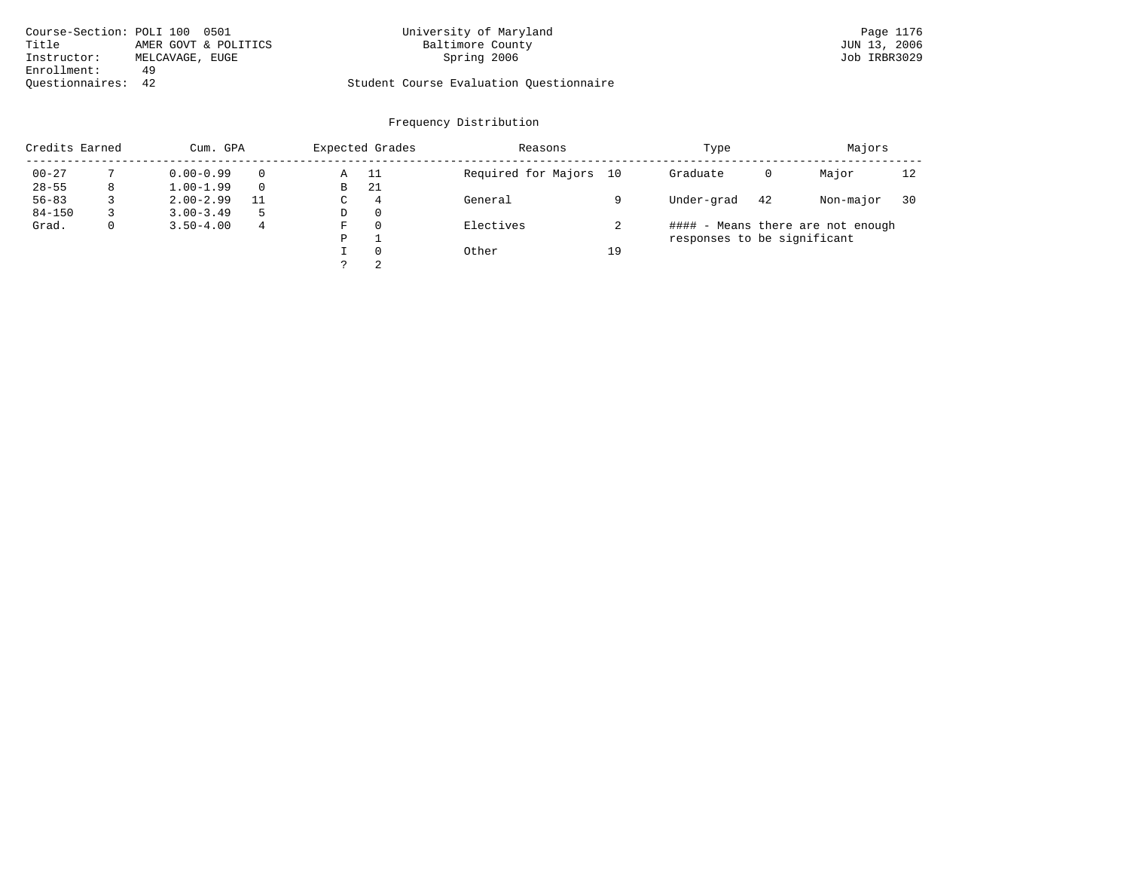| Course-Section: POLI 100 0501  |                      | University of Maryland                  | Page 1176    |
|--------------------------------|----------------------|-----------------------------------------|--------------|
| Title                          | AMER GOVT & POLITICS | Baltimore County                        | JUN 13, 2006 |
| MELCAVAGE, EUGE<br>Instructor: |                      | Spring 2006                             | Job IRBR3029 |
| Enrollment:<br>49              |                      |                                         |              |
| Ouestionnaires: 42             |                      | Student Course Evaluation Questionnaire |              |

| Credits Earned | Cum. GPA      |          |   | Expected Grades | Reasons             |    | Type                        |    | Majors                            |    |
|----------------|---------------|----------|---|-----------------|---------------------|----|-----------------------------|----|-----------------------------------|----|
| $00 - 27$      | $0.00 - 0.99$ |          | A | - 11            | Required for Majors | 10 | Graduate                    | 0  | Major                             | 12 |
| $28 - 55$      | $1.00 - 1.99$ | $\Omega$ | B | 21              |                     |    |                             |    |                                   |    |
| $56 - 83$      | $2.00 - 2.99$ | 11       | C | $\overline{4}$  | General             |    | Under-grad                  | 42 | Non-major                         | 30 |
| $84 - 150$     | $3.00 - 3.49$ | 5        | D | $\Omega$        |                     |    |                             |    |                                   |    |
| Grad.          | $3.50 - 4.00$ | 4        | F | $\Omega$        | Electives           |    |                             |    | #### - Means there are not enough |    |
|                |               |          | P |                 |                     |    | responses to be significant |    |                                   |    |
|                |               |          |   | $\Omega$        | Other               | 19 |                             |    |                                   |    |
|                |               |          |   | 2               |                     |    |                             |    |                                   |    |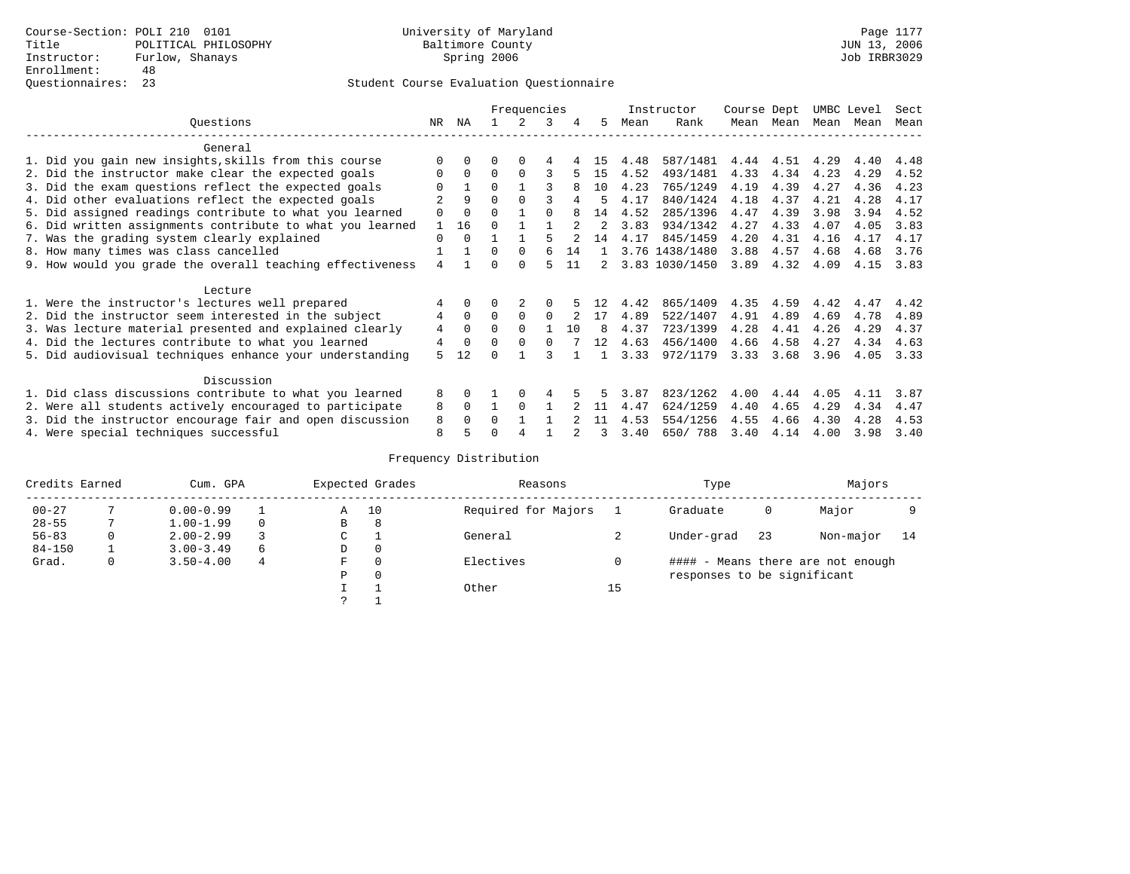|                                                           |                |          |          | Frequencies |          |    |                |      | Instructor     | Course Dept |      | UMBC Level |      | Sect |
|-----------------------------------------------------------|----------------|----------|----------|-------------|----------|----|----------------|------|----------------|-------------|------|------------|------|------|
| Ouestions                                                 | NR.            | ΝA       |          |             | 3        |    | 5.             | Mean | Rank           | Mean        | Mean | Mean       | Mean | Mean |
| General                                                   |                |          |          |             |          |    |                |      |                |             |      |            |      |      |
| 1. Did you gain new insights, skills from this course     | $\Omega$       | $\Omega$ | U        | $\Omega$    | 4        |    | 15             | 4.48 | 587/1481       | 4.44        | 4.51 | 4.29       | 4.40 | 4.48 |
| 2. Did the instructor make clear the expected goals       | 0              | $\Omega$ | $\Omega$ | $\Omega$    |          |    | 15             | 4.52 | 493/1481       | 4.33        | 4.34 | 4.23       | 4.29 | 4.52 |
|                                                           |                |          | $\Omega$ |             |          |    | 10             | 4.23 | 765/1249       | 4.19        | 4.39 | 4.27       | 4.36 | 4.23 |
| 3. Did the exam questions reflect the expected goals      |                |          |          |             |          |    |                |      |                |             |      |            |      |      |
| 4. Did other evaluations reflect the expected goals       |                | 9        | $\Omega$ | $\Omega$    |          |    |                | 4.17 | 840/1424       | 4.18        | 4.37 | 4.21       | 4.28 | 4.17 |
| 5. Did assigned readings contribute to what you learned   | $\Omega$       | $\Omega$ | $\Omega$ |             | $\Omega$ | 8  | 14             | 4.52 | 285/1396       | 4.47        | 4.39 | 3.98       | 3.94 | 4.52 |
| 6. Did written assignments contribute to what you learned | 1              | 16       | ∩        |             |          |    | $\mathfrak{D}$ | 3.83 | 934/1342       | 4.27        | 4.33 | 4.07       | 4.05 | 3.83 |
| 7. Was the grading system clearly explained               | $\Omega$       | $\Omega$ |          |             |          |    | 14             | 4.17 | 845/1459       | 4.20        | 4.31 | 4.16       | 4.17 | 4.17 |
| 8. How many times was class cancelled                     |                |          | $\Omega$ | $\Omega$    | 6        | 14 | $\mathbf{1}$   |      | 3.76 1438/1480 | 3.88        | 4.57 | 4.68       | 4.68 | 3.76 |
| 9. How would you grade the overall teaching effectiveness | $\overline{4}$ |          | U        | $\cap$      | 5        |    | 2              |      | 3.83 1030/1450 | 3.89        | 4.32 | 4.09       | 4.15 | 3.83 |
| Lecture                                                   |                |          |          |             |          |    |                |      |                |             |      |            |      |      |
| 1. Were the instructor's lectures well prepared           |                |          |          |             |          |    |                | 4.42 | 865/1409       | 4.35        | 4.59 | 4.42       | 4.47 | 4.42 |
| 2. Did the instructor seem interested in the subject      | $\overline{4}$ | $\Omega$ | $\Omega$ | $\Omega$    | $\Omega$ |    | 17             | 4.89 | 522/1407       | 4.91        | 4.89 | 4.69       | 4.78 | 4.89 |
| 3. Was lecture material presented and explained clearly   | 4              | $\Omega$ | $\Omega$ | $\Omega$    |          | 10 | <sup>8</sup>   | 4.37 | 723/1399       | 4.28        | 4.41 | 4.26       | 4.29 | 4.37 |
| 4. Did the lectures contribute to what you learned        | 4              | $\Omega$ | $\Omega$ | $\Omega$    | $\Omega$ |    | 12             | 4.63 | 456/1400       | 4.66        | 4.58 | 4.27       | 4.34 | 4.63 |
|                                                           |                |          |          |             |          |    |                |      |                |             |      |            |      |      |
| 5. Did audiovisual techniques enhance your understanding  | 5              | 12       |          |             |          |    |                | 3.33 | 972/1179       | 3.33        | 3.68 | 3.96       | 4.05 | 3.33 |
| Discussion                                                |                |          |          |             |          |    |                |      |                |             |      |            |      |      |
| 1. Did class discussions contribute to what you learned   | 8              | $\Omega$ |          | $\Omega$    | 4        |    |                | 3.87 | 823/1262       | 4.00        | 4.44 | 4.05       | 4.11 | 3.87 |
| 2. Were all students actively encouraged to participate   | 8              | $\Omega$ |          | $\Omega$    |          |    | 11             | 4.47 | 624/1259       | 4.40        | 4.65 | 4.29       | 4.34 | 4.47 |
| 3. Did the instructor encourage fair and open discussion  | 8              | $\Omega$ | 0        |             |          |    | 11             | 4.53 | 554/1256       | 4.55        | 4.66 | 4.30       | 4.28 | 4.53 |
| 4. Were special techniques successful                     | 8              |          |          |             |          |    | 3              | 3.40 | 650/788        | 3.40        | 4.14 | 4.00       | 3.98 | 3.40 |

| Credits Earned |   | Cum. GPA      |   |   | Expected Grades | Reasons             |    | Type                        |    | Majors                            |    |
|----------------|---|---------------|---|---|-----------------|---------------------|----|-----------------------------|----|-----------------------------------|----|
| $00 - 27$      |   | $0.00 - 0.99$ |   | Α | 10              | Required for Majors |    | Graduate                    | 0  | Major                             |    |
| $28 - 55$      |   | $1.00 - 1.99$ |   | B | 8               |                     |    |                             |    |                                   |    |
| $56 - 83$      | 0 | $2.00 - 2.99$ |   | ◡ |                 | General             |    | Under-grad                  | 23 | Non-major                         | 14 |
| $84 - 150$     |   | $3.00 - 3.49$ | 6 | D | 0               |                     |    |                             |    |                                   |    |
| Grad.          | 0 | $3.50 - 4.00$ | 4 | F | 0               | Electives           |    |                             |    | #### - Means there are not enough |    |
|                |   |               |   | Ρ | 0               |                     |    | responses to be significant |    |                                   |    |
|                |   |               |   |   |                 | Other               | 15 |                             |    |                                   |    |
|                |   |               |   |   |                 |                     |    |                             |    |                                   |    |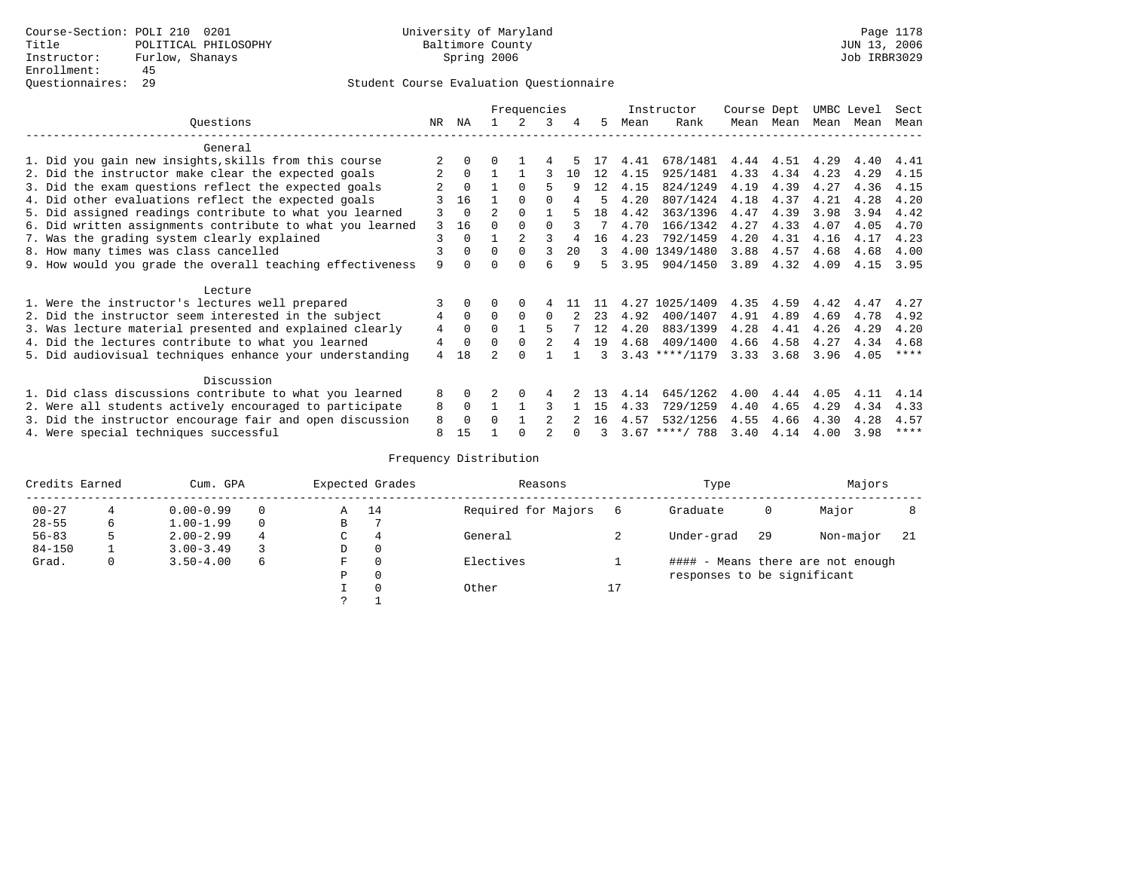|                                                           |    |              |                | Frequencies    |          |    |    |      | Instructor       | Course Dept |           | UMBC Level |           | Sect        |
|-----------------------------------------------------------|----|--------------|----------------|----------------|----------|----|----|------|------------------|-------------|-----------|------------|-----------|-------------|
| Ouestions                                                 | NR | ΝA           |                | $\mathcal{L}$  | 3        | 4  | .5 | Mean | Rank             |             | Mean Mean |            | Mean Mean | Mean        |
| General                                                   |    |              |                |                |          |    |    |      |                  |             |           |            |           |             |
| 1. Did you gain new insights, skills from this course     |    | 0            | <sup>0</sup>   |                |          |    |    | 4.41 | 678/1481         | 4.44        | 4.51      | 4.29       | 4.40      | 4.41        |
| 2. Did the instructor make clear the expected goals       | 2  | $\Omega$     |                |                |          | 10 | 12 | 4.15 | 925/1481         | 4.33        | 4.34      | 4.23       | 4.29      | 4.15        |
| 3. Did the exam questions reflect the expected goals      |    | $\Omega$     |                |                | 5        | q  | 12 | 4.15 | 824/1249         | 4.19        | 4.39      | 4.27       | 4.36      | 4.15        |
| 4. Did other evaluations reflect the expected goals       |    | 16           |                | $\Omega$       |          |    | 5  | 4.20 | 807/1424         | 4.18        | 4.37      | 4.21       | 4.28      | 4.20        |
| 5. Did assigned readings contribute to what you learned   |    | $\Omega$     | $\mathfrak{D}$ | $\Omega$       |          |    | 18 | 4.42 | 363/1396         | 4.47        | 4.39      | 3.98       | 3.94      | 4.42        |
| 6. Did written assignments contribute to what you learned | 3  | 16           | U              | $\Omega$       | $\Omega$ |    |    | 4.70 | 166/1342         | 4.27        | 4.33      | 4.07       | 4.05      | 4.70        |
| 7. Was the grading system clearly explained               | 3  |              |                | $\mathfrak{D}$ | २        | 4  | 16 | 4.23 | 792/1459         | 4.20        | 4.31      | 4.16       | 4.17      | 4.23        |
| 8. How many times was class cancelled                     | 3  | $\Omega$     | $\Omega$       | $\Omega$       | 3        | 20 | 3  |      | 4.00 1349/1480   | 3.88        | 4.57      | 4.68       | 4.68      | 4.00        |
| 9. How would you grade the overall teaching effectiveness | 9  | <sup>n</sup> |                | <sup>n</sup>   | б        | q  | Б. | 3.95 | 904/1450         | 3.89        | 4.32      | 4.09       | 4.15      | 3.95        |
| Lecture                                                   |    |              |                |                |          |    |    |      |                  |             |           |            |           |             |
| 1. Were the instructor's lectures well prepared           |    | $\Omega$     |                |                |          |    |    | 4.27 | 1025/1409        | 4.35        | 4.59      | 4.42       | 4.47      | 4.27        |
| 2. Did the instructor seem interested in the subject      | 4  | $\Omega$     | $\Omega$       | $\Omega$       | 0        |    | 23 | 4.92 | 400/1407         | 4.91        | 4.89      | 4.69       | 4.78      | 4.92        |
| 3. Was lecture material presented and explained clearly   | 4  | 0            | 0              |                | 5        |    | 12 | 4.20 | 883/1399         | 4.28        | 4.41      | 4.26       | 4.29      | 4.20        |
| 4. Did the lectures contribute to what you learned        | 4  | $\Omega$     | 0              | $\Omega$       |          | 4  | 19 | 4.68 | 409/1400         | 4.66        | 4.58      | 4.27       | 4.34      | 4.68        |
| 5. Did audiovisual techniques enhance your understanding  | 4  | 18           |                |                |          |    |    |      | $3.43$ ****/1179 | 3.33        | 3.68      | 3.96       | 4.05      | $***$ *     |
| Discussion                                                |    |              |                |                |          |    |    |      |                  |             |           |            |           |             |
| 1. Did class discussions contribute to what you learned   | 8  | $\Omega$     |                | $\Omega$       |          |    |    | 4.14 | 645/1262         | 4.00        | 4.44      | 4.05       | 4.11      | 4.14        |
| 2. Were all students actively encouraged to participate   | 8  | 0            |                |                |          |    | 15 | 4.33 | 729/1259         | 4.40        | 4.65      | 4.29       | 4.34      | 4.33        |
| 3. Did the instructor encourage fair and open discussion  | 8  | $\Omega$     |                |                |          |    | 16 | 4.57 | 532/1256         | 4.55        | 4.66      | 4.30       | 4.28      | 4.57        |
| 4. Were special techniques successful                     | 8  | 15           |                |                |          |    |    |      | $3.67$ ****/ 788 | 3.40        | 4.14      | 4.00       | 3.98      | $***$ * * * |

| Credits Earned |   | Cum. GPA      |          |             | Expected Grades | Reasons             |    | Type                        |     | Majors                            |     |
|----------------|---|---------------|----------|-------------|-----------------|---------------------|----|-----------------------------|-----|-----------------------------------|-----|
| $00 - 27$      |   | $0.00 - 0.99$ |          | Α           | 14              | Required for Majors | 6  | Graduate                    | 0   | Major                             |     |
| $28 - 55$      | 6 | $1.00 - 1.99$ | $\Omega$ | В           |                 |                     |    |                             |     |                                   |     |
| $56 - 83$      | 5 | $2.00 - 2.99$ | 4        | $\sim$<br>◡ | 4               | General             |    | Under-grad                  | -29 | Non-major                         | -21 |
| $84 - 150$     |   | $3.00 - 3.49$ |          | D           | 0               |                     |    |                             |     |                                   |     |
| Grad.          | 0 | $3.50 - 4.00$ | 6        | F           | 0               | Electives           |    |                             |     | #### - Means there are not enough |     |
|                |   |               |          | Ρ           | 0               |                     |    | responses to be significant |     |                                   |     |
|                |   |               |          |             | $\Omega$        | Other               | 17 |                             |     |                                   |     |
|                |   |               |          | C           |                 |                     |    |                             |     |                                   |     |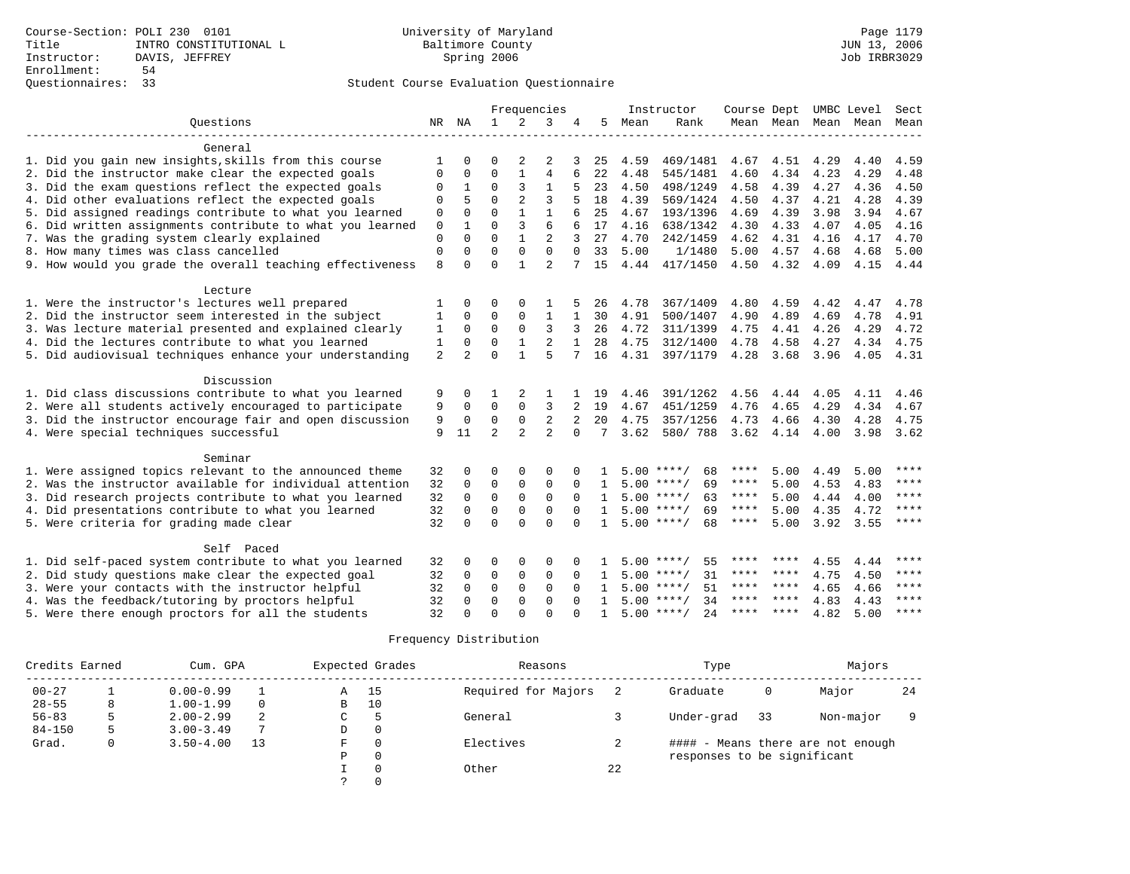|                                                           |             |                |                |              | Frequencies    |              |              |      | Instructor         | Course Dept |                |      | UMBC Level | Sect        |
|-----------------------------------------------------------|-------------|----------------|----------------|--------------|----------------|--------------|--------------|------|--------------------|-------------|----------------|------|------------|-------------|
| Ouestions                                                 | NR          | NA             | $\mathbf{1}$   | 2            | 3              | 4            | .5           | Mean | Rank               |             | Mean Mean Mean |      | Mean       | Mean        |
|                                                           |             |                |                |              |                |              |              |      |                    |             |                |      |            |             |
| General                                                   |             |                |                |              |                |              |              |      |                    |             |                |      |            |             |
| 1. Did you gain new insights, skills from this course     |             | <sup>0</sup>   | ∩              | 2            | 2              |              | 25           | 4.59 | 469/1481           | 4.67        | 4.51           | 4.29 | 4.40       | 4.59        |
| 2. Did the instructor make clear the expected goals       | 0           | 0              | $\mathsf 0$    |              | $\overline{4}$ |              | 22           | 4.48 | 545/1481           | 4.60        | 4.34           | 4.23 | 4.29       | 4.48        |
| 3. Did the exam questions reflect the expected goals      |             | 1              | 0              | 3            | $\mathbf{1}$   | 5            | 23           | 4.50 | 498/1249           | 4.58        | 4.39           | 4.27 | 4.36       | 4.50        |
| 4. Did other evaluations reflect the expected goals       | $\Omega$    | 5              | $\Omega$       | 2            | 3              |              | 18           | 4.39 | 569/1424           | 4.50        | 4.37           | 4.21 | 4.28       | 4.39        |
| 5. Did assigned readings contribute to what you learned   | $\mathbf 0$ | $\Omega$       | $\Omega$       | 1            | $\mathbf{1}$   | 6            | 25           | 4.67 | 193/1396           | 4.69        | 4.39           | 3.98 | 3.94       | 4.67        |
| 6. Did written assignments contribute to what you learned | $\mathbf 0$ |                | $\Omega$       | 3            | 6              | 6            | 17           | 4.16 | 638/1342           | 4.30        | 4.33           | 4.07 | 4.05       | 4.16        |
| 7. Was the grading system clearly explained               | $\Omega$    | $\Omega$       | $\Omega$       |              | $\overline{2}$ | 3            | 27           | 4.70 | 242/1459           | 4.62        | 4.31           | 4.16 | 4.17       | 4.70        |
| 8. How many times was class cancelled                     | $\Omega$    | $\Omega$       | $\Omega$       | $\Omega$     | $\Omega$       | $\Omega$     | 33           | 5.00 | 1/1480             | 5.00        | 4.57           | 4.68 | 4.68       | 5.00        |
| 9. How would you grade the overall teaching effectiveness | 8           | $\Omega$       | $\Omega$       | $\mathbf{1}$ | $\overline{2}$ |              | 15           | 4.44 | 417/1450           | 4.50        | 4.32           | 4.09 | 4.15       | 4.44        |
|                                                           |             |                |                |              |                |              |              |      |                    |             |                |      |            |             |
| Lecture                                                   |             |                |                |              |                |              |              |      |                    |             |                |      |            |             |
| 1. Were the instructor's lectures well prepared           |             | $\Omega$       | $\Omega$       | $\Omega$     |                |              | 26           | 4.78 | 367/1409           | 4.80        | 4.59           | 4.42 | 4.47       | 4.78        |
| 2. Did the instructor seem interested in the subject      | 1           | $\Omega$       | $\Omega$       | $\Omega$     | 1              | $\mathbf{1}$ | 30           | 4.91 | 500/1407           | 4.90        | 4.89           | 4.69 | 4.78       | 4.91        |
| 3. Was lecture material presented and explained clearly   | 1           | $\mathbf 0$    | $\mathbf 0$    | $\Omega$     | 3              | 3            | 26           | 4.72 | 311/1399           | 4.75        | 4.41           | 4.26 | 4.29       | 4.72        |
| 4. Did the lectures contribute to what you learned        | 1           | $\Omega$       | $\Omega$       | $\mathbf{1}$ | $\overline{2}$ |              | 28           | 4.75 | 312/1400           | 4.78        | 4.58           | 4.27 | 4.34       | 4.75        |
| 5. Did audiovisual techniques enhance your understanding  | 2           | $\mathfrak{D}$ | $\Omega$       | $\mathbf{1}$ | 5              |              | 16           | 4.31 | 397/1179           | 4.28        | 3.68           | 3.96 | 4.05       | 4.31        |
| Discussion                                                |             |                |                |              |                |              |              |      |                    |             |                |      |            |             |
| 1. Did class discussions contribute to what you learned   | 9           | $\Omega$       |                | 2            | 1              |              | 19           | 4.46 | 391/1262           | 4.56        | 4.44           | 4.05 | 4.11       | 4.46        |
| 2. Were all students actively encouraged to participate   | 9           | 0              | $\Omega$       | $\Omega$     | 3              |              | 19           | 4.67 | 451/1259           | 4.76        | 4.65           | 4.29 | 4.34       | 4.67        |
| 3. Did the instructor encourage fair and open discussion  | 9           | 0              | 0              | $\mathbf 0$  | 2              | 2            | 20           | 4.75 | 357/1256           | 4.73        | 4.66           | 4.30 | 4.28       | 4.75        |
| 4. Were special techniques successful                     | 9           | 11             | $\overline{a}$ | 2            | $\overline{2}$ | $\Omega$     | 7            | 3.62 | 580/788            | 3.62        | 4.14           | 4.00 | 3.98       | 3.62        |
|                                                           |             |                |                |              |                |              |              |      |                    |             |                |      |            |             |
| Seminar                                                   |             |                |                |              |                |              |              |      |                    |             |                |      |            |             |
| 1. Were assigned topics relevant to the announced theme   | 32          | $\Omega$       | $\Omega$       | $\Omega$     | $\Omega$       |              |              |      | $5.00$ ****/<br>68 | ****        | 5.00           | 4.49 | 5.00       | ****        |
| 2. Was the instructor available for individual attention  | 32          | $\Omega$       | 0              | $\mathbf 0$  | $\mathbf 0$    | $\Omega$     |              |      | $5.00$ ****/<br>69 | $***$ * *   | 5.00           | 4.53 | 4.83       | ****        |
| 3. Did research projects contribute to what you learned   | 32          | $\Omega$       | $\mathbf 0$    | $\mathbf 0$  | $\mathbf 0$    |              | $\mathbf{1}$ |      | $5.00$ ****/<br>63 | ****        | 5.00           | 4.44 | 4.00       | ****        |
| 4. Did presentations contribute to what you learned       | 32          | $\Omega$       | $\Omega$       | $\Omega$     | $\Omega$       |              | $\mathbf{1}$ |      | $5.00$ ****/<br>69 | ****        | 5.00           | 4.35 | 4.72       | $* * * *$   |
| 5. Were criteria for grading made clear                   | 32          | $\Omega$       | $\Omega$       | $\Omega$     | $\Omega$       | $\Omega$     | 1            |      | $5.00$ ****/<br>68 | ****        | 5.00           | 3.92 | 3.55       | $* * * * *$ |
|                                                           |             |                |                |              |                |              |              |      |                    |             |                |      |            |             |
| Self Paced                                                |             |                |                |              |                |              |              |      |                    |             |                |      |            |             |
| 1. Did self-paced system contribute to what you learned   | 32          |                | $\Omega$       | $\Omega$     | $\Omega$       |              |              |      | 55<br>$5.00$ ****/ | ****        | ****           | 4.55 | 4.44       | ****        |
| 2. Did study questions make clear the expected goal       | 32          | $\Omega$       | 0              | $\mathbf 0$  | $\Omega$       | $\Omega$     | 1            |      | $5.00$ ****/<br>31 | ****        | ****           | 4.75 | 4.50       | ****        |
| 3. Were your contacts with the instructor helpful         | 32          | $\Omega$       | $\Omega$       | $\Omega$     | $\Omega$       | $\Omega$     | $\mathbf{1}$ |      | $5.00$ ****/<br>51 | ****        | ****           | 4.65 | 4.66       | $* * * *$   |
| 4. Was the feedback/tutoring by proctors helpful          | 32          | $\Omega$       | $\mathbf 0$    | $\mathbf{0}$ | $\Omega$       | $\Omega$     | $\mathbf{1}$ |      | 34<br>$5.00$ ****/ | ****        | $* * * * *$    | 4.83 | 4.43       | $***$ * * * |
| 5. Were there enough proctors for all the students        | 32          |                | $\Omega$       | $\cap$       | $\Omega$       |              |              |      | $5.00$ ****/<br>24 | $***$ * * * | $***$          | 4.82 | 5.00       | $* * * * *$ |

| Credits Earned |   | Cum. GPA      |          |   | Expected Grades | Reasons             |    | Type                        |    | Majors                            |    |
|----------------|---|---------------|----------|---|-----------------|---------------------|----|-----------------------------|----|-----------------------------------|----|
| $00 - 27$      |   | $0.00 - 0.99$ |          | A | 15              | Required for Majors |    | Graduate                    | 0  | Major                             | 24 |
| $28 - 55$      | 8 | $1.00 - 1.99$ | $\Omega$ | B | 10              |                     |    |                             |    |                                   |    |
| $56 - 83$      |   | $2.00 - 2.99$ |          | C | 5               | General             |    | Under-grad                  | 33 | Non-major                         |    |
| $84 - 150$     |   | $3.00 - 3.49$ | 7        | D | 0               |                     |    |                             |    |                                   |    |
| Grad.          |   | $3.50 - 4.00$ | 13       | F | 0               | Electives           |    |                             |    | #### - Means there are not enough |    |
|                |   |               |          | Ρ | $\Omega$        |                     |    | responses to be significant |    |                                   |    |
|                |   |               |          |   | 0               | Other               | 22 |                             |    |                                   |    |
|                |   |               |          |   |                 |                     |    |                             |    |                                   |    |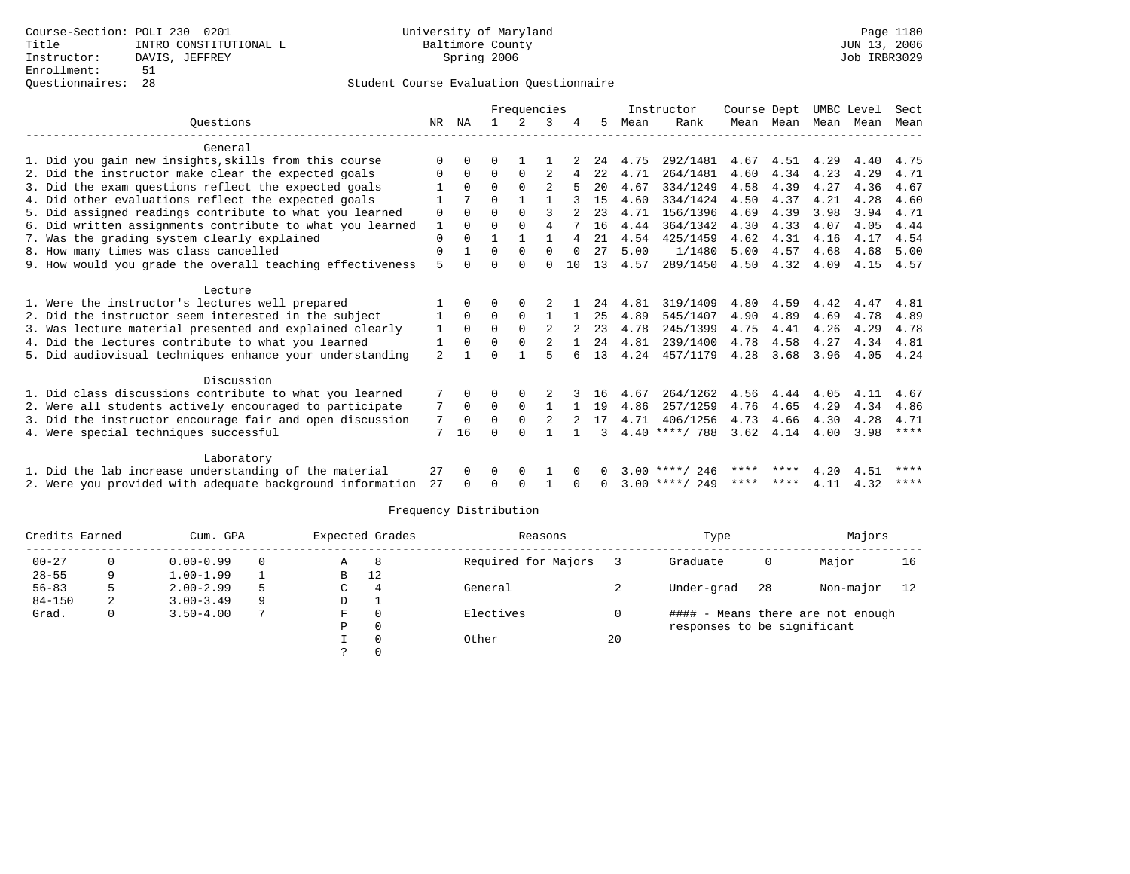|                                                           |                |              |          | Frequencies  |          |          |    |      | Instructor       | Course Dept |           | UMBC Level |      | Sect |
|-----------------------------------------------------------|----------------|--------------|----------|--------------|----------|----------|----|------|------------------|-------------|-----------|------------|------|------|
| Ouestions                                                 | NR.            | ΝA           |          | 2            |          |          | 5  | Mean | Rank             |             | Mean Mean | Mean Mean  |      | Mean |
|                                                           |                |              |          |              |          |          |    |      |                  |             |           |            |      |      |
| General                                                   |                |              |          |              |          |          |    |      |                  |             |           |            |      |      |
| 1. Did you gain new insights, skills from this course     |                |              | U        |              |          |          | 24 | 4.75 | 292/1481         | 4.67        | 4.51      | 4.29       | 4.40 | 4.75 |
| 2. Did the instructor make clear the expected goals       | 0              | 0            | U        | <sup>0</sup> | 2        |          | 22 | 4.71 | 264/1481         | 4.60        | 4.34      | 4.23       | 4.29 | 4.71 |
| 3. Did the exam questions reflect the expected goals      |                | $\Omega$     | $\Omega$ | $\Omega$     | 2        |          | 20 | 4.67 | 334/1249         | 4.58        | 4.39      | 4.27       | 4.36 | 4.67 |
| 4. Did other evaluations reflect the expected goals       |                |              | $\Omega$ |              |          |          | 15 | 4.60 | 334/1424         | 4.50        | 4.37      | 4.21       | 4.28 | 4.60 |
| 5. Did assigned readings contribute to what you learned   | 0              | $\Omega$     | U        | $\Omega$     | 3        |          | 23 | 4.71 | 156/1396         | 4.69        | 4.39      | 3.98       | 3.94 | 4.71 |
| 6. Did written assignments contribute to what you learned | 1              | $\Omega$     | 0        | $\Omega$     | 4        |          | 16 | 4.44 | 364/1342         | 4.30        | 4.33      | 4.07       | 4.05 | 4.44 |
| 7. Was the grading system clearly explained               | 0              | 0            |          | $\mathbf{1}$ |          | 4        | 21 | 4.54 | 425/1459         | 4.62        | 4.31      | 4.16       | 4.17 | 4.54 |
| 8. How many times was class cancelled                     | 0              |              | 0        | $\Omega$     | $\Omega$ | $\Omega$ | 27 | 5.00 | 1/1480           | 5.00        | 4.57      | 4.68       | 4.68 | 5.00 |
| 9. How would you grade the overall teaching effectiveness | 5              | $\Omega$     | U        | $\cap$       | $\Omega$ | 10       | 13 | 4.57 | 289/1450         | 4.50        | 4.32      | 4.09       | 4.15 | 4.57 |
|                                                           |                |              |          |              |          |          |    |      |                  |             |           |            |      |      |
| Lecture                                                   |                |              |          |              |          |          |    |      |                  |             |           |            |      |      |
| 1. Were the instructor's lectures well prepared           |                | <sup>0</sup> |          | 0            |          |          | 24 | 4.81 | 319/1409         | 4.80        | 4.59      | 4.42       | 4.47 | 4.81 |
| 2. Did the instructor seem interested in the subject      |                | $\Omega$     | 0        | $\Omega$     |          |          | 25 | 4.89 | 545/1407         | 4.90        | 4.89      | 4.69       | 4.78 | 4.89 |
| 3. Was lecture material presented and explained clearly   | 1              | $\Omega$     | $\Omega$ | $\Omega$     | 2        |          | 23 | 4.78 | 245/1399         | 4.75        | 4.41      | 4.26       | 4.29 | 4.78 |
| 4. Did the lectures contribute to what you learned        | 1              | $\Omega$     | U        | $\Omega$     | 2        |          | 24 | 4.81 | 239/1400         | 4.78        | 4.58      | 4.27       | 4.34 | 4.81 |
| 5. Did audiovisual techniques enhance your understanding  | $\overline{2}$ |              |          |              | 5        |          | 13 | 4.24 | 457/1179         | 4.28        | 3.68      | 3.96       | 4.05 | 4.24 |
| Discussion                                                |                |              |          |              |          |          |    |      |                  |             |           |            |      |      |
| 1. Did class discussions contribute to what you learned   |                | $\Omega$     | 0        | 0            |          |          | 16 | 4.67 | 264/1262         | 4.56        | 4.44      | 4.05       | 4.11 | 4.67 |
| 2. Were all students actively encouraged to participate   | 7              | $\mathbf 0$  | 0        | 0            | -1       |          | 19 | 4.86 | 257/1259         | 4.76        | 4.65      | 4.29       | 4.34 | 4.86 |
| 3. Did the instructor encourage fair and open discussion  | 7              | $\Omega$     | 0        | $\Omega$     | 2        |          | 17 | 4.71 | 406/1256         | 4.73        | 4.66      | 4.30       | 4.28 | 4.71 |
| 4. Were special techniques successful                     | 7              | 16           |          |              |          |          |    |      | $4.40$ ****/ 788 | 3.62        | 4.14      | 4.00       | 3.98 | **** |
|                                                           |                |              |          |              |          |          |    |      |                  |             |           |            |      |      |
| Laboratory                                                |                |              |          |              |          |          |    |      |                  |             |           |            |      |      |
| 1. Did the lab increase understanding of the material     | 27             | $\Omega$     | 0        | 0            |          |          |    |      | $3.00$ ****/ 246 |             | **** **** | 4.20 4.51  |      | **** |
| 2. Were you provided with adequate background information | 27             | $\Omega$     |          | <sup>0</sup> |          |          |    |      | $3.00$ ****/ 249 | ****        | ****      | 4.11       | 4.32 | **** |
|                                                           |                |              |          |              |          |          |    |      |                  |             |           |            |      |      |

| Credits Earned |    | Cum. GPA      |   |   | Expected Grades | Reasons             |    | Type                        |    | Majors                            |    |
|----------------|----|---------------|---|---|-----------------|---------------------|----|-----------------------------|----|-----------------------------------|----|
| $00 - 27$      |    | $0.00 - 0.99$ | 0 | Α | 8               | Required for Majors |    | Graduate                    | 0  | Major                             | 16 |
| $28 - 55$      | 9  | $1.00 - 1.99$ |   | в | 12              |                     |    |                             |    |                                   |    |
| $56 - 83$      | 5. | $2.00 - 2.99$ | 5 | C | 4               | General             |    | Under-grad                  | 28 | Non-major                         | 12 |
| $84 - 150$     | 2  | $3.00 - 3.49$ | 9 | D |                 |                     |    |                             |    |                                   |    |
| Grad.          | 0  | $3.50 - 4.00$ |   | F |                 | Electives           |    |                             |    | #### - Means there are not enough |    |
|                |    |               |   | Ρ |                 |                     |    | responses to be significant |    |                                   |    |
|                |    |               |   |   |                 | Other               | 20 |                             |    |                                   |    |
|                |    |               |   |   |                 |                     |    |                             |    |                                   |    |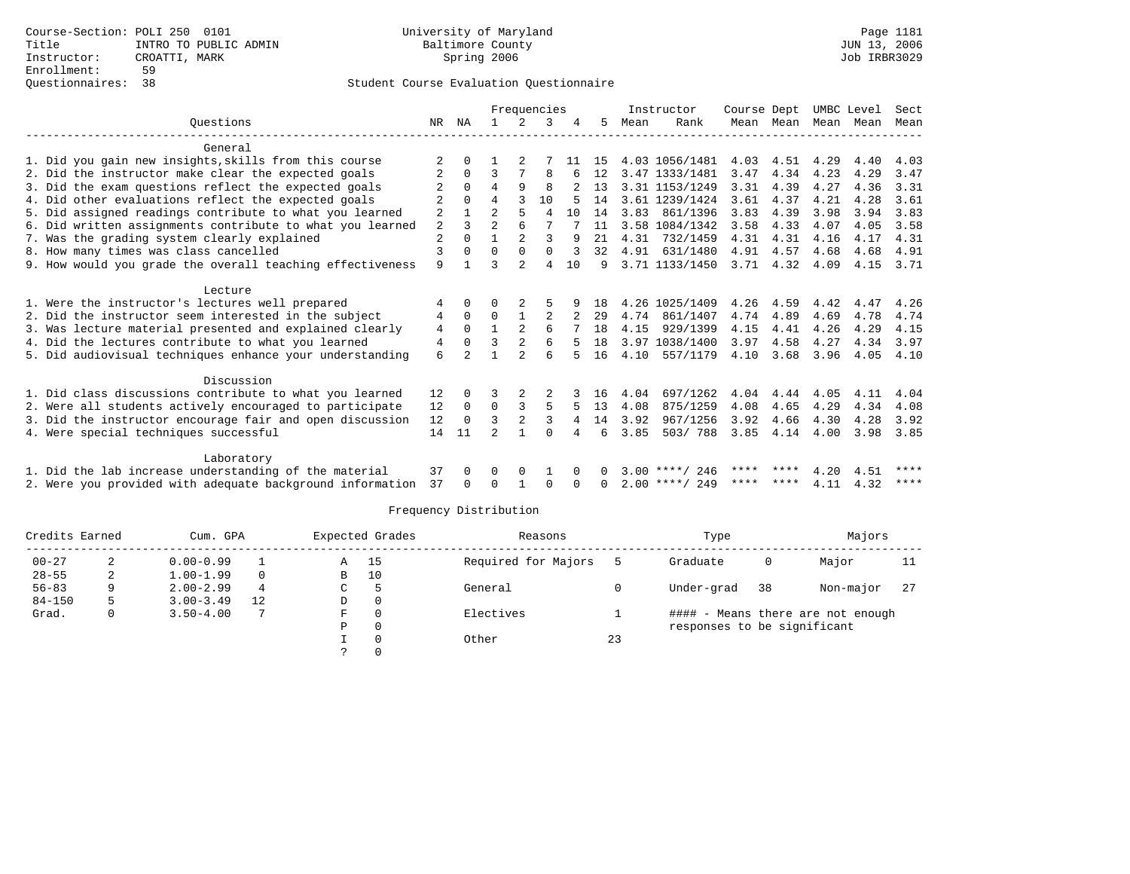|                                                           |     |             |                |                | Frequencies |     |          |      | Instructor       | Course Dept |           | UMBC Level |      | Sect |
|-----------------------------------------------------------|-----|-------------|----------------|----------------|-------------|-----|----------|------|------------------|-------------|-----------|------------|------|------|
| Ouestions                                                 | NR. | ΝA          |                | $\overline{2}$ |             |     | 5        | Mean | Rank             |             | Mean Mean | Mean Mean  |      | Mean |
|                                                           |     |             |                |                |             |     |          |      |                  |             |           |            |      |      |
| General                                                   |     |             |                |                |             |     |          |      |                  |             |           |            |      |      |
| 1. Did you gain new insights, skills from this course     |     |             |                |                |             |     | 15       |      | 4.03 1056/1481   | 4.03        | 4.51      | 4.29       | 4.40 | 4.03 |
| 2. Did the instructor make clear the expected goals       |     | $\Omega$    | 3              |                | 8           |     | 12       |      | 3.47 1333/1481   | 3.47        | 4.34      | 4.23       | 4.29 | 3.47 |
| 3. Did the exam questions reflect the expected goals      | 2   | $\Omega$    | 4              | 9              | 8           |     | 13       |      | 3.31 1153/1249   | 3.31        | 4.39      | 4.27       | 4.36 | 3.31 |
| 4. Did other evaluations reflect the expected goals       |     | $\Omega$    | 4              | ς              | 10          | 5   | 14       |      | 3.61 1239/1424   | 3.61        | 4.37      | 4.21       | 4.28 | 3.61 |
| 5. Did assigned readings contribute to what you learned   | 2   |             |                | 5              | 4           | 1 O | 14       |      | 3.83 861/1396    | 3.83        | 4.39      | 3.98       | 3.94 | 3.83 |
| 6. Did written assignments contribute to what you learned | 2   |             | $\overline{a}$ | 6              |             |     | 11       |      | 3.58 1084/1342   | 3.58        | 4.33      | 4.07       | 4.05 | 3.58 |
| 7. Was the grading system clearly explained               | 2   | $\Omega$    |                | $\overline{2}$ | 3           | 9   | 21       | 4.31 | 732/1459         | 4.31        | 4.31      | 4.16       | 4.17 | 4.31 |
| 8. How many times was class cancelled                     | 3   | $\Omega$    | U              | $\Omega$       | $\Omega$    |     | 32       | 4.91 | 631/1480         | 4.91        | 4.57      | 4.68       | 4.68 | 4.91 |
| 9. How would you grade the overall teaching effectiveness | 9   |             |                | $\mathfrak{D}$ | 4           | 10  | 9        |      | 3.71 1133/1450   | 3.71        | 4.32      | 4.09       | 4.15 | 3.71 |
| Lecture                                                   |     |             |                |                |             |     |          |      |                  |             |           |            |      |      |
| 1. Were the instructor's lectures well prepared           | 4   | $\Omega$    | U              |                | 5           | 9   | 18       |      | 4.26 1025/1409   | 4.26        | 4.59      | 4.42       | 4.47 | 4.26 |
| 2. Did the instructor seem interested in the subject      |     | $\Omega$    | $\Omega$       | $\mathbf{1}$   | 2           | 2   |          | 4.74 | 861/1407         | 4.74        | 4.89      | 4.69       | 4.78 | 4.74 |
|                                                           | 4   | $\Omega$    |                |                | 6           |     | 29<br>18 | 4.15 | 929/1399         | 4.15        | 4.41      | 4.26       | 4.29 | 4.15 |
| 3. Was lecture material presented and explained clearly   | 4   |             | ς              | $\overline{a}$ |             |     |          |      |                  |             |           |            |      |      |
| 4. Did the lectures contribute to what you learned        | 4   | $\Omega$    |                |                | 6           |     | 18       |      | 3.97 1038/1400   | 3.97        | 4.58      | 4.27       | 4.34 | 3.97 |
| 5. Did audiovisual techniques enhance your understanding  | 6   |             |                |                | 6           |     | 16       | 4.10 | 557/1179         | 4.10        | 3.68      | 3.96       | 4.05 | 4.10 |
| Discussion                                                |     |             |                |                |             |     |          |      |                  |             |           |            |      |      |
| 1. Did class discussions contribute to what you learned   | 12  | 0           |                |                |             |     | 16       | 4.04 | 697/1262         | 4.04        | 4.44      | 4.05       | 4.11 | 4.04 |
| 2. Were all students actively encouraged to participate   | 12  | $\mathbf 0$ | 0              | 3              | 5           |     | 13       | 4.08 | 875/1259         | 4.08        | 4.65      | 4.29       | 4.34 | 4.08 |
| 3. Did the instructor encourage fair and open discussion  | 12  | $\Omega$    | 3              | $\overline{2}$ | 3           | 4   | 14       | 3.92 | 967/1256         | 3.92        | 4.66      | 4.30       | 4.28 | 3.92 |
| 4. Were special techniques successful                     | 14  | 11          | $\mathfrak{D}$ |                | U           |     | 6        | 3.85 | 503/788          | 3.85        | 4.14      | 4.00       | 3.98 | 3.85 |
|                                                           |     |             |                |                |             |     |          |      |                  |             |           |            |      |      |
| Laboratory                                                |     |             |                |                |             |     |          |      |                  |             |           |            |      |      |
| 1. Did the lab increase understanding of the material     | 37  | $\Omega$    | U              | 0              |             |     | n.       |      | $3.00$ ****/ 246 | **** ****   |           | 4.20       | 4.51 | **** |
| 2. Were you provided with adequate background information | 37  | $\Omega$    | <sup>0</sup>   |                | 0           |     |          |      | $2.00$ ****/ 249 | ****        | ****      | 4.11       | 4.32 | **** |
|                                                           |     |             |                |                |             |     |          |      |                  |             |           |            |      |      |

| Credits Earned |   | Cum. GPA      |          |   | Expected Grades | Reasons             |    | Type                        |    | Majors                            |    |
|----------------|---|---------------|----------|---|-----------------|---------------------|----|-----------------------------|----|-----------------------------------|----|
| $00 - 27$      | 2 | $0.00 - 0.99$ |          | Α | 15              | Required for Majors |    | Graduate                    | 0  | Major                             | 11 |
| $28 - 55$      |   | $1.00 - 1.99$ | $\Omega$ | В | 10              |                     |    |                             |    |                                   |    |
| $56 - 83$      | 9 | $2.00 - 2.99$ | 4        | C |                 | General             |    | Under-grad                  | 38 | Non-major                         | 27 |
| $84 - 150$     |   | $3.00 - 3.49$ | 12       | D | $\Omega$        |                     |    |                             |    |                                   |    |
| Grad.          | 0 | $3.50 - 4.00$ | 7        | F |                 | Electives           |    |                             |    | #### - Means there are not enough |    |
|                |   |               |          | Ρ |                 |                     |    | responses to be significant |    |                                   |    |
|                |   |               |          |   |                 | Other               | 23 |                             |    |                                   |    |
|                |   |               |          |   |                 |                     |    |                             |    |                                   |    |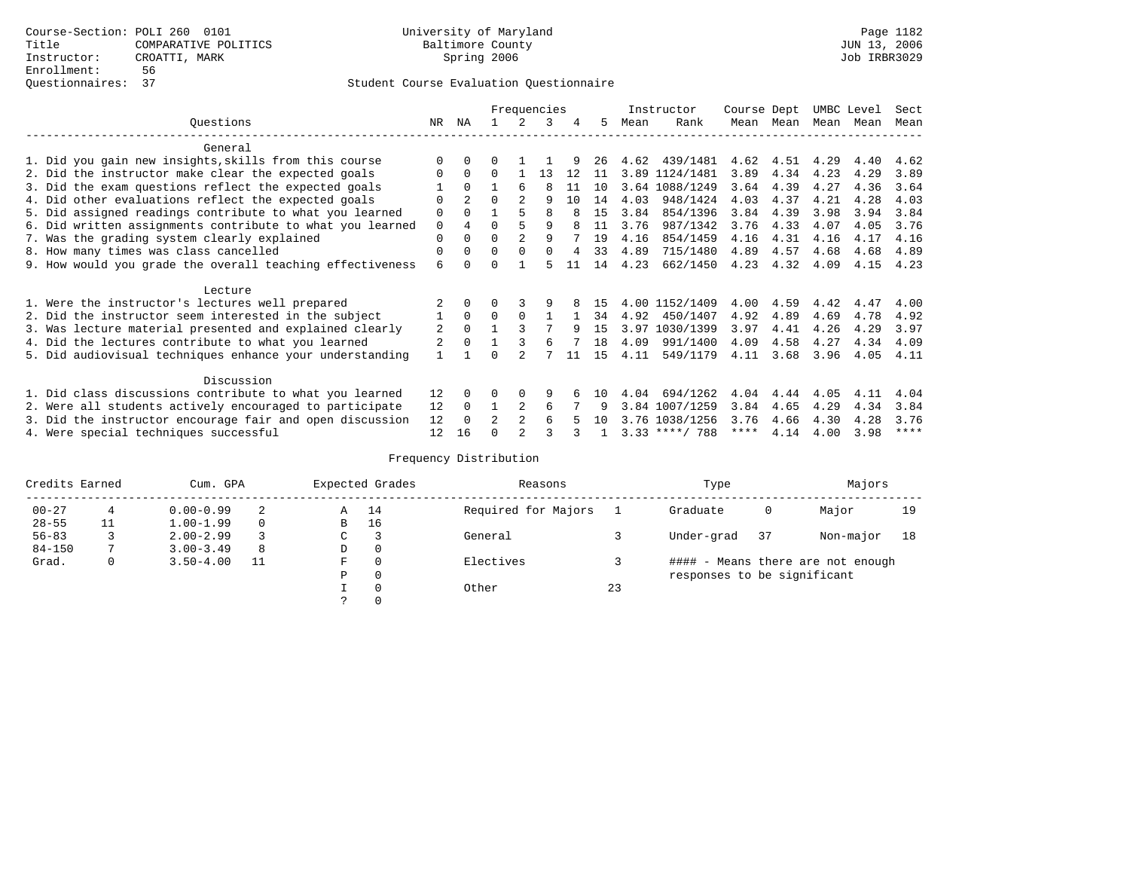|                                                           |          |                |          |                | Frequencies |    |     |      | Instructor       | Course Dept |           | UMBC Level |      | Sect |
|-----------------------------------------------------------|----------|----------------|----------|----------------|-------------|----|-----|------|------------------|-------------|-----------|------------|------|------|
| Ouestions                                                 | NR       | ΝA             |          |                | 3           | 4  | 5.  | Mean | Rank             |             | Mean Mean | Mean Mean  |      | Mean |
| General                                                   |          |                |          |                |             |    |     |      |                  |             |           |            |      |      |
| 1. Did you gain new insights, skills from this course     | $\Omega$ | $\Omega$       |          |                |             |    | 26  | 4.62 | 439/1481         | 4.62        | 4.51      | 4.29       | 4.40 | 4.62 |
| 2. Did the instructor make clear the expected goals       | O        | $\Omega$       | $\Omega$ |                | 13          | 12 | 11  |      | 3.89 1124/1481   | 3.89        | 4.34      | 4.23       | 4.29 | 3.89 |
| 3. Did the exam questions reflect the expected goals      |          | $\Omega$       |          | 6              | 8           | 11 | 10  |      | 3.64 1088/1249   | 3.64        | 4.39      | 4.27       | 4.36 | 3.64 |
| 4. Did other evaluations reflect the expected goals       | O        | $\overline{2}$ |          |                | 9           | 10 | 14  | 4.03 | 948/1424         | 4.03        | 4.37      | 4.21       | 4.28 | 4.03 |
| 5. Did assigned readings contribute to what you learned   | 0        | $\Omega$       |          |                | 8           | 8  | 15  | 3.84 | 854/1396         | 3.84        | 4.39      | 3.98       | 3.94 | 3.84 |
| 6. Did written assignments contribute to what you learned | $\Omega$ | 4              |          |                | 9           |    | 11  | 3.76 | 987/1342         | 3.76        | 4.33      | 4.07       | 4.05 | 3.76 |
| 7. Was the grading system clearly explained               | $\Omega$ | $\Omega$       | U        |                | q           |    | 19  | 4.16 | 854/1459         | 4.16        | 4.31      | 4.16       | 4.17 | 4.16 |
| 8. How many times was class cancelled                     | 0        | $\Omega$       | $\Omega$ | $\Omega$       | 0           |    | 33  | 4.89 | 715/1480         | 4.89        | 4.57      | 4.68       | 4.68 | 4.89 |
| 9. How would you grade the overall teaching effectiveness | 6        | <sup>n</sup>   | U        |                |             | 11 | 14  | 4.23 | 662/1450         | 4.23        | 4.32      | 4.09       | 4.15 | 4.23 |
| Lecture                                                   |          |                |          |                |             |    |     |      |                  |             |           |            |      |      |
| 1. Were the instructor's lectures well prepared           |          |                |          |                |             |    | 15  |      | 4.00 1152/1409   | 4.00        | 4.59      | 4.42       | 4.47 | 4.00 |
| 2. Did the instructor seem interested in the subject      |          | $\Omega$       | $\Omega$ | $\Omega$       |             |    | 34  | 4.92 | 450/1407         | 4.92        | 4.89      | 4.69       | 4.78 | 4.92 |
| 3. Was lecture material presented and explained clearly   | 2        | $\Omega$       |          |                |             | q  | 15  | 3.97 | 1030/1399        | 3.97        | 4.41      | 4.26       | 4.29 | 3.97 |
| 4. Did the lectures contribute to what you learned        | 2        | $\Omega$       |          |                | 6           |    | 18  | 4.09 | 991/1400         | 4.09        | 4.58      | 4.27       | 4.34 | 4.09 |
| 5. Did audiovisual techniques enhance your understanding  |          |                |          |                |             | 11 | 15  | 4.11 | 549/1179         | 4.11        | 3.68      | 3.96       | 4.05 | 4.11 |
| Discussion                                                |          |                |          |                |             |    |     |      |                  |             |           |            |      |      |
| 1. Did class discussions contribute to what you learned   | 12       | $\Omega$       |          | $\Omega$       | 9           |    | 1 O | 4.04 | 694/1262         | 4.04        | 4.44      | 4.05       | 4.11 | 4.04 |
| 2. Were all students actively encouraged to participate   | 12       | $\Omega$       |          | 2              | 6           |    |     | 3.84 | 1007/1259        | 3.84        | 4.65      | 4.29       | 4.34 | 3.84 |
| 3. Did the instructor encourage fair and open discussion  | 12       | $\Omega$       | 2        | $\mathfrak{D}$ | б           |    | 1 N |      | 3.76 1038/1256   | 3.76        | 4.66      | 4.30       | 4.28 | 3.76 |
| 4. Were special techniques successful                     | 12       | 16             |          |                |             |    |     |      | $3.33$ ****/ 788 | ****        | 4.14      | 4.00       | 3.98 | **** |

| Credits Earned |    | Cum. GPA      |   |    | Expected Grades | Reasons             |    | Type                        |     | Majors                            |    |
|----------------|----|---------------|---|----|-----------------|---------------------|----|-----------------------------|-----|-----------------------------------|----|
| $00 - 27$      |    | $0.00 - 0.99$ |   | Α  | 14              | Required for Majors |    | Graduate                    | 0   | Major                             | 19 |
| $28 - 55$      | 11 | $1.00 - 1.99$ |   | B  | 16              |                     |    |                             |     |                                   |    |
| $56 - 83$      |    | $2.00 - 2.99$ |   | C. |                 | General             |    | Under-grad                  | -37 | Non-major                         | 18 |
| $84 - 150$     |    | $3.00 - 3.49$ | 8 | D  | 0               |                     |    |                             |     |                                   |    |
| Grad.          | 0  | $3.50 - 4.00$ |   | F  | $\Omega$        | Electives           |    |                             |     | #### - Means there are not enough |    |
|                |    |               |   | Ρ  | 0               |                     |    | responses to be significant |     |                                   |    |
|                |    |               |   |    | $\Omega$        | Other               | 23 |                             |     |                                   |    |
|                |    |               |   |    |                 |                     |    |                             |     |                                   |    |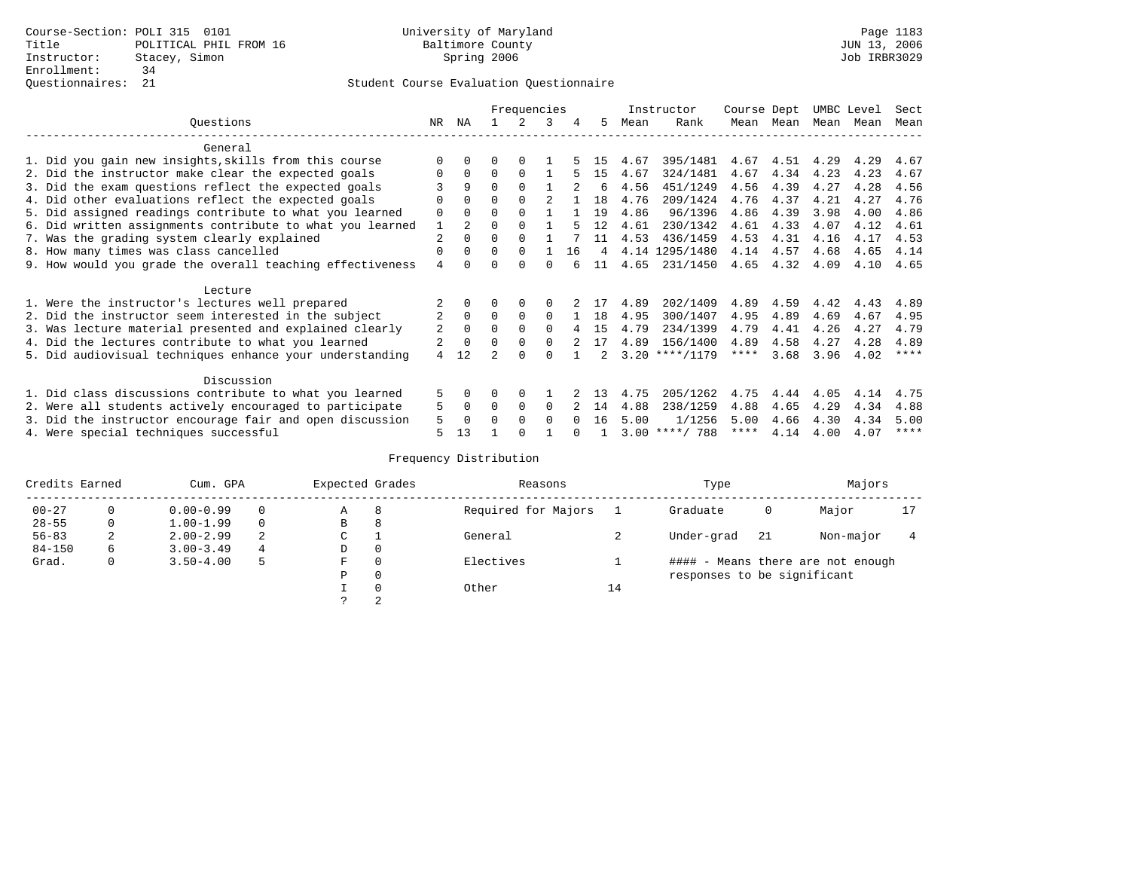|                                                           |     |                |          | Frequencies  |          |    |    |      | Instructor       | Course Dept |      | UMBC Level |      | Sect        |
|-----------------------------------------------------------|-----|----------------|----------|--------------|----------|----|----|------|------------------|-------------|------|------------|------|-------------|
| Ouestions                                                 | NR. | ΝA             |          |              | 3        | 4  | 5  | Mean | Rank             | Mean        | Mean | Mean       | Mean | Mean        |
| General                                                   |     |                |          |              |          |    |    |      |                  |             |      |            |      |             |
| 1. Did you gain new insights, skills from this course     |     | 0              | U        | $\Omega$     |          |    | 15 | 4.67 | 395/1481         | 4.67        | 4.51 | 4.29       | 4.29 | 4.67        |
| 2. Did the instructor make clear the expected goals       |     | $\Omega$       | $\Omega$ | $\Omega$     |          |    | 15 | 4.67 | 324/1481         | 4.67        | 4.34 | 4.23       | 4.23 | 4.67        |
| 3. Did the exam questions reflect the expected goals      |     | 9              | $\Omega$ | $\Omega$     |          |    | 6  | 4.56 | 451/1249         | 4.56        | 4.39 | 4.27       | 4.28 | 4.56        |
| 4. Did other evaluations reflect the expected goals       |     | $\Omega$       | O        |              |          |    | 18 | 4.76 | 209/1424         | 4.76        | 4.37 | 4.21       | 4.27 | 4.76        |
| 5. Did assigned readings contribute to what you learned   | 0   | $\Omega$       | U        | $\Omega$     |          |    | 19 | 4.86 | 96/1396          | 4.86        | 4.39 | 3.98       | 4.00 | 4.86        |
| 6. Did written assignments contribute to what you learned | 1   | $\mathfrak{D}$ | U        |              |          |    | 12 | 4.61 | 230/1342         | 4.61        | 4.33 | 4.07       | 4.12 | 4.61        |
| 7. Was the grading system clearly explained               | 2   |                |          | <sup>0</sup> |          |    | 11 | 4.53 | 436/1459         | 4.53        | 4.31 | 4.16       | 4.17 | 4.53        |
| 8. How many times was class cancelled                     | 0   | $\Omega$       | 0        | $\Omega$     |          | 16 | 4  |      | 4.14 1295/1480   | 4.14        | 4.57 | 4.68       | 4.65 | 4.14        |
| 9. How would you grade the overall teaching effectiveness | 4   |                |          | <sup>n</sup> |          |    | 11 | 4.65 | 231/1450         | 4.65        | 4.32 | 4.09       | 4.10 | 4.65        |
| Lecture                                                   |     |                |          |              |          |    |    |      |                  |             |      |            |      |             |
| 1. Were the instructor's lectures well prepared           |     |                |          |              |          |    |    | 4.89 | 202/1409         | 4.89        | 4.59 | 4.42       | 4.43 | 4.89        |
| 2. Did the instructor seem interested in the subject      | 2   | $\mathbf 0$    | $\Omega$ | $\Omega$     | $\Omega$ |    | 18 | 4.95 | 300/1407         | 4.95        | 4.89 | 4.69       | 4.67 | 4.95        |
| 3. Was lecture material presented and explained clearly   | 2   | $\Omega$       | O        | $\Omega$     | $\Omega$ |    | 15 | 4.79 | 234/1399         | 4.79        | 4.41 | 4.26       | 4.27 | 4.79        |
| 4. Did the lectures contribute to what you learned        | 2   |                |          | $\Omega$     | 0        |    | 17 | 4.89 | 156/1400         | 4.89        | 4.58 | 4.27       | 4.28 | 4.89        |
| 5. Did audiovisual techniques enhance your understanding  | 4   | 12             |          |              |          |    |    |      | $3.20$ ****/1179 | ****        | 3.68 | 3.96       | 4.02 | $* * * *$   |
| Discussion                                                |     |                |          |              |          |    |    |      |                  |             |      |            |      |             |
| 1. Did class discussions contribute to what you learned   | 5.  | 0              | U        | <sup>0</sup> |          |    |    | 4.75 | 205/1262         | 4.75        | 4.44 | 4.05       | 4.14 | 4.75        |
| 2. Were all students actively encouraged to participate   | 5   | 0              | 0        | $\Omega$     | $\Omega$ |    | 14 | 4.88 | 238/1259         | 4.88        | 4.65 | 4.29       | 4.34 | 4.88        |
| 3. Did the instructor encourage fair and open discussion  | 5   | $\Omega$       |          | $\Omega$     | 0        |    | 16 | 5.00 | 1/1256           | 5.00        | 4.66 | 4.30       | 4.34 | 5.00        |
| 4. Were special techniques successful                     | 5   | 13             |          |              |          |    |    |      | $3.00$ ****/ 788 | ****        | 4.14 | 4.00       | 4.07 | $***$ * * * |

| Credits Earned |   | Cum. GPA      |   | Expected Grades |          | Reasons             |    | Type                        |     | Majors                            |  |
|----------------|---|---------------|---|-----------------|----------|---------------------|----|-----------------------------|-----|-----------------------------------|--|
| $00 - 27$      | 0 | $0.00 - 0.99$ |   | Α               | 8        | Required for Majors |    | Graduate                    | 0   | Major                             |  |
| $28 - 55$      | 0 | $1.00 - 1.99$ |   | B               | 8        |                     |    |                             |     |                                   |  |
| $56 - 83$      | 2 | $2.00 - 2.99$ | 2 | ◡               |          | General             |    | Under-grad                  | -21 | Non-major                         |  |
| $84 - 150$     | 6 | $3.00 - 3.49$ | 4 | D               | 0        |                     |    |                             |     |                                   |  |
| Grad.          | 0 | $3.50 - 4.00$ | 5 | F               | 0        | Electives           |    |                             |     | #### - Means there are not enough |  |
|                |   |               |   | Ρ               | 0        |                     |    | responses to be significant |     |                                   |  |
|                |   |               |   |                 | $\Omega$ | Other               | 14 |                             |     |                                   |  |
|                |   |               |   |                 | 2        |                     |    |                             |     |                                   |  |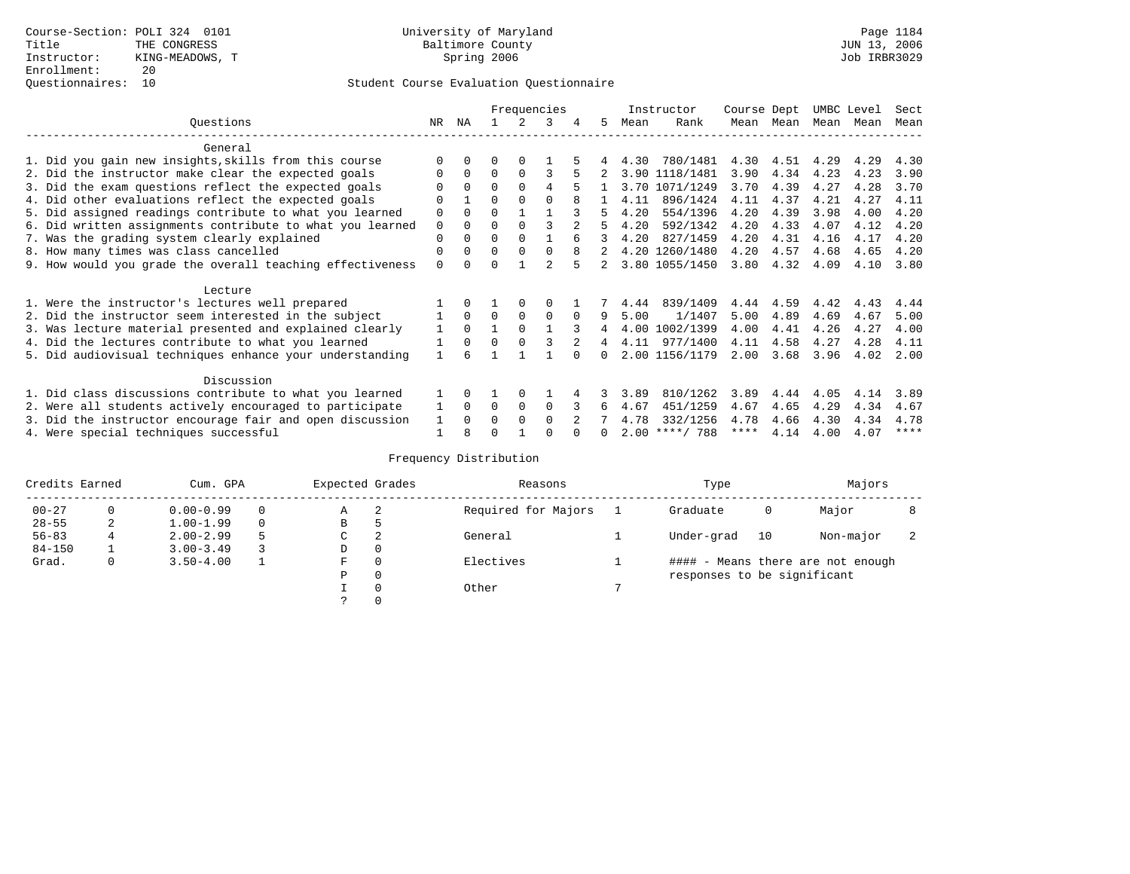|                                                           |             |              |          |             | Frequencies    |          |    |      | Instructor       | Course Dept |      | UMBC Level |      | Sect |
|-----------------------------------------------------------|-------------|--------------|----------|-------------|----------------|----------|----|------|------------------|-------------|------|------------|------|------|
| Ouestions                                                 | NR.         | ΝA           |          |             | 3              | 4        | 5. | Mean | Rank             | Mean        | Mean | Mean       | Mean | Mean |
| General                                                   |             |              |          |             |                |          |    |      |                  |             |      |            |      |      |
| 1. Did you gain new insights, skills from this course     |             | $\Omega$     | O        | $\Omega$    |                |          |    | 4.30 | 780/1481         | 4.30        | 4.51 | 4.29       | 4.29 | 4.30 |
| 2. Did the instructor make clear the expected goals       | O           | $\Omega$     | $\Omega$ | $\Omega$    | 3              |          |    |      | 3.90 1118/1481   | 3.90        | 4.34 | 4.23       | 4.23 | 3.90 |
| 3. Did the exam questions reflect the expected goals      |             | $\Omega$     | $\Omega$ | $\Omega$    | 4              |          |    |      | 3.70 1071/1249   | 3.70        | 4.39 | 4.27       | 4.28 | 3.70 |
| 4. Did other evaluations reflect the expected goals       | O           |              | $\Omega$ | $\Omega$    | $\Omega$       |          |    | 4.11 | 896/1424         | 4.11        | 4.37 | 4.21       | 4.27 | 4.11 |
| 5. Did assigned readings contribute to what you learned   | $\mathbf 0$ | $\Omega$     | $\Omega$ |             |                |          |    | 4.20 | 554/1396         | 4.20        | 4.39 | 3.98       | 4.00 | 4.20 |
| 6. Did written assignments contribute to what you learned | $\mathbf 0$ | $\Omega$     | $\Omega$ |             |                |          | 5  | 4.20 | 592/1342         | 4.20        | 4.33 | 4.07       | 4.12 | 4.20 |
| 7. Was the grading system clearly explained               | $\Omega$    |              | $\Omega$ | $\Omega$    |                |          |    | 4.20 | 827/1459         | 4.20        | 4.31 | 4.16       | 4.17 | 4.20 |
| 8. How many times was class cancelled                     | 0           | $\Omega$     | $\Omega$ | $\Omega$    | $\Omega$       | 8        |    |      | 4.20 1260/1480   | 4.20        | 4.57 | 4.68       | 4.65 | 4.20 |
| 9. How would you grade the overall teaching effectiveness | $\Omega$    | <sup>n</sup> | U        |             | $\mathfrak{D}$ |          |    |      | 3.80 1055/1450   | 3.80        | 4.32 | 4.09       | 4.10 | 3.80 |
|                                                           |             |              |          |             |                |          |    |      |                  |             |      |            |      |      |
| Lecture                                                   |             |              |          |             |                |          |    |      |                  |             |      |            |      |      |
| 1. Were the instructor's lectures well prepared           |             |              |          |             | $\Omega$       |          |    | 4.44 | 839/1409         | 4.44        | 4.59 | 4.42       | 4.43 | 4.44 |
| 2. Did the instructor seem interested in the subject      |             | $\Omega$     | $\Omega$ | $\mathbf 0$ | $\Omega$       | $\Omega$ | 9  | 5.00 | 1/1407           | 5.00        | 4.89 | 4.69       | 4.67 | 5.00 |
| 3. Was lecture material presented and explained clearly   |             | $\Omega$     |          | $\Omega$    |                |          | 4  | 4.00 | 1002/1399        | 4.00        | 4.41 | 4.26       | 4.27 | 4.00 |
| 4. Did the lectures contribute to what you learned        |             | $\Omega$     | $\Omega$ | $\Omega$    |                |          | 4  | 4.11 | 977/1400         | 4.11        | 4.58 | 4.27       | 4.28 | 4.11 |
| 5. Did audiovisual techniques enhance your understanding  |             |              |          |             |                |          |    |      | 2.00 1156/1179   | 2.00        | 3.68 | 3.96       | 4.02 | 2.00 |
|                                                           |             |              |          |             |                |          |    |      |                  |             |      |            |      |      |
| Discussion                                                |             |              |          |             |                |          |    |      |                  |             |      |            |      |      |
| 1. Did class discussions contribute to what you learned   |             | $\Omega$     |          | $\Omega$    |                |          |    | 3.89 | 810/1262         | 3.89        | 4.44 | 4.05       | 4.14 | 3.89 |
| 2. Were all students actively encouraged to participate   |             | $\Omega$     | $\Omega$ | $\mathbf 0$ | $\Omega$       |          | 6  | 4.67 | 451/1259         | 4.67        | 4.65 | 4.29       | 4.34 | 4.67 |
| 3. Did the instructor encourage fair and open discussion  | 1           | $\Omega$     | 0        | $\Omega$    | $\Omega$       |          |    | 4.78 | 332/1256         | 4.78        | 4.66 | 4.30       | 4.34 | 4.78 |
| 4. Were special techniques successful                     |             |              |          |             |                |          |    |      | $2.00$ ****/ 788 | ****        | 4.14 | 4.00       | 4.07 | **** |

| Credits Earned |          | Cum. GPA      | Expected Grades |          | Reasons             | Type                        |    | Majors                            |  |
|----------------|----------|---------------|-----------------|----------|---------------------|-----------------------------|----|-----------------------------------|--|
| $00 - 27$      | $\Omega$ | $0.00 - 0.99$ | А               | -2       | Required for Majors | Graduate                    | 0  | Major                             |  |
| $28 - 55$      | 2        | $1.00 - 1.99$ | В               | 5        |                     |                             |    |                                   |  |
| $56 - 83$      |          | $2.00 - 2.99$ | C               | 2        | General             | Under-grad                  | 10 | Non-major                         |  |
| $84 - 150$     |          | $3.00 - 3.49$ | D               | 0        |                     |                             |    |                                   |  |
| Grad.          | 0        | $3.50 - 4.00$ | F               | 0        | Electives           |                             |    | #### - Means there are not enough |  |
|                |          |               | Ρ               | 0        |                     | responses to be significant |    |                                   |  |
|                |          |               |                 | $\Omega$ | Other               |                             |    |                                   |  |
|                |          |               |                 |          |                     |                             |    |                                   |  |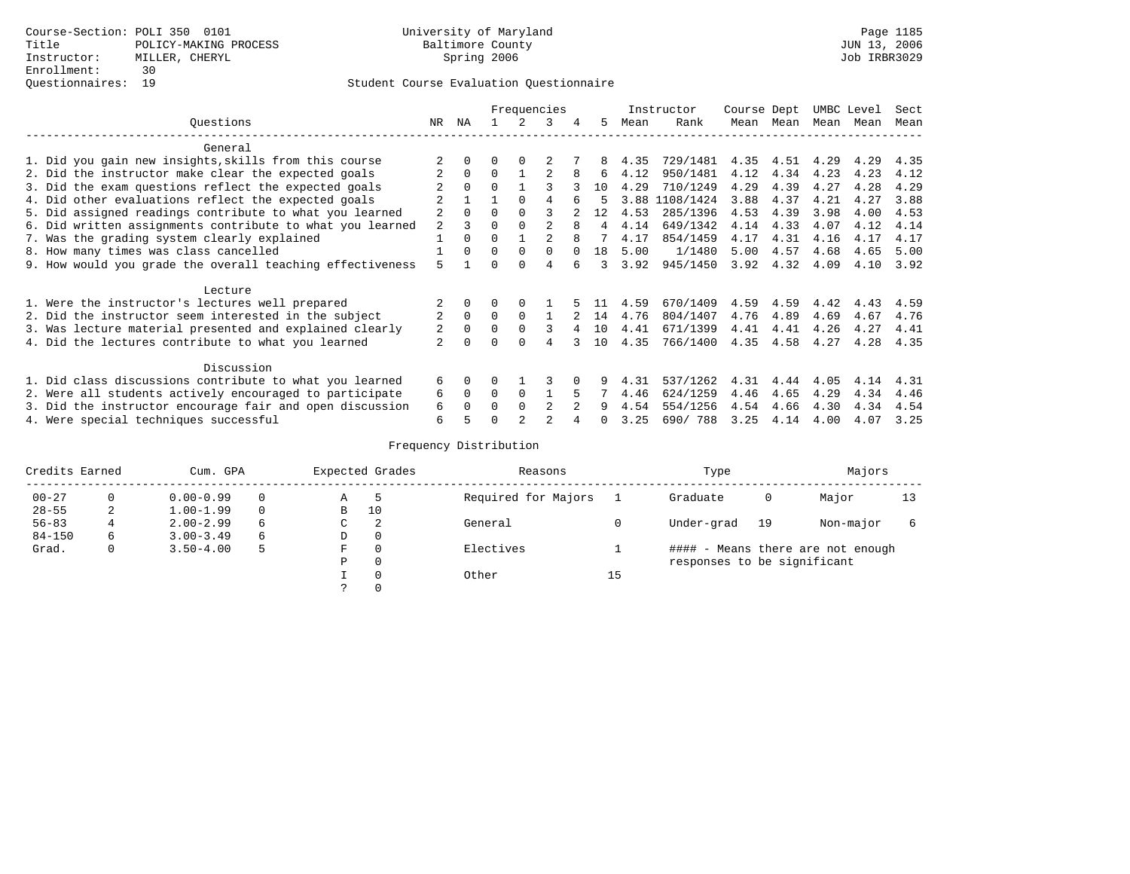|                                                           |                |          |          |          | Frequencies |   |     |      | Instructor | Course Dept |           |      | UMBC Level | Sect |
|-----------------------------------------------------------|----------------|----------|----------|----------|-------------|---|-----|------|------------|-------------|-----------|------|------------|------|
| Ouestions                                                 | NR             | ΝA       |          |          | 3           | 4 | 5.  | Mean | Rank       | Mean        | Mean      | Mean | Mean       | Mean |
| General                                                   |                |          |          |          |             |   |     |      |            |             |           |      |            |      |
| 1. Did you gain new insights, skills from this course     |                |          |          |          |             |   | 8   | 4.35 | 729/1481   |             | 4.35 4.51 | 4.29 | 4.29       | 4.35 |
| 2. Did the instructor make clear the expected goals       |                | $\Omega$ | $\Omega$ |          |             |   |     | 4.12 | 950/1481   | 4.12        | 4.34      | 4.23 | 4.23       | 4.12 |
| 3. Did the exam questions reflect the expected goals      |                |          | $\Omega$ |          |             |   | 10  | 4.29 | 710/1249   | 4.29        | 4.39      | 4.27 | 4.28       | 4.29 |
| 4. Did other evaluations reflect the expected goals       |                |          |          |          |             |   |     | 3.88 | 1108/1424  | 3.88        | 4.37      | 4.21 | 4.27       | 3.88 |
| 5. Did assigned readings contribute to what you learned   | $\mathfrak{D}$ | $\Omega$ | $\Omega$ |          |             |   | 12  | 4.53 | 285/1396   | 4.53        | 4.39      | 3.98 | 4.00       | 4.53 |
| 6. Did written assignments contribute to what you learned | 2              | 3        | $\Omega$ |          |             |   | 4   | 4.14 | 649/1342   | 4.14        | 4.33      | 4.07 | 4.12       | 4.14 |
| 7. Was the grading system clearly explained               |                | $\Omega$ | $\Omega$ |          |             |   |     | 4.17 | 854/1459   | 4.17        | 4.31      | 4.16 | 4.17       | 4.17 |
| 8. How many times was class cancelled                     |                | $\cap$   | $\Omega$ | $\cap$   |             |   | 1 R | 5.00 | 1/1480     | 5.00        | 4.57      | 4.68 | 4.65       | 5.00 |
| 9. How would you grade the overall teaching effectiveness |                |          | ∩        |          |             |   | 3   | 3.92 | 945/1450   | 3.92        | 4.32      | 4.09 | 4.10       | 3.92 |
| Lecture                                                   |                |          |          |          |             |   |     |      |            |             |           |      |            |      |
| 1. Were the instructor's lectures well prepared           |                |          |          |          |             |   |     | 4.59 | 670/1409   | 4.59        | 4.59      | 4.42 | 4.43       | 4.59 |
| 2. Did the instructor seem interested in the subject      |                | $\Omega$ | $\Omega$ | $\Omega$ |             |   | 14  | 4.76 | 804/1407   | 4.76        | 4.89      | 4.69 | 4.67       | 4.76 |
| 3. Was lecture material presented and explained clearly   | 2              |          |          |          |             |   | 10  | 4.41 | 671/1399   | 4.41        | 4.41      | 4.26 | 4.27       | 4.41 |
| 4. Did the lectures contribute to what you learned        | $\mathfrak{D}$ |          |          |          |             |   | 1 O | 4.35 | 766/1400   | 4.35        | 4.58      | 4.27 | 4.28       | 4.35 |
| Discussion                                                |                |          |          |          |             |   |     |      |            |             |           |      |            |      |
| 1. Did class discussions contribute to what you learned   | 6              | $\Omega$ |          |          |             |   |     | 4.31 | 537/1262   | 4.31        | 4.44      | 4.05 | 4.14       | 4.31 |
| 2. Were all students actively encouraged to participate   | 6              | $\Omega$ | $\Omega$ | $\Omega$ |             |   |     | 4.46 | 624/1259   | 4.46        | 4.65      | 4.29 | 4.34       | 4.46 |
| 3. Did the instructor encourage fair and open discussion  | 6              |          | ∩        |          |             |   |     | 4.54 | 554/1256   | 4.54        | 4.66      | 4.30 | 4.34       | 4.54 |
| 4. Were special techniques successful                     | 6              |          | ∩        |          |             |   |     | 3.25 | 690/788    | 3.25        | 4.14      | 4.00 | 4.07       | 3.25 |

| Credits Earned |   | Cum. GPA      |          |   | Expected Grades | Reasons             |    | Type                        |    | Majors                            |    |
|----------------|---|---------------|----------|---|-----------------|---------------------|----|-----------------------------|----|-----------------------------------|----|
| $00 - 27$      |   | $0.00 - 0.99$ | $\Omega$ | Α |                 | Required for Majors |    | Graduate                    | 0  | Major                             | 13 |
| $28 - 55$      | 2 | $1.00 - 1.99$ | $\Omega$ | B | 10              |                     |    |                             |    |                                   |    |
| $56 - 83$      |   | $2.00 - 2.99$ | 6        | C | 2               | General             |    | Under-grad                  | 19 | Non-major                         |    |
| $84 - 150$     | 6 | $3.00 - 3.49$ | 6        | D | $\circ$         |                     |    |                             |    |                                   |    |
| Grad.          | 0 | $3.50 - 4.00$ |          | F | $\Omega$        | Electives           |    |                             |    | #### - Means there are not enough |    |
|                |   |               |          | P | $\Omega$        |                     |    | responses to be significant |    |                                   |    |
|                |   |               |          |   | $\Omega$        | Other               | 15 |                             |    |                                   |    |
|                |   |               |          |   |                 |                     |    |                             |    |                                   |    |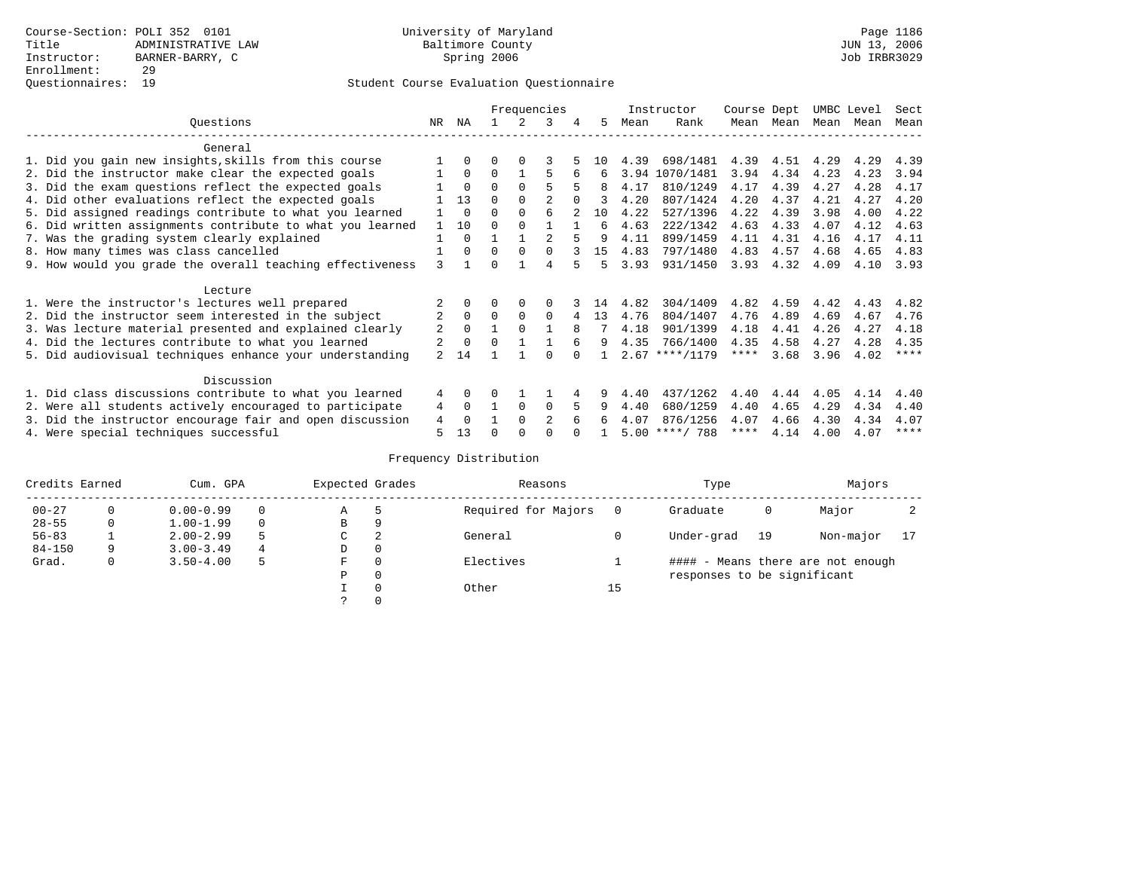|                                                           |                |          |          |          | Frequencies    |   |     |      | Instructor       | Course Dept |      | UMBC Level |      | Sect        |
|-----------------------------------------------------------|----------------|----------|----------|----------|----------------|---|-----|------|------------------|-------------|------|------------|------|-------------|
| Ouestions                                                 | NR.            | ΝA       |          |          | 3              | 4 | 5.  | Mean | Rank             | Mean        | Mean | Mean       | Mean | Mean        |
| General                                                   |                |          |          |          |                |   |     |      |                  |             |      |            |      |             |
| 1. Did you gain new insights, skills from this course     |                | $\Omega$ | O        | $\Omega$ |                |   | 1 O | 4.39 | 698/1481         | 4.39        | 4.51 | 4.29       | 4.29 | 4.39        |
| 2. Did the instructor make clear the expected goals       |                | $\Omega$ | $\Omega$ |          | 5              | 6 | 6   | 3.94 | 1070/1481        | 3.94        | 4.34 | 4.23       | 4.23 | 3.94        |
| 3. Did the exam questions reflect the expected goals      |                | $\Omega$ | $\Omega$ | $\Omega$ |                |   |     | 4.17 | 810/1249         | 4.17        | 4.39 | 4.27       | 4.28 | 4.17        |
| 4. Did other evaluations reflect the expected goals       |                | 13       | $\Omega$ | $\Omega$ | 2              |   | 3   | 4.20 | 807/1424         | 4.20        | 4.37 | 4.21       | 4.27 | 4.20        |
| 5. Did assigned readings contribute to what you learned   |                | $\Omega$ | 0        | $\Omega$ | 6              |   | 10  | 4.22 | 527/1396         | 4.22        | 4.39 | 3.98       | 4.00 | 4.22        |
| 6. Did written assignments contribute to what you learned | 1              | 10       | $\cap$   |          |                |   | 6   | 4.63 | 222/1342         | 4.63        | 4.33 | 4.07       | 4.12 | 4.63        |
| 7. Was the grading system clearly explained               |                | $\Omega$ |          |          |                |   | q   | 4.11 | 899/1459         | 4.11        | 4.31 | 4.16       | 4.17 | 4.11        |
| 8. How many times was class cancelled                     |                | $\Omega$ | $\Omega$ | $\Omega$ | $\cap$         |   | 15  | 4.83 | 797/1480         | 4.83        | 4.57 | 4.68       | 4.65 | 4.83        |
| 9. How would you grade the overall teaching effectiveness | 3              |          | ∩        |          | 4              |   | 5   | 3.93 | 931/1450         | 3.93        | 4.32 | 4.09       | 4.10 | 3.93        |
|                                                           |                |          |          |          |                |   |     |      |                  |             |      |            |      |             |
| Lecture                                                   |                |          |          |          |                |   |     |      |                  |             |      |            |      |             |
| 1. Were the instructor's lectures well prepared           |                |          |          | $\Omega$ |                |   | 14  | 4.82 | 304/1409         | 4.82        | 4.59 | 4.42       | 4.43 | 4.82        |
| 2. Did the instructor seem interested in the subject      | $\overline{2}$ | $\Omega$ | $\Omega$ | $\Omega$ | $\Omega$       |   | 13  | 4.76 | 804/1407         | 4.76        | 4.89 | 4.69       | 4.67 | 4.76        |
| 3. Was lecture material presented and explained clearly   | 2              | $\Omega$ |          | $\Omega$ |                | 8 |     | 4.18 | 901/1399         | 4.18        | 4.41 | 4.26       | 4.27 | 4.18        |
| 4. Did the lectures contribute to what you learned        |                | $\Omega$ | $\Omega$ |          |                |   | 9   | 4.35 | 766/1400         | 4.35        | 4.58 | 4.27       | 4.28 | 4.35        |
| 5. Did audiovisual techniques enhance your understanding  | $\mathfrak{D}$ | 14       |          |          |                |   |     |      | $2.67$ ****/1179 | $***$ * *   | 3.68 | 3.96       | 4.02 | $* * * * *$ |
|                                                           |                |          |          |          |                |   |     |      |                  |             |      |            |      |             |
| Discussion                                                |                |          |          |          |                |   |     |      |                  |             |      |            |      |             |
| 1. Did class discussions contribute to what you learned   |                | $\Omega$ | U        |          |                |   |     | 4.40 | 437/1262         | 4.40        | 4.44 | 4.05       | 4.14 | 4.40        |
| 2. Were all students actively encouraged to participate   |                |          |          | $\Omega$ | $\Omega$       |   | 9   | 4.40 | 680/1259         | 4.40        | 4.65 | 4.29       | 4.34 | 4.40        |
| 3. Did the instructor encourage fair and open discussion  |                |          |          | $\Omega$ | $\mathfrak{D}$ |   |     | 4.07 | 876/1256         | 4.07        | 4.66 | 4.30       | 4.34 | 4.07        |
| 4. Were special techniques successful                     | 5              | 13       |          |          |                |   |     |      | $5.00$ ****/ 788 | ****        | 4.14 | 4.00       | 4.07 | ****        |

| Credits Earned |          | Cum. GPA      |   |   | Expected Grades | Reasons             |    | Type                        | Majors |                                   |  |
|----------------|----------|---------------|---|---|-----------------|---------------------|----|-----------------------------|--------|-----------------------------------|--|
| $00 - 27$      | $\Omega$ | $0.00 - 0.99$ |   | Α | 5               | Required for Majors | 0  | Graduate                    | 0      | Major                             |  |
| $28 - 55$      | 0        | $1.00 - 1.99$ |   | В | 9               |                     |    |                             |        |                                   |  |
| $56 - 83$      |          | $2.00 - 2.99$ |   | C | 2               | General             |    | Under-grad                  | 19     | Non-major                         |  |
| $84 - 150$     | 9        | $3.00 - 3.49$ | 4 | D | 0               |                     |    |                             |        |                                   |  |
| Grad.          | 0        | $3.50 - 4.00$ | 5 | F | 0               | Electives           |    |                             |        | #### - Means there are not enough |  |
|                |          |               |   | Ρ | 0               |                     |    | responses to be significant |        |                                   |  |
|                |          |               |   |   | $\Omega$        | Other               | 15 |                             |        |                                   |  |
|                |          |               |   |   |                 |                     |    |                             |        |                                   |  |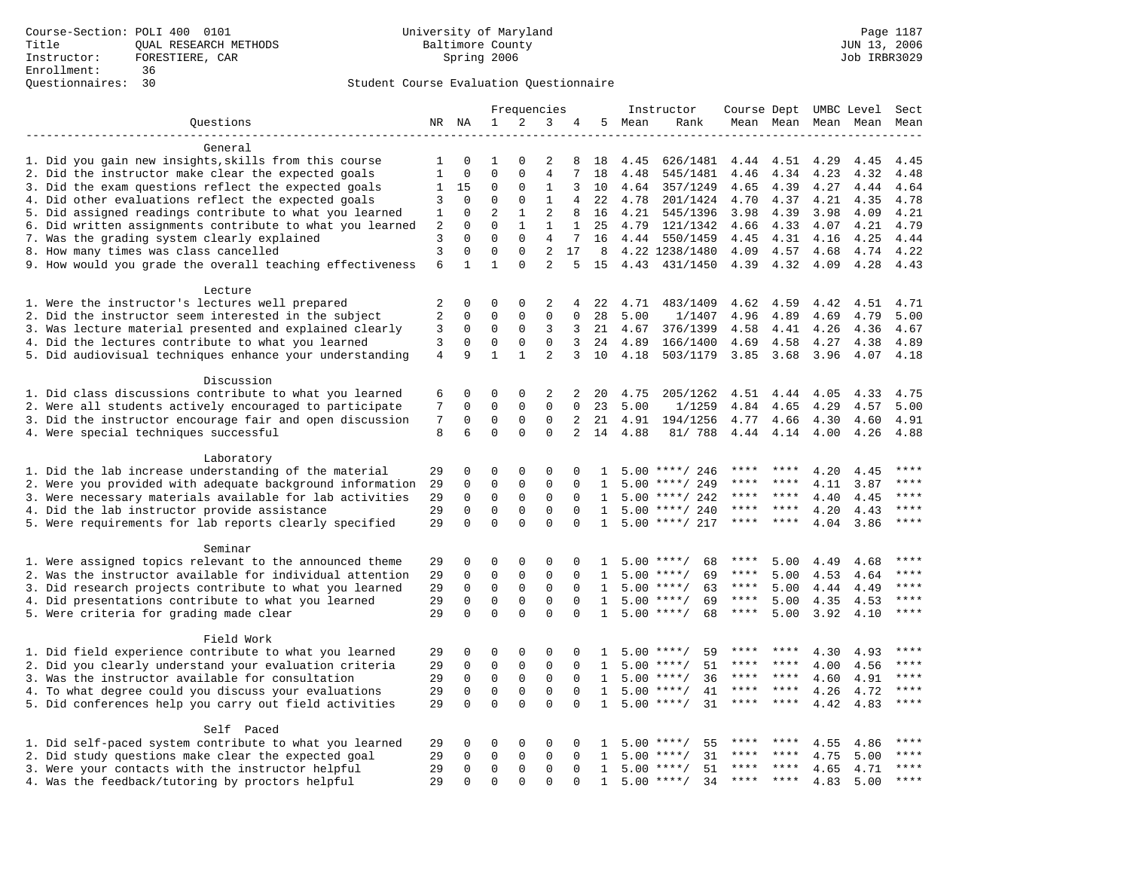|                                                           |                |              |                | Frequencies  |                |                |              |      | Instructor         | Course Dept UMBC Level |         |      |           | Sect        |
|-----------------------------------------------------------|----------------|--------------|----------------|--------------|----------------|----------------|--------------|------|--------------------|------------------------|---------|------|-----------|-------------|
| Ouestions                                                 |                | NR NA        | 1              | 2            | 3              | 4              | 5            | Mean | Rank               | Mean Mean              |         |      | Mean Mean | Mean        |
|                                                           |                |              |                |              |                |                |              |      |                    |                        |         |      |           |             |
| General                                                   |                |              |                |              |                |                |              |      |                    |                        |         |      |           |             |
| 1. Did you gain new insights, skills from this course     | 1              | $\mathbf 0$  | 1              | $\Omega$     | 2              | 8              | 18           | 4.45 | 626/1481           | 4.44                   | 4.51    | 4.29 | 4.45      | 4.45        |
| 2. Did the instructor make clear the expected goals       | 1              | 0            | $\mathbf 0$    | $\mathbf{0}$ | $\overline{4}$ | 7              | 18           | 4.48 | 545/1481           | 4.46                   | 4.34    | 4.23 | 4.32      | 4.48        |
| 3. Did the exam questions reflect the expected goals      | 1              | 15           | 0              | 0            | 1              | 3              | 10           | 4.64 | 357/1249           | 4.65                   | 4.39    | 4.27 | 4.44      | 4.64        |
| 4. Did other evaluations reflect the expected goals       | 3              | $\mathbf{0}$ | $\mathbf 0$    | $\mathbf{0}$ | $\mathbf{1}$   | $\overline{4}$ | 22           | 4.78 | 201/1424           | 4.70                   | 4.37    | 4.21 | 4.35      | 4.78        |
| 5. Did assigned readings contribute to what you learned   | 1              | $\mathbf 0$  | $\overline{2}$ | $\mathbf{1}$ | $\overline{2}$ | 8              | 16           | 4.21 | 545/1396           | 3.98                   | 4.39    | 3.98 | 4.09      | 4.21        |
| 6. Did written assignments contribute to what you learned | $\overline{2}$ | $\mathbf 0$  | $\mathbf 0$    | $\mathbf{1}$ | $\mathbf{1}$   | $\mathbf{1}$   | 25           | 4.79 | 121/1342           | 4.66                   | 4.33    | 4.07 | 4.21      | 4.79        |
| 7. Was the grading system clearly explained               | 3              | $\mathbf{0}$ | $\mathbf 0$    | $\mathbf 0$  | $\overline{4}$ | 7              | 16           | 4.44 | 550/1459           | 4.45                   | 4.31    | 4.16 | 4.25      | 4.44        |
| 8. How many times was class cancelled                     | 3              | $\mathbf 0$  | $\mathbf 0$    | $\mathbf{0}$ | 2              | 17             | 8            |      | 4.22 1238/1480     | 4.09                   | 4.57    | 4.68 | 4.74      | 4.22        |
| 9. How would you grade the overall teaching effectiveness | 6              | $\mathbf{1}$ | $\mathbf{1}$   | $\Omega$     | $\overline{a}$ | 5              | 15           | 4.43 | 431/1450           | 4.39                   | 4.32    | 4.09 | 4.28      | 4.43        |
| Lecture                                                   |                |              |                |              |                |                |              |      |                    |                        |         |      |           |             |
| 1. Were the instructor's lectures well prepared           | $\overline{2}$ | $\mathbf 0$  | $\mathbf 0$    | $\mathbf{0}$ | 2              | 4              | 22           | 4.71 | 483/1409           | 4.62                   | 4.59    | 4.42 | 4.51      | 4.71        |
| 2. Did the instructor seem interested in the subject      | 2              | $\mathbf 0$  | $\mathbf 0$    | 0            | $\mathbf 0$    | 0              | 28           | 5.00 | 1/1407             | 4.96                   | 4.89    | 4.69 | 4.79      | 5.00        |
| 3. Was lecture material presented and explained clearly   | 3              | 0            | 0              | 0            | 3              | 3              | 21           | 4.67 | 376/1399           | 4.58                   | 4.41    | 4.26 | 4.36      | 4.67        |
| 4. Did the lectures contribute to what you learned        | 3              | $\mathbf 0$  | $\mathbf 0$    | $\mathbf 0$  | $\mathbf 0$    | 3              | 24           | 4.89 | 166/1400           | 4.69                   | 4.58    | 4.27 | 4.38      | 4.89        |
| 5. Did audiovisual techniques enhance your understanding  | $\overline{4}$ | 9            | $\mathbf{1}$   | $\mathbf{1}$ | $\overline{2}$ | 3              | 10           | 4.18 | 503/1179           | 3.85                   | 3.68    | 3.96 | 4.07 4.18 |             |
| Discussion                                                |                |              |                |              |                |                |              |      |                    |                        |         |      |           |             |
| 1. Did class discussions contribute to what you learned   | 6              | 0            | 0              | 0            | 2              | 2              | 20           | 4.75 | 205/1262           | 4.51                   | 4.44    | 4.05 | 4.33      | 4.75        |
| 2. Were all students actively encouraged to participate   | 7              | $\Omega$     | $\Omega$       | $\Omega$     | $\Omega$       | $\Omega$       | 23           | 5.00 | 1/1259             | 4.84                   | 4.65    | 4.29 | 4.57      | 5.00        |
| 3. Did the instructor encourage fair and open discussion  | 7              | $\mathbf 0$  | $\mathbf 0$    | $\mathbf{0}$ | $\mathbf 0$    | $\overline{2}$ | 21           | 4.91 | 194/1256           | 4.77                   | 4.66    | 4.30 | 4.60      | 4.91        |
| 4. Were special techniques successful                     | 8              | 6            | $\mathbf 0$    | $\mathbf{0}$ | $\mathbf 0$    | $\overline{a}$ | 14           | 4.88 | 81/ 788            | 4.44 4.14              |         | 4.00 | 4.26      | 4.88        |
|                                                           |                |              |                |              |                |                |              |      |                    |                        |         |      |           |             |
| Laboratory                                                |                |              |                |              |                |                |              |      |                    |                        |         |      |           |             |
| 1. Did the lab increase understanding of the material     | 29             | $\mathbf 0$  | 0              | $\mathbf 0$  | $\Omega$       | 0              | 1            |      | $5.00$ ****/ 246   | ****                   | ****    | 4.20 | 4.45      | $* * * *$   |
| 2. Were you provided with adequate background information | 29             | $\Omega$     | $\mathbf 0$    | $\mathbf{0}$ | $\mathbf 0$    | $\Omega$       | $\mathbf{1}$ | 5.00 | ****/ 249          | ****                   | ****    | 4.11 | 3.87      | ****        |
| 3. Were necessary materials available for lab activities  | 29             | $\mathbf 0$  | $\mathbf 0$    | $\mathbf{0}$ | $\mathbf{0}$   | 0              | 1            | 5.00 | ****/ 242          | ****                   | ****    | 4.40 | 4.45      | $***$       |
| 4. Did the lab instructor provide assistance              | 29             | $\mathsf 0$  | $\mathbf 0$    | $\mathsf 0$  | $\mathsf 0$    | $\Omega$       | $\mathbf{1}$ |      | $5.00$ ****/ 240   | ****                   | $***$ * | 4.20 | 4.43      | $***$       |
| 5. Were requirements for lab reports clearly specified    | 29             | $\mathbf 0$  | $\mathbf 0$    | $\Omega$     | $\mathbf 0$    | $\Omega$       | $\mathbf{1}$ |      | $5.00$ ****/ 217   | ****                   | ****    | 4.04 | 3.86      | $***$       |
| Seminar                                                   |                |              |                |              |                |                |              |      |                    |                        |         |      |           |             |
| 1. Were assigned topics relevant to the announced theme   | 29             | $\mathbf 0$  | 0              | $\Omega$     | $\Omega$       | $\Omega$       | 1.           |      | $5.00$ ****/<br>68 | ****                   | 5.00    | 4.49 | 4.68      | ****        |
| 2. Was the instructor available for individual attention  | 29             | $\mathbf 0$  | 0              | $\mathsf 0$  | $\mathsf 0$    | 0              | 1            |      | $5.00$ ****/<br>69 | ****                   | 5.00    | 4.53 | 4.64      | ****        |
| 3. Did research projects contribute to what you learned   | 29             | $\mathbf 0$  | $\mathbf 0$    | $\mathbf{0}$ | $\mathbf 0$    | $\mathbf 0$    | $\mathbf{1}$ |      | $5.00$ ****/<br>63 | $***$ * * *            | 5.00    | 4.44 | 4.49      |             |
| 4. Did presentations contribute to what you learned       | 29             | $\mathbf{0}$ | $\mathbf 0$    | $\mathsf 0$  | $\mathbf 0$    | 0              | 1            |      | $5.00$ ****/<br>69 | $***$ * * *            | 5.00    | 4.35 | 4.53      | $***$       |
| 5. Were criteria for grading made clear                   | 29             | $\mathbf 0$  | 0              | $\mathbf{0}$ | $\mathbf{0}$   | 0              | $\mathbf{1}$ |      | $5.00$ ****/<br>68 | $***$ * * *            | 5.00    | 3.92 | 4.10      | ****        |
| Field Work                                                |                |              |                |              |                |                |              |      |                    |                        |         |      |           |             |
| 1. Did field experience contribute to what you learned    | 29             | 0            | $\mathbf 0$    | $\mathbf{0}$ | 0              | 0              | п.           | 5.00 | 59<br>$***$ /      |                        | ****    | 4.30 | 4.93      |             |
| 2. Did you clearly understand your evaluation criteria    | 29             | $\mathbf 0$  | $\mathbf 0$    | $\mathbf{0}$ | $\mathbf 0$    | 0              | 1            | 5.00 | $***$ /<br>51      |                        | ****    | 4.00 | 4.56      | ****        |
| 3. Was the instructor available for consultation          | 29             | $\mathbf 0$  | 0              | $\mathsf 0$  | $\mathbf 0$    | $\mathbf 0$    | 1            | 5.00 | $***/$<br>36       | $***$ * * *            | ****    | 4.60 | 4.91      | $***$ * * * |
| 4. To what degree could you discuss your evaluations      | 29             | $\mathbf 0$  | $\mathbf 0$    | $\mathbf 0$  | $\mathbf 0$    | $\Omega$       | $\mathbf{1}$ | 5.00 | $***/$<br>41       | $***$ * * *            | $***$   | 4.26 | 4.72      | $***$       |
| 5. Did conferences help you carry out field activities    | 29             | $\Omega$     | $\Omega$       | $\Omega$     | $\Omega$       | $\Omega$       | $\mathbf{1}$ |      | $5.00$ ****/<br>31 | $***$ * *              | ****    | 4.42 | 4.83      | $***$       |
| Self Paced                                                |                |              |                |              |                |                |              |      |                    |                        |         |      |           |             |
| 1. Did self-paced system contribute to what you learned   | 29             | 0            | 0              | $\mathbf 0$  | 0              | 0              | 1            | 5.00 | $***/$<br>55       | ****                   | ****    | 4.55 | 4.86      | ****        |
| 2. Did study questions make clear the expected goal       | 29             | $\mathbf 0$  | $\mathbf 0$    | $\mathbf 0$  | 0              | 0              | 1            | 5.00 | $***$ /<br>31      | ****                   | ****    | 4.75 | 5.00      | ****        |
| 3. Were your contacts with the instructor helpful         | 29             | $\Omega$     | $\mathbf 0$    | $\Omega$     | $\mathbf{0}$   | $\Omega$       | $\mathbf{1}$ |      | $5.00$ ****/<br>51 | ****                   | $***$ * | 4.65 | 4.71      | ****        |
| 4. Was the feedback/tutoring by proctors helpful          | 29             | $\mathbf 0$  | $\mathbf 0$    | $\mathbf{0}$ | $\Omega$       |                | 1            |      | $5.00$ ****/<br>34 | $***$ * * *            | $***$ * | 4.83 | 5.00      | ****        |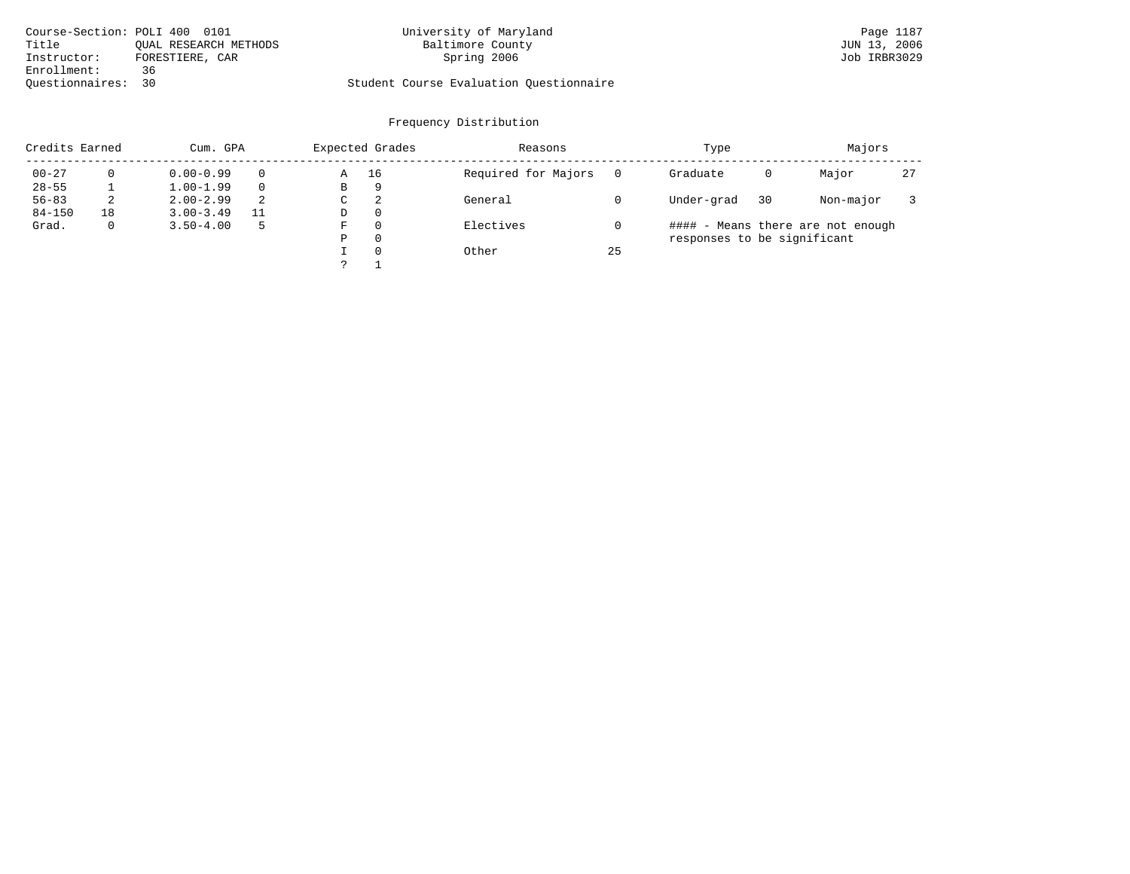| Course-Section: POLI 400 0101 |                       | University of Maryland                  | Page 1187    |
|-------------------------------|-----------------------|-----------------------------------------|--------------|
| Title                         | OUAL RESEARCH METHODS | Baltimore County                        | JUN 13, 2006 |
| Instructor:                   | FORESTIERE, CAR       | Spring 2006                             | Job IRBR3029 |
| Enrollment:                   | 36                    |                                         |              |
| Ouestionnaires: 30            |                       | Student Course Evaluation Questionnaire |              |

| Credits Earned |    | Cum. GPA      |          |   | Expected Grades | Reasons             |    | Type                        |    | Majors                            |    |
|----------------|----|---------------|----------|---|-----------------|---------------------|----|-----------------------------|----|-----------------------------------|----|
| $00 - 27$      |    | $0.00 - 0.99$ |          | Α | 16              | Required for Majors |    | Graduate                    | 0  | Major                             | 27 |
| $28 - 55$      |    | $1.00 - 1.99$ | $\Omega$ | B | 9               |                     |    |                             |    |                                   |    |
| $56 - 83$      | ∠  | $2.00 - 2.99$ | 2        | C | 2               | General             |    | Under-grad                  | 30 | Non-major                         |    |
| $84 - 150$     | 18 | $3.00 - 3.49$ | 11       | D | $\Omega$        |                     |    |                             |    |                                   |    |
| Grad.          |    | $3.50 - 4.00$ | 5        | F | $\Omega$        | Electives           |    |                             |    | #### - Means there are not enough |    |
|                |    |               |          | Ρ | 0               |                     |    | responses to be significant |    |                                   |    |
|                |    |               |          |   | $\Omega$        | Other               | 25 |                             |    |                                   |    |
|                |    |               |          |   |                 |                     |    |                             |    |                                   |    |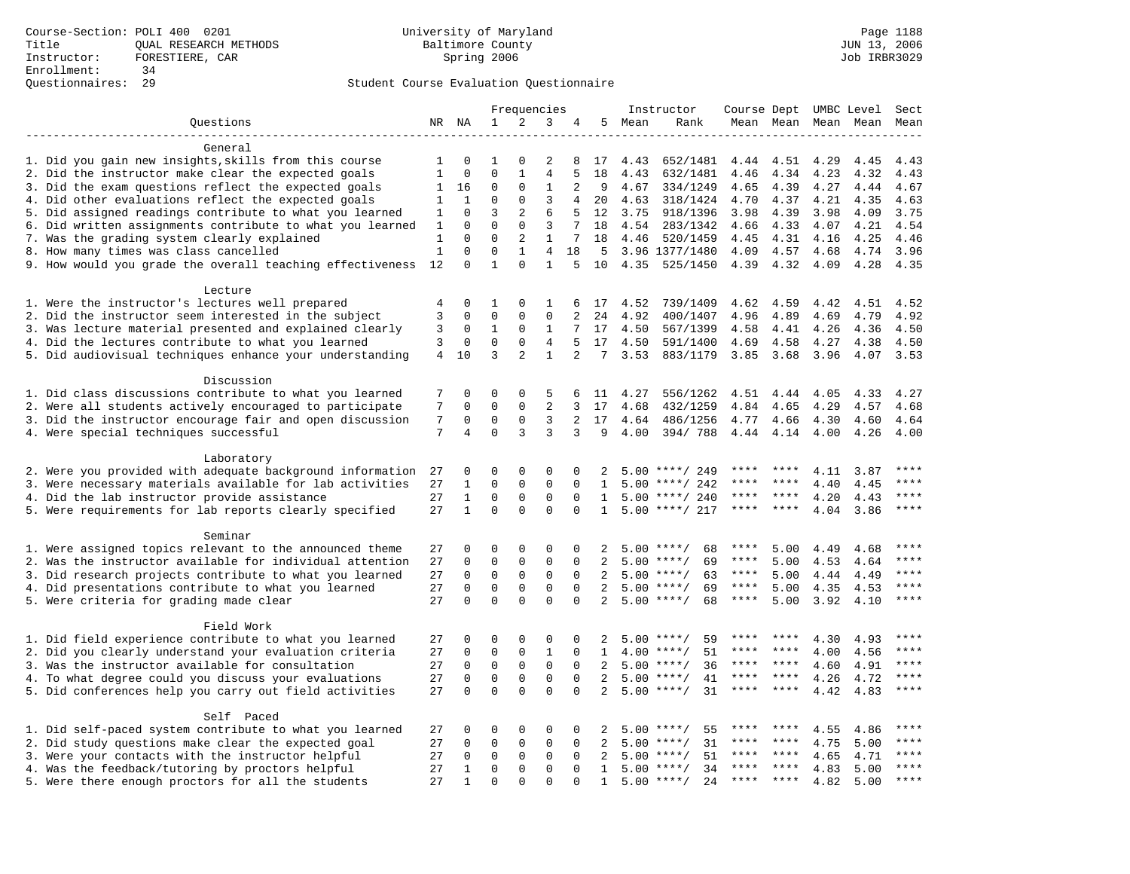|                                                           |              |              |                | Frequencies    |                |                |                 |        | Instructor          | Course Dept UMBC Level |                     |      |                     | Sect         |
|-----------------------------------------------------------|--------------|--------------|----------------|----------------|----------------|----------------|-----------------|--------|---------------------|------------------------|---------------------|------|---------------------|--------------|
| Questions                                                 |              | NR NA        | $\mathbf{1}$   | 2              | 3              | 4              |                 | 5 Mean | Rank                |                        |                     |      | Mean Mean Mean Mean | Mean         |
|                                                           |              |              |                |                |                |                |                 |        |                     |                        |                     |      |                     |              |
| General                                                   |              |              |                |                |                |                |                 |        |                     |                        |                     |      |                     |              |
| 1. Did you gain new insights, skills from this course     | 1            | 0            | 1              | $\Omega$       | 2              | 8              | 17              | 4.43   | 652/1481            | 4.44                   | 4.51                | 4.29 | 4.45                | 4.43         |
| 2. Did the instructor make clear the expected goals       | $\mathbf 1$  | $\mathsf 0$  | $\mathbf 0$    | $\mathbf{1}$   | $\overline{4}$ | 5              | 18              | 4.43   | 632/1481            | 4.46                   | 4.34                | 4.23 | 4.32                | 4.43         |
| 3. Did the exam questions reflect the expected goals      | 1            | 16           | $\mathbf 0$    | $\mathbf{0}$   | $\mathbf{1}$   | 2              | 9               | 4.67   | 334/1249            | 4.65                   | 4.39                | 4.27 | 4.44                | 4.67         |
| 4. Did other evaluations reflect the expected goals       | 1            | 1            | $\mathbf 0$    | $\mathbf{0}$   | $\overline{3}$ | 4              | 20              | 4.63   | 318/1424            | 4.70                   | 4.37                | 4.21 | 4.35                | 4.63         |
| 5. Did assigned readings contribute to what you learned   | 1            | $\Omega$     | 3              | $\overline{a}$ | 6              | 5              | 12              | 3.75   | 918/1396            | 3.98                   | 4.39                | 3.98 | 4.09                | 3.75         |
| 6. Did written assignments contribute to what you learned | 1            | $\Omega$     | $\Omega$       | $\Omega$       | 3              | 7              | 18              | 4.54   | 283/1342            | 4.66                   | 4.33                | 4.07 | 4.21                | 4.54         |
| 7. Was the grading system clearly explained               | 1            | $\mathbf 0$  | $\mathbf 0$    | 2              | $\mathbf{1}$   | 7              | 18              | 4.46   | 520/1459            | 4.45                   | 4.31                | 4.16 | 4.25                | 4.46         |
| 8. How many times was class cancelled                     | $\mathbf{1}$ | $\mathbf 0$  | $\mathbf 0$    | $\mathbf{1}$   | $\overline{4}$ | 18             | 5               |        | 3.96 1377/1480      | 4.09                   | 4.57                | 4.68 | 4.74                | 3.96         |
| 9. How would you grade the overall teaching effectiveness | 12           | 0            | $\mathbf{1}$   | $\Omega$       | 1              | 5              | 10              | 4.35   | 525/1450            |                        | 4.39 4.32           | 4.09 | 4.28                | 4.35         |
| Lecture                                                   |              |              |                |                |                |                |                 |        |                     |                        |                     |      |                     |              |
| 1. Were the instructor's lectures well prepared           | 4            | $\mathbf 0$  | 1              | $\Omega$       | 1              | 6              | 17              | 4.52   | 739/1409            | 4.62                   | 4.59                | 4.42 | 4.51                | 4.52         |
| 2. Did the instructor seem interested in the subject      | 3            | $\mathbf 0$  | $\Omega$       | $\mathbf{0}$   | $\mathbf 0$    | 2              | 24              | 4.92   | 400/1407            | 4.96                   | 4.89                | 4.69 | 4.79                | 4.92         |
| 3. Was lecture material presented and explained clearly   | 3            | 0            | 1              | 0              | 1              | 7              | 17              | 4.50   | 567/1399            | 4.58                   | 4.41                | 4.26 | 4.36                | 4.50         |
| 4. Did the lectures contribute to what you learned        | 3            | 0            | $\mathbf 0$    | $\mathbf{0}$   | $\overline{4}$ | 5              | 17              | 4.50   | 591/1400            | 4.69                   | 4.58                | 4.27 | 4.38                | 4.50         |
| 5. Did audiovisual techniques enhance your understanding  | 4            | 10           | $\overline{3}$ | 2              | $\mathbf{1}$   | 2              | $7\phantom{.0}$ | 3.53   | 883/1179            | 3.85                   | 3.68                | 3.96 | 4.07                | 3.53         |
|                                                           |              |              |                |                |                |                |                 |        |                     |                        |                     |      |                     |              |
| Discussion                                                |              |              |                |                |                |                |                 |        |                     |                        |                     |      |                     |              |
| 1. Did class discussions contribute to what you learned   | 7            | 0            | 0              | $\Omega$       | 5              | 6              | 11              | 4.27   | 556/1262            | 4.51                   | 4.44                | 4.05 | 4.33                | 4.27         |
| 2. Were all students actively encouraged to participate   | 7            | 0            | $\mathbf 0$    | $\mathbf{0}$   | 2              | 3              | 17              | 4.68   | 432/1259            | 4.84                   | 4.65                | 4.29 | 4.57                | 4.68         |
| 3. Did the instructor encourage fair and open discussion  | 7            | $\mathbf 0$  | $\mathbf 0$    | $\mathbf{0}$   | 3              | $\overline{2}$ | 17              | 4.64   | 486/1256            | 4.77                   | 4.66                | 4.30 | 4.60                | 4.64         |
| 4. Were special techniques successful                     | 7            | 4            | $\mathbf 0$    | 3              | 3              | 3              | 9               | 4.00   | 394/788             |                        | 4.44 4.14           | 4.00 | 4.26                | 4.00         |
| Laboratory                                                |              |              |                |                |                |                |                 |        |                     |                        |                     |      |                     |              |
| 2. Were you provided with adequate background information | 27           | 0            | $\Omega$       | $\Omega$       | $\Omega$       | 0              | 2               | 5.00   | ****/ 249           |                        |                     | 4.11 | 3.87                | ****         |
| 3. Were necessary materials available for lab activities  | 27           | $\mathbf{1}$ | $\mathbf 0$    | $\mathbf{0}$   | $\mathbf 0$    | $\Omega$       | $\mathbf{1}$    | 5.00   | ****/ 242           |                        |                     | 4.40 | 4.45                | ****         |
| 4. Did the lab instructor provide assistance              | 27           | $\mathbf{1}$ | $\mathbf 0$    | 0              | $\mathbf 0$    | $\mathbf 0$    | $\mathbf{1}$    |        | $5.00$ ****/ 240    | $***$ * *              | ****                | 4.20 | 4.43                | $***$ * * *  |
| 5. Were requirements for lab reports clearly specified    | 27           | $\mathbf{1}$ | $\Omega$       | $\Omega$       | $\Omega$       | $\Omega$       | $\mathbf{1}$    |        | $5.00$ ****/ 217    | $***$ * * *            | $***$ *             | 4.04 | 3.86                | $***$        |
|                                                           |              |              |                |                |                |                |                 |        |                     |                        |                     |      |                     |              |
| Seminar                                                   |              |              |                |                |                |                |                 |        |                     |                        |                     |      |                     |              |
| 1. Were assigned topics relevant to the announced theme   | 27           | 0            | 0              | $\mathbf{0}$   | $\Omega$       | 0              | 2               |        | $5.00$ ****/<br>68  | $***$ * * *            | 5.00                | 4.49 | 4.68                |              |
| 2. Was the instructor available for individual attention  | 27           | 0            | $\mathbf 0$    | 0              | $\mathbf 0$    | 0              | 2               | 5.00   | $***$ /<br>69       | ****                   | 5.00                | 4.53 | 4.64                | ****         |
| 3. Did research projects contribute to what you learned   | 27           | $\mathbf 0$  | $\mathbf 0$    | $\mathsf 0$    | $\mathbf 0$    | $\Omega$       | 2               |        | $5.00$ ****/<br>63  | $***$ * * *            | 5.00                | 4.44 | 4.49                | $***$        |
| 4. Did presentations contribute to what you learned       | 27           | $\mathbf 0$  | $\mathbf 0$    | $\mathbf 0$    | $\mathbf 0$    | $\mathbf 0$    | 2               |        | $5.00$ ****/<br>69  | $***$ * * *            | 5.00                | 4.35 | 4.53                | ****         |
| 5. Were criteria for grading made clear                   | 27           | $\Omega$     | $\Omega$       | $\Omega$       | $\Omega$       | $\Omega$       | $\overline{2}$  |        | $5.00$ ****/<br>68  | ****                   | 5.00                | 3.92 | 4.10                | ****         |
| Field Work                                                |              |              |                |                |                |                |                 |        |                     |                        |                     |      |                     |              |
| 1. Did field experience contribute to what you learned    | 27           | 0            | 0              | 0              | 0              | 0              | 2               |        | $5.00$ ****/<br>59  |                        |                     | 4.30 | 4.93                | $***$        |
| 2. Did you clearly understand your evaluation criteria    | 27           | 0            | $\mathbf 0$    | 0              | $\mathbf{1}$   | $\mathbf 0$    | 1               |        | 51<br>$4.00$ ****/  | ****                   | ****                | 4.00 | 4.56                | ****         |
| 3. Was the instructor available for consultation          | 27           | $\Omega$     | $\mathbf 0$    | $\mathbf{0}$   | $\mathbf 0$    | $\Omega$       | 2               |        | $5.00$ ****/<br>36  | ****                   | $***$ *             | 4.60 | 4.91                | $***$ * * *  |
| 4. To what degree could you discuss your evaluations      | 27           | $\mathbf 0$  | $\mathbf 0$    | $\mathbf 0$    | $\mathbf 0$    | $\Omega$       | 2               | 5.00   | $***$ /<br>41       | ****                   | ****                | 4.26 | 4.72                | $***$ * * *  |
| 5. Did conferences help you carry out field activities    | 27           | $\Omega$     | $\Omega$       | $\Omega$       | $\Omega$       | $\Omega$       | $\overline{2}$  |        | $5.00$ ****/<br>31  | ****                   | ****                | 4.42 | 4.83                | ****         |
|                                                           |              |              |                |                |                |                |                 |        |                     |                        |                     |      |                     |              |
| Self Paced                                                |              |              |                |                |                |                |                 |        |                     |                        |                     |      |                     | ****         |
| 1. Did self-paced system contribute to what you learned   | 27           | 0            | 0              | 0              | $\Omega$       | 0              | 2               |        | $5.00$ ****/<br>55  |                        | ****                | 4.55 | 4.86                |              |
| 2. Did study questions make clear the expected goal       | 27           | $\Omega$     | 0              | 0              | 0              | $\Omega$       | 2               | 5.00   | $***/$<br>31        | ****                   | ****                | 4.75 | 5.00                | ****         |
| 3. Were your contacts with the instructor helpful         | 27           | $\Omega$     | $\mathbf 0$    | 0              | $\mathbf 0$    | $\Omega$       | 2               | 5.00   | 51<br>$***/$        | ****<br>****           | ****                | 4.65 | 4.71                | ****         |
| 4. Was the feedback/tutoring by proctors helpful          | 27           | $\mathbf{1}$ | $\mathbf 0$    | $\mathbf{0}$   | 0              | 0              | 1               |        | $5.00$ ****/<br>34  | ****                   | ****<br>$* * * * *$ | 4.83 | 5.00                | ****<br>**** |
| 5. Were there enough proctors for all the students        | 27           | $\mathbf{1}$ | $\Omega$       | $\Omega$       | $\Omega$       | $\Omega$       | $\mathbf{1}$    |        | $5.00$ ****/<br>2.4 |                        |                     | 4.82 | 5.00                |              |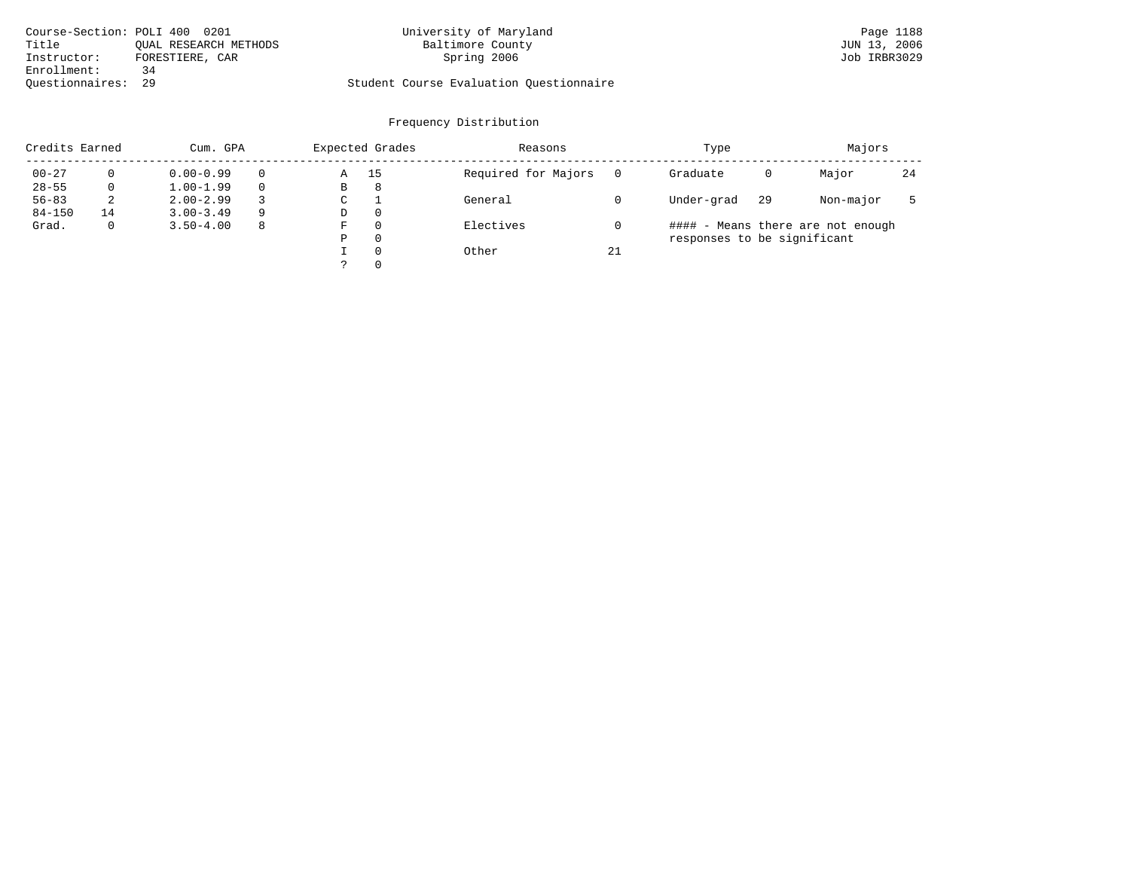| Course-Section: POLI 400 0201 |                       | University of Maryland                  | Page 1188    |
|-------------------------------|-----------------------|-----------------------------------------|--------------|
| Title                         | OUAL RESEARCH METHODS | Baltimore County                        | JUN 13, 2006 |
| Instructor:                   | FORESTIERE, CAR       | Spring 2006                             | Job IRBR3029 |
| Enrollment:                   | 34                    |                                         |              |
| Ouestionnaires: 29            |                       | Student Course Evaluation Questionnaire |              |

| Credits Earned |    | Cum. GPA      |          |   | Expected Grades | Reasons             |    | Type                        | Majors |                                   |    |
|----------------|----|---------------|----------|---|-----------------|---------------------|----|-----------------------------|--------|-----------------------------------|----|
| $00 - 27$      |    | $0.00 - 0.99$ |          | A | 15              | Required for Majors |    | Graduate                    | 0      | Major                             | 24 |
| $28 - 55$      |    | $1.00 - 1.99$ | $\Omega$ | В | 8               |                     |    |                             |        |                                   |    |
| $56 - 83$      | 2  | $2.00 - 2.99$ |          | C |                 | General             |    | Under-grad                  | 29     | Non-major                         |    |
| $84 - 150$     | 14 | $3.00 - 3.49$ | 9        | D | 0               |                     |    |                             |        |                                   |    |
| Grad.          |    | $3.50 - 4.00$ | 8        | F | $\Omega$        | Electives           |    |                             |        | #### - Means there are not enough |    |
|                |    |               |          | Ρ | 0               |                     |    | responses to be significant |        |                                   |    |
|                |    |               |          |   | $\Omega$        | Other               | 21 |                             |        |                                   |    |
|                |    |               |          |   | $\Omega$        |                     |    |                             |        |                                   |    |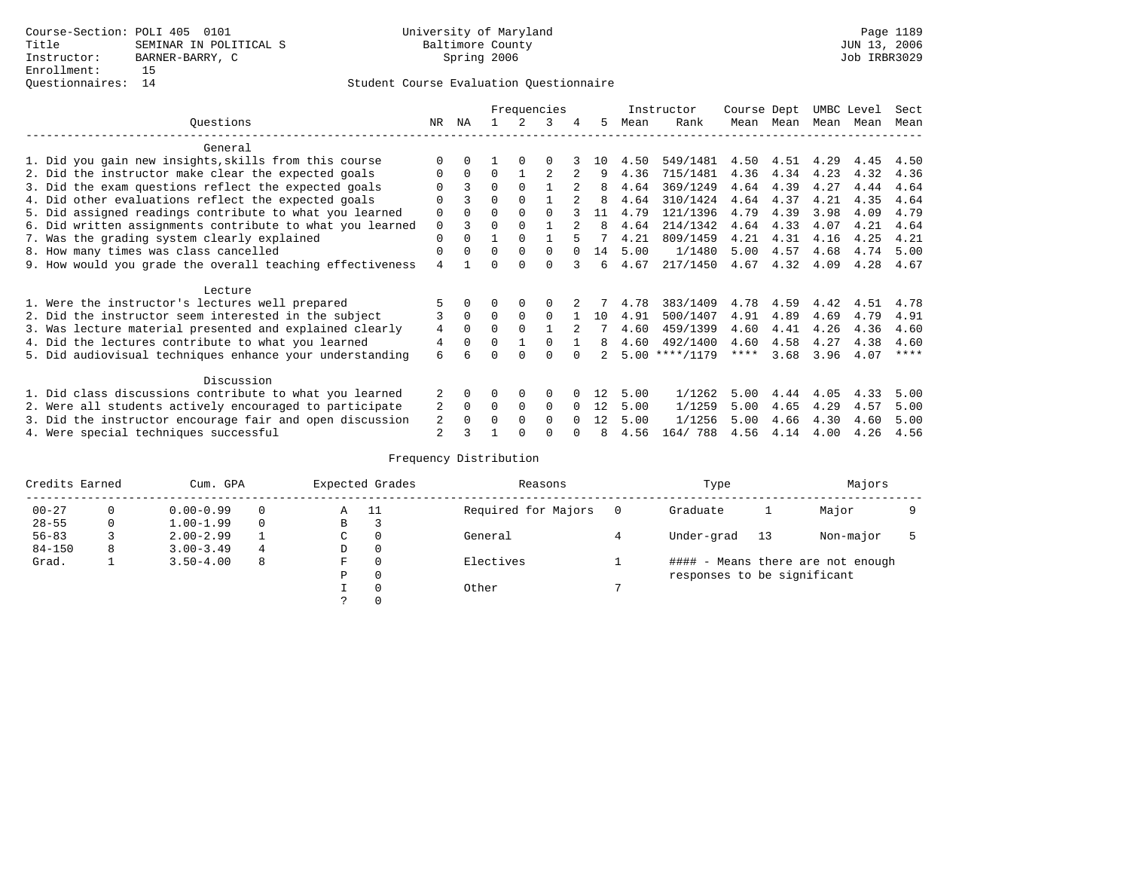|                                                           |                |                      |          |          | Frequencies |          |     |      | Instructor       | Course Dept |      | UMBC Level |      | Sect        |
|-----------------------------------------------------------|----------------|----------------------|----------|----------|-------------|----------|-----|------|------------------|-------------|------|------------|------|-------------|
| Ouestions                                                 | NR.            | ΝA                   |          |          | 3           | 4        | 5.  | Mean | Rank             | Mean        | Mean | Mean       | Mean | Mean        |
| General                                                   |                |                      |          |          |             |          |     |      |                  |             |      |            |      |             |
| 1. Did you gain new insights, skills from this course     |                | <sup>n</sup>         |          | $\Omega$ | O           |          | 1 O | 4.50 | 549/1481         | 4.50        | 4.51 | 4.29       | 4.45 | 4.50        |
| 2. Did the instructor make clear the expected goals       | 0              | $\Omega$             | $\Omega$ |          |             |          | 9   | 4.36 | 715/1481         | 4.36        | 4.34 | 4.23       | 4.32 | 4.36        |
| 3. Did the exam questions reflect the expected goals      |                |                      | $\Omega$ | $\Omega$ |             |          |     | 4.64 | 369/1249         | 4.64        | 4.39 | 4.27       | 4.44 | 4.64        |
| 4. Did other evaluations reflect the expected goals       | O              |                      | $\Omega$ | $\Omega$ |             |          | 8   | 4.64 | 310/1424         | 4.64        | 4.37 | 4.21       | 4.35 | 4.64        |
| 5. Did assigned readings contribute to what you learned   | $\mathbf 0$    |                      | $\Omega$ | $\Omega$ | $\Omega$    |          | 11  | 4.79 | 121/1396         | 4.79        | 4.39 | 3.98       | 4.09 | 4.79        |
| 6. Did written assignments contribute to what you learned | $\mathbf 0$    |                      | $\Omega$ |          |             |          | 8   | 4.64 | 214/1342         | 4.64        | 4.33 | 4.07       | 4.21 | 4.64        |
| 7. Was the grading system clearly explained               | $\Omega$       |                      |          | $\Omega$ |             |          |     | 4.21 | 809/1459         | 4.21        | 4.31 | 4.16       | 4.25 | 4.21        |
| 8. How many times was class cancelled                     |                |                      | $\Omega$ | $\Omega$ | $\Omega$    | $\cap$   | 14  | 5.00 | 1/1480           | 5.00        | 4.57 | 4.68       | 4.74 | 5.00        |
| 9. How would you grade the overall teaching effectiveness | $\overline{4}$ |                      | U        | ∩        | U           | २        | б.  | 4.67 | 217/1450         | 4.67        | 4.32 | 4.09       | 4.28 | 4.67        |
| Lecture                                                   |                |                      |          |          |             |          |     |      |                  |             |      |            |      |             |
| 1. Were the instructor's lectures well prepared           |                |                      |          |          |             |          |     | 4.78 | 383/1409         | 4.78        | 4.59 | 4.42       | 4.51 | 4.78        |
| 2. Did the instructor seem interested in the subject      | 3              | $\Omega$             | $\Omega$ | $\Omega$ | $\Omega$    |          | 10  | 4.91 | 500/1407         | 4.91        | 4.89 | 4.69       | 4.79 | 4.91        |
| 3. Was lecture material presented and explained clearly   | 4              | $\Omega$             | $\Omega$ | $\Omega$ |             |          |     | 4.60 | 459/1399         | 4.60        | 4.41 | 4.26       | 4.36 | 4.60        |
| 4. Did the lectures contribute to what you learned        | 4              | $\Omega$             | $\Omega$ |          |             |          | 8   | 4.60 | 492/1400         | 4.60        | 4.58 | 4.27       | 4.38 | 4.60        |
| 5. Did audiovisual techniques enhance your understanding  | 6              |                      |          |          |             |          |     |      | $5.00$ ****/1179 | $***$ * * * | 3.68 | 3.96       | 4.07 | $* * * * *$ |
|                                                           |                |                      |          |          |             |          |     |      |                  |             |      |            |      |             |
| Discussion                                                |                |                      |          |          |             |          |     |      |                  |             |      |            |      |             |
| 1. Did class discussions contribute to what you learned   |                | 0                    | O        | $\Omega$ | $\Omega$    |          |     | 5.00 | 1/1262           | 5.00        | 4.44 | 4.05       | 4.33 | 5.00        |
| 2. Were all students actively encouraged to participate   |                | $\Omega$<br>$\Omega$ | $\Omega$ | $\Omega$ | $\Omega$    | $\Omega$ | 12  | 5.00 | 1/1259           | 5.00        | 4.65 | 4.29       | 4.57 | 5.00        |
| 3. Did the instructor encourage fair and open discussion  |                |                      | O        | $\Omega$ | $\Omega$    | $\cap$   | 12  | 5.00 | 1/1256           | 5.00        | 4.66 | 4.30       | 4.60 | 5.00        |
| 4. Were special techniques successful                     | 2              |                      |          |          |             |          |     | 4.56 | 164/788          | 4.56        | 4.14 | 4.00       | 4.26 | 4.56        |

| Credits Earned |              | Cum. GPA      |          |    | Expected Grades | Reasons             | Type                        | Majors |                                   |  |
|----------------|--------------|---------------|----------|----|-----------------|---------------------|-----------------------------|--------|-----------------------------------|--|
| $00 - 27$      |              | $0.00 - 0.99$ |          | Α  | - 11            | Required for Majors | Graduate                    |        | Major                             |  |
| $28 - 55$      | $\mathbf{0}$ | $1.00 - 1.99$ | $\Omega$ | В  | 3               |                     |                             |        |                                   |  |
| $56 - 83$      |              | $2.00 - 2.99$ |          | C. | $\Omega$        | General             | Under-grad                  | 13     | Non-major                         |  |
| $84 - 150$     | 8            | $3.00 - 3.49$ | 4        | D  | 0               |                     |                             |        |                                   |  |
| Grad.          |              | $3.50 - 4.00$ | -8       | F  | $\Omega$        | Electives           |                             |        | #### - Means there are not enough |  |
|                |              |               |          | Ρ  | 0               |                     | responses to be significant |        |                                   |  |
|                |              |               |          |    | $\Omega$        | Other               |                             |        |                                   |  |
|                |              |               |          |    |                 |                     |                             |        |                                   |  |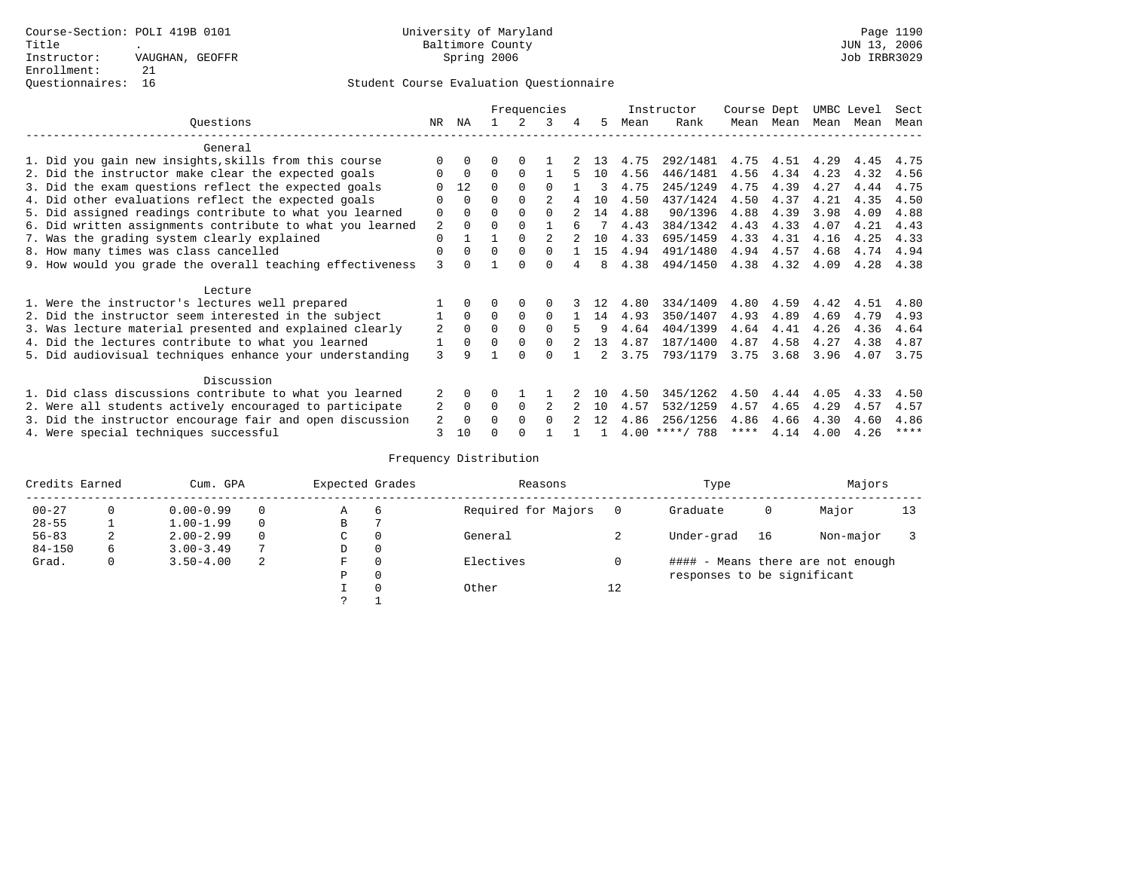|                                                           |             |          | Frequencies |          |          |   | Instructor | Course Dept |                  | UMBC Level |      | Sect      |      |             |
|-----------------------------------------------------------|-------------|----------|-------------|----------|----------|---|------------|-------------|------------------|------------|------|-----------|------|-------------|
| Questions                                                 | NR          | ΝA       |             |          | २        | 4 | 5          | Mean        | Rank             | Mean       | Mean | Mean Mean |      | Mean        |
| General                                                   |             |          |             |          |          |   |            |             |                  |            |      |           |      |             |
| 1. Did you gain new insights, skills from this course     |             | $\Omega$ |             |          |          |   |            | 4.75        | 292/1481         | 4.75       | 4.51 | 4.29      | 4.45 | 4.75        |
| 2. Did the instructor make clear the expected goals       |             | $\Omega$ | O           | $\Omega$ |          |   | 1 O        | 4.56        | 446/1481         | 4.56       | 4.34 | 4.23      | 4.32 | 4.56        |
| 3. Did the exam questions reflect the expected goals      |             | 12       | $\Omega$    | $\Omega$ | $\Omega$ |   | 3          | 4.75        | 245/1249         | 4.75       | 4.39 | 4.27      | 4.44 | 4.75        |
| 4. Did other evaluations reflect the expected goals       | 0           | $\Omega$ | $\Omega$    | $\Omega$ |          |   | 10         | 4.50        | 437/1424         | 4.50       | 4.37 | 4.21      | 4.35 | 4.50        |
| 5. Did assigned readings contribute to what you learned   | $\mathbf 0$ | $\Omega$ | $\Omega$    | $\Omega$ | $\cap$   |   | 14         | 4.88        | 90/1396          | 4.88       | 4.39 | 3.98      | 4.09 | 4.88        |
| 6. Did written assignments contribute to what you learned | 2           | $\Omega$ |             |          |          |   |            | 4.43        | 384/1342         | 4.43       | 4.33 | 4.07      | 4.21 | 4.43        |
| 7. Was the grading system clearly explained               | $\Omega$    |          |             | $\Omega$ |          |   | 10         | 4.33        | 695/1459         | 4.33       | 4.31 | 4.16      | 4.25 | 4.33        |
| 8. How many times was class cancelled                     | $\Omega$    | $\Omega$ | $\Omega$    | $\Omega$ | $\cap$   |   | 15         | 4.94        | 491/1480         | 4.94       | 4.57 | 4.68      | 4.74 | 4.94        |
| 9. How would you grade the overall teaching effectiveness | 3           | n.       |             |          | U        |   | 8          | 4.38        | 494/1450         | 4.38       | 4.32 | 4.09      | 4.28 | 4.38        |
| Lecture                                                   |             |          |             |          |          |   |            |             |                  |            |      |           |      |             |
| 1. Were the instructor's lectures well prepared           |             |          |             |          |          |   | 12.        | 4.80        | 334/1409         | 4.80       | 4.59 | 4.42      | 4.51 | 4.80        |
| 2. Did the instructor seem interested in the subject      |             | $\Omega$ | $\Omega$    | $\Omega$ | $\Omega$ |   | 14         | 4.93        | 350/1407         | 4.93       | 4.89 | 4.69      | 4.79 | 4.93        |
| 3. Was lecture material presented and explained clearly   | 2           | $\Omega$ |             |          | $\Omega$ |   | q          | 4.64        | 404/1399         | 4.64       | 4.41 | 4.26      | 4.36 | 4.64        |
| 4. Did the lectures contribute to what you learned        |             | $\Omega$ | $\Omega$    | $\Omega$ |          |   | 13         | 4.87        | 187/1400         | 4.87       | 4.58 | 4.27      | 4.38 | 4.87        |
| 5. Did audiovisual techniques enhance your understanding  | 3           | Q        |             | $\cap$   |          |   |            | 3.75        | 793/1179         | 3.75       | 3.68 | 3.96      | 4.07 | 3.75        |
| Discussion                                                |             |          |             |          |          |   |            |             |                  |            |      |           |      |             |
| 1. Did class discussions contribute to what you learned   |             | 0        | 0           |          |          |   | 1 N        | 4.50        | 345/1262         | 4.50       | 4.44 | 4.05      | 4.33 | 4.50        |
| 2. Were all students actively encouraged to participate   |             | $\Omega$ | 0           | $\Omega$ |          |   | 10         | 4.57        | 532/1259         | 4.57       | 4.65 | 4.29      | 4.57 | 4.57        |
| 3. Did the instructor encourage fair and open discussion  |             |          | U           | $\Omega$ | $\cap$   |   | 12         | 4.86        | 256/1256         | 4.86       | 4.66 | 4.30      | 4.60 | 4.86        |
| 4. Were special techniques successful                     | 3           | 10       |             |          |          |   |            |             | $4.00$ ****/ 788 | ****       | 4.14 | 4.00      | 4.26 | $***$ * * * |

| Credits Earned |   | Cum. GPA      |   | Expected Grades |          | Reasons             |    | Type                        |    | Majors                            |    |
|----------------|---|---------------|---|-----------------|----------|---------------------|----|-----------------------------|----|-----------------------------------|----|
| $00 - 27$      | 0 | $0.00 - 0.99$ |   | Α               | 6        | Required for Majors |    | Graduate                    | 0  | Major                             | 13 |
| $28 - 55$      |   | $1.00 - 1.99$ |   | B               |          |                     |    |                             |    |                                   |    |
| $56 - 83$      | 2 | $2.00 - 2.99$ |   | C               | 0        | General             |    | Under-grad                  | 16 | Non-major                         |    |
| $84 - 150$     | 6 | $3.00 - 3.49$ | 7 | D               | 0        |                     |    |                             |    |                                   |    |
| Grad.          | 0 | $3.50 - 4.00$ | 2 | F               | 0        | Electives           |    |                             |    | #### - Means there are not enough |    |
|                |   |               |   | Ρ               | 0        |                     |    | responses to be significant |    |                                   |    |
|                |   |               |   |                 | $\Omega$ | Other               | 12 |                             |    |                                   |    |
|                |   |               |   | っ               |          |                     |    |                             |    |                                   |    |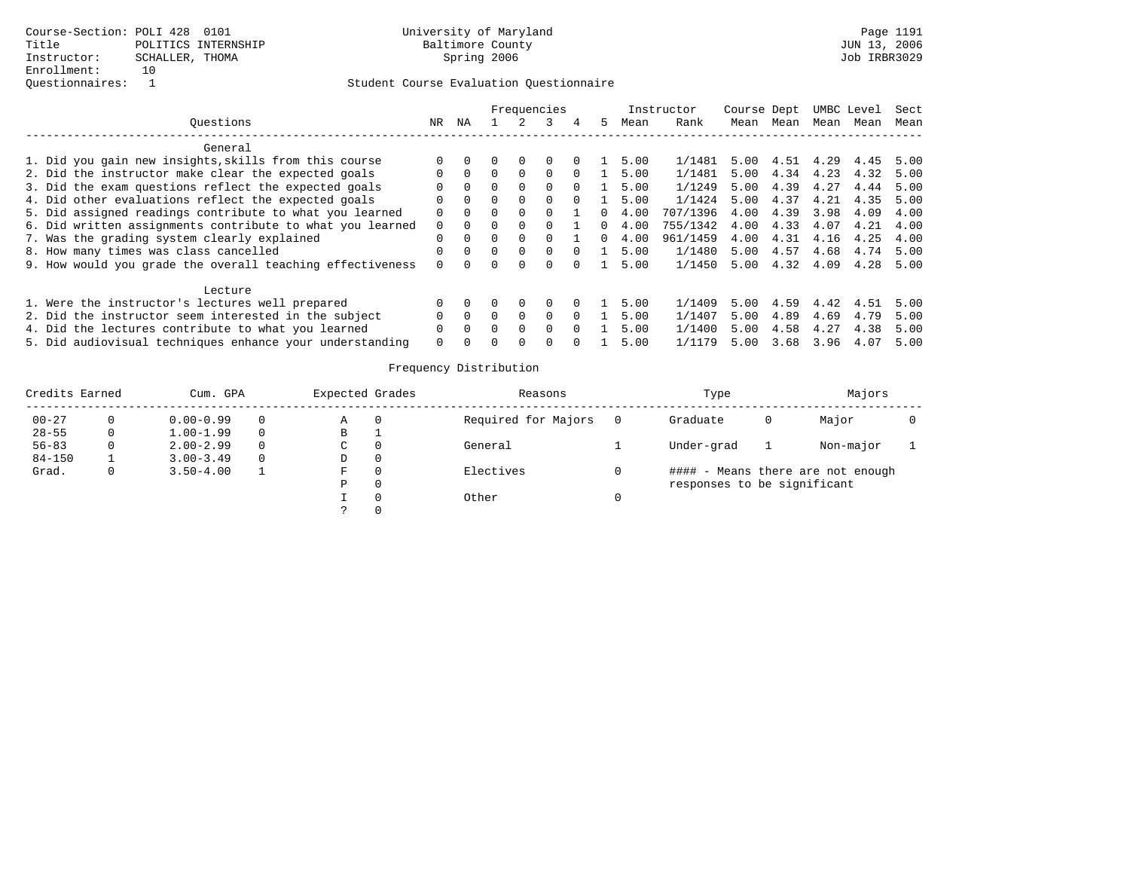|                                                           |              |          |              |          | Frequencies  |              |    |      | Instructor | Course Dept |      |      | UMBC Level | Sect |
|-----------------------------------------------------------|--------------|----------|--------------|----------|--------------|--------------|----|------|------------|-------------|------|------|------------|------|
| Ouestions                                                 | NR.          | ΝA       |              |          |              | 4            | 5. | Mean | Rank       | Mean        | Mean | Mean | Mean       | Mean |
| General                                                   |              |          |              |          |              |              |    |      |            |             |      |      |            |      |
| 1. Did you gain new insights, skills from this course     | <sup>n</sup> |          |              |          |              |              |    | 5.00 | 1/1481     | 5.00        | 4.51 | 4.29 | 4.45       | 5.00 |
| 2. Did the instructor make clear the expected goals       | 0            |          | 0            | $\Omega$ | $\Omega$     | $\Omega$     |    | 5.00 | 1/1481     | 5.00        | 4.34 | 4.23 | 4.32       | 5.00 |
| 3. Did the exam questions reflect the expected goals      |              | $\Omega$ | $\Omega$     |          | $\Omega$     | <sup>0</sup> |    | 5.00 | 1/1249     | 5.00        | 4.39 | 4.27 | 4.44       | 5.00 |
| 4. Did other evaluations reflect the expected goals       | $\Omega$     | $\Omega$ | $\Omega$     |          | $\Omega$     |              |    | 5.00 | 1/1424     | 5.00        | 4.37 | 4.21 | 4.35       | 5.00 |
| 5. Did assigned readings contribute to what you learned   | $\Omega$     | $\Omega$ | $\Omega$     |          |              |              | 0. | 4.00 | 707/1396   | 4.00        | 4.39 | 3.98 | 4.09       | 4.00 |
| 6. Did written assignments contribute to what you learned | $\Omega$     | $\Omega$ | 0            |          |              |              | 0. | 4.00 | 755/1342   | 4.00        | 4.33 | 4.07 | 4.21       | 4.00 |
| 7. Was the grading system clearly explained               | $\Omega$     | $\Omega$ | $\Omega$     | $\Omega$ |              |              |    | 4.00 | 961/1459   | 4.00        | 4.31 | 4.16 | 4.25       | 4.00 |
| 8. How many times was class cancelled                     | $\Omega$     | $\cap$   | $\Omega$     | $\Omega$ | $\Omega$     |              |    | 5.00 | 1/1480     | 5.00        | 4.57 | 4.68 | 4.74       | 5.00 |
| 9. How would you grade the overall teaching effectiveness | $\Omega$     | $\cap$   | <sup>n</sup> |          | <sup>n</sup> |              |    | 5.00 | 1/1450     | 5.00        | 4.32 | 4.09 | 4.28       | 5.00 |
| Lecture                                                   |              |          |              |          |              |              |    |      |            |             |      |      |            |      |
| 1. Were the instructor's lectures well prepared           |              |          |              |          |              |              |    | 5.00 | 1/1409     | 5.00        | 4.59 | 4.42 | 4.51       | 5.00 |
| 2. Did the instructor seem interested in the subject      | $\Omega$     |          |              |          |              |              |    | 5.00 | 1/1407     | 5.00        | 4.89 | 4.69 | 4.79       | 5.00 |
| 4. Did the lectures contribute to what you learned        | 0            |          |              |          | $\Omega$     |              |    | 5.00 | 1/1400     | 5.00        | 4.58 | 4.27 | 4.38       | 5.00 |
| 5. Did audiovisual techniques enhance your understanding  | $\Omega$     |          |              |          |              |              |    | 5.00 | 1/1179     | 5.00        | 3.68 | 3.96 | 4.07       | 5.00 |

| Credits Earned |   | Cum. GPA      |          | Expected Grades | Reasons             | Type                        | Majors                            |  |
|----------------|---|---------------|----------|-----------------|---------------------|-----------------------------|-----------------------------------|--|
| $00 - 27$      |   | $0.00 - 0.99$ | 0        | Α               | Required for Majors | Graduate                    | Major                             |  |
| $28 - 55$      | 0 | $1.00 - 1.99$ | $\Omega$ | В               |                     |                             |                                   |  |
| $56 - 83$      |   | $2.00 - 2.99$ | $\Omega$ | C               | General             | Under-grad                  | Non-major                         |  |
| $84 - 150$     |   | $3.00 - 3.49$ | $\Omega$ | D               |                     |                             |                                   |  |
| Grad.          |   | $3.50 - 4.00$ |          | F               | Electives           |                             | #### - Means there are not enough |  |
|                |   |               |          | P               |                     | responses to be significant |                                   |  |
|                |   |               |          |                 | Other               |                             |                                   |  |
|                |   |               |          |                 |                     |                             |                                   |  |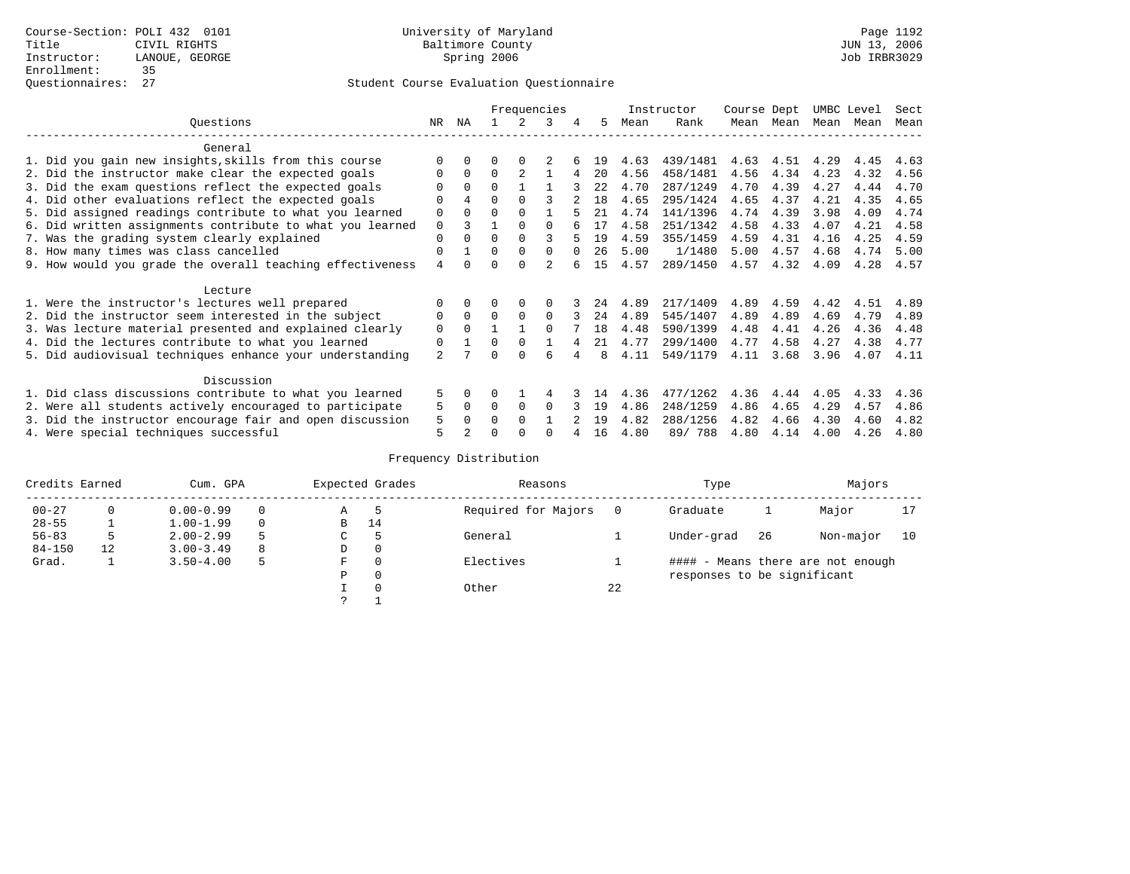|                                                           |                |          |          |          | Frequencies |          |      |      | Instructor | Course Dept |      | UMBC Level |      | Sect |
|-----------------------------------------------------------|----------------|----------|----------|----------|-------------|----------|------|------|------------|-------------|------|------------|------|------|
| Ouestions                                                 | NR.            | ΝA       |          |          | 3           |          | 5.   | Mean | Rank       | Mean        | Mean | Mean       | Mean | Mean |
| General                                                   |                |          |          |          |             |          |      |      |            |             |      |            |      |      |
| 1. Did you gain new insights, skills from this course     | ∩              |          | O        | 0        |             |          | 19   | 4.63 | 439/1481   | 4.63        | 4.51 | 4.29       | 4.45 | 4.63 |
| 2. Did the instructor make clear the expected goals       | $\Omega$       | $\Omega$ | $\Omega$ |          |             |          | 20   | 4.56 | 458/1481   | 4.56        | 4.34 | 4.23       | 4.32 | 4.56 |
| 3. Did the exam questions reflect the expected goals      |                | $\Omega$ | $\Omega$ |          |             |          | 2.2. | 4.70 | 287/1249   | 4.70        | 4.39 | 4.27       | 4.44 | 4.70 |
| 4. Did other evaluations reflect the expected goals       | $\Omega$       | 4        | $\Omega$ |          |             |          | 1 R  | 4.65 | 295/1424   | 4.65        | 4.37 | 4.21       | 4.35 | 4.65 |
| 5. Did assigned readings contribute to what you learned   | 0              |          | $\Omega$ |          |             |          | 2.1  | 4.74 | 141/1396   | 4.74        | 4.39 | 3.98       | 4.09 | 4.74 |
| 6. Did written assignments contribute to what you learned | $\mathbf 0$    | ζ        |          |          | $\Omega$    |          | 17   | 4.58 | 251/1342   | 4.58        | 4.33 | 4.07       | 4.21 | 4.58 |
| 7. Was the grading system clearly explained               | $\Omega$       |          | $\Omega$ |          |             |          | 19   | 4.59 | 355/1459   | 4.59        | 4.31 | 4.16       | 4.25 | 4.59 |
| 8. How many times was class cancelled                     | $\Omega$       |          | $\Omega$ | $\Omega$ | $\Omega$    | $\Omega$ | 26   | 5.00 | 1/1480     | 5.00        | 4.57 | 4.68       | 4.74 | 5.00 |
| 9. How would you grade the overall teaching effectiveness | 4              |          | U        | ∩        |             |          | 15   | 4.57 | 289/1450   | 4.57        | 4.32 | 4.09       | 4.28 | 4.57 |
| Lecture                                                   |                |          |          |          |             |          |      |      |            |             |      |            |      |      |
| 1. Were the instructor's lectures well prepared           |                |          |          |          | $\Omega$    |          | 24   | 4.89 | 217/1409   | 4.89        | 4.59 | 4.42       | 4.51 | 4.89 |
| 2. Did the instructor seem interested in the subject      | 0              | $\Omega$ | $\Omega$ | $\Omega$ | $\Omega$    |          | 2.4  | 4.89 | 545/1407   | 4.89        | 4.89 | 4.69       | 4.79 | 4.89 |
| 3. Was lecture material presented and explained clearly   | $\mathbf 0$    | $\Omega$ |          |          | $\cap$      |          | 1 R  | 4.48 | 590/1399   | 4.48        | 4.41 | 4.26       | 4.36 | 4.48 |
| 4. Did the lectures contribute to what you learned        | $\mathbf 0$    |          | $\Omega$ |          |             |          | 21   | 4.77 | 299/1400   | 4.77        | 4.58 | 4.27       | 4.38 | 4.77 |
| 5. Did audiovisual techniques enhance your understanding  | $\overline{a}$ |          | U        |          | ี           |          | 8    | 4.11 | 549/1179   | 4.11        | 3.68 | 3.96       | 4.07 | 4.11 |
|                                                           |                |          |          |          |             |          |      |      |            |             |      |            |      |      |
| Discussion                                                |                |          |          |          |             |          |      |      |            |             |      |            |      |      |
| 1. Did class discussions contribute to what you learned   | 5              | 0        | U        |          | 4           |          | 14   | 4.36 | 477/1262   | 4.36        | 4.44 | 4.05       | 4.33 | 4.36 |
| 2. Were all students actively encouraged to participate   | 5              | $\Omega$ | 0        | $\Omega$ | $\Omega$    |          | 19   | 4.86 | 248/1259   | 4.86        | 4.65 | 4.29       | 4.57 | 4.86 |
| 3. Did the instructor encourage fair and open discussion  | 5              |          | O        | $\Omega$ |             |          | 19   | 4.82 | 288/1256   | 4.82        | 4.66 | 4.30       | 4.60 | 4.82 |
| 4. Were special techniques successful                     | 5              |          |          |          | ∩           |          | 16   | 4.80 | 89/788     | 4.80        | 4.14 | 4.00       | 4.26 | 4.80 |

| Credits Earned |          | Cum. GPA      |   |   | Expected Grades | Reasons             |          | Type                        |     | Majors                            |    |
|----------------|----------|---------------|---|---|-----------------|---------------------|----------|-----------------------------|-----|-----------------------------------|----|
| $00 - 27$      | $\Omega$ | $0.00 - 0.99$ |   | Α | 5               | Required for Majors | $\Omega$ | Graduate                    |     | Major                             |    |
| $28 - 55$      | ┻        | $1.00 - 1.99$ |   | B | 14              |                     |          |                             |     |                                   |    |
| $56 - 83$      | 5        | $2.00 - 2.99$ |   | C |                 | General             |          | Under-grad                  | -26 | Non-major                         | 10 |
| $84 - 150$     | 12       | $3.00 - 3.49$ | 8 | D | 0               |                     |          |                             |     |                                   |    |
| Grad.          |          | $3.50 - 4.00$ | 5 | F | 0               | Electives           |          |                             |     | #### - Means there are not enough |    |
|                |          |               |   | Ρ | 0               |                     |          | responses to be significant |     |                                   |    |
|                |          |               |   |   | $\Omega$        | Other               | 22       |                             |     |                                   |    |
|                |          |               |   | C |                 |                     |          |                             |     |                                   |    |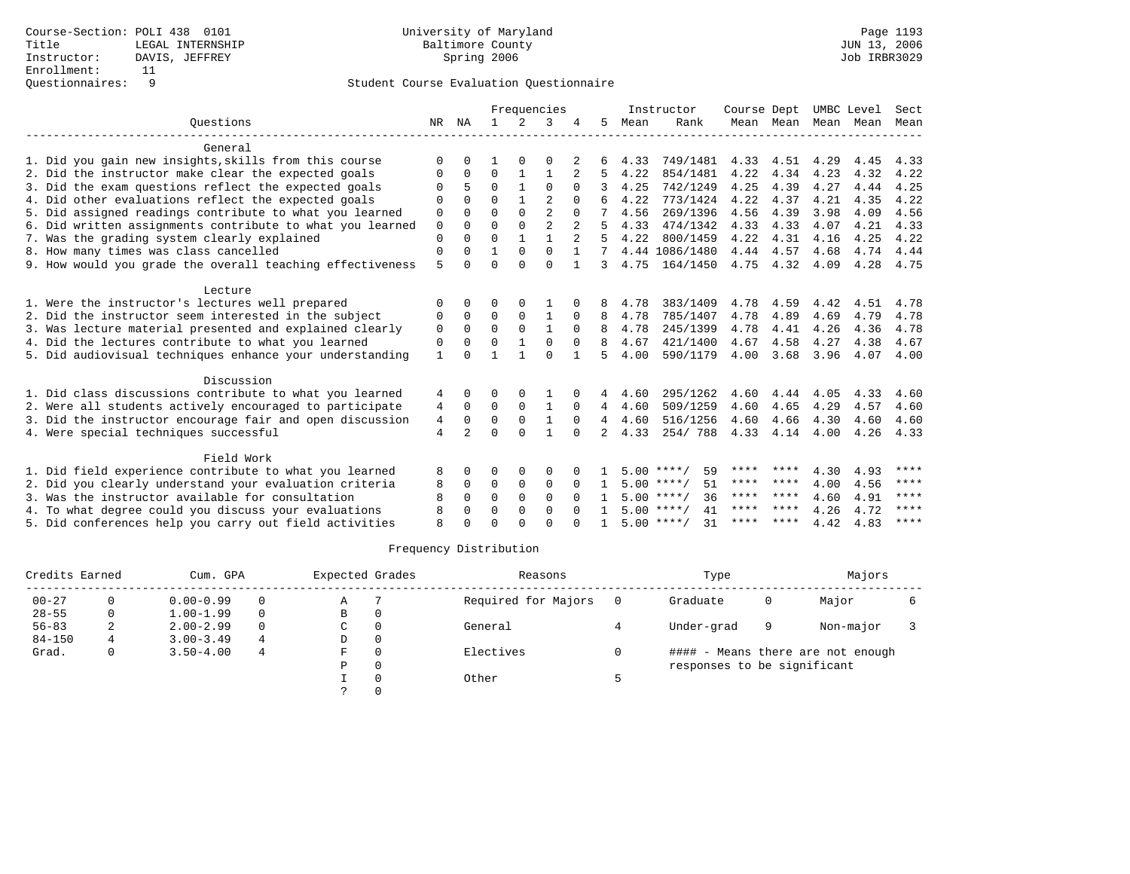|                                                           |             |              |              |              | Frequencies    |          |                |      | Instructor         | Course Dept |           | UMBC Level |      | Sect        |
|-----------------------------------------------------------|-------------|--------------|--------------|--------------|----------------|----------|----------------|------|--------------------|-------------|-----------|------------|------|-------------|
| Ouestions                                                 | NR          | ΝA           | $\mathbf{1}$ | $2^{1}$      | 3              |          | 5.             | Mean | Rank               |             | Mean Mean | Mean       | Mean | Mean        |
| General                                                   |             |              |              |              |                |          |                |      |                    |             |           |            |      |             |
| 1. Did you gain new insights, skills from this course     | $\Omega$    |              |              |              |                |          |                | 4.33 | 749/1481           | 4.33        | 4.51      | 4.29       | 4.45 | 4.33        |
| 2. Did the instructor make clear the expected goals       | 0           | $\Omega$     | $\Omega$     |              |                |          | 5              | 4.22 | 854/1481           | 4.22        | 4.34      | 4.23       | 4.32 | 4.22        |
| 3. Did the exam questions reflect the expected goals      | $\Omega$    |              | $\Omega$     |              | $\Omega$       | $\Omega$ |                | 4.25 | 742/1249           | 4.25        | 4.39      | 4.27       | 4.44 | 4.25        |
| 4. Did other evaluations reflect the expected goals       | $\Omega$    | $\cap$       | $\Omega$     |              | $\mathfrak{D}$ | $\Omega$ |                | 4.22 | 773/1424           | 4.22        | 4.37      | 4.21       | 4.35 | 4.22        |
| 5. Did assigned readings contribute to what you learned   | $\mathbf 0$ | $\Omega$     | $\Omega$     | $\Omega$     | $\overline{a}$ | $\Omega$ |                | 4.56 | 269/1396           | 4.56        | 4.39      | 3.98       | 4.09 | 4.56        |
| 6. Did written assignments contribute to what you learned | $\mathbf 0$ | $\Omega$     | $\Omega$     | $\Omega$     | $\overline{2}$ |          | 5              | 4.33 | 474/1342           | 4.33        | 4.33      | 4.07       | 4.21 | 4.33        |
| 7. Was the grading system clearly explained               | $\Omega$    | $\cap$       | $\Omega$     |              |                |          |                | 4.22 | 800/1459           | 4.22        | 4.31      | 4.16       | 4.25 | 4.22        |
| 8. How many times was class cancelled                     | $\mathbf 0$ | $\Omega$     |              | $\Omega$     | $\Omega$       |          |                |      | 4.44 1086/1480     | 4.44 4.57   |           | 4.68       | 4.74 | 4.44        |
| 9. How would you grade the overall teaching effectiveness | 5           |              | $\Omega$     | $\cap$       | $\Omega$       |          | 3              | 4.75 | 164/1450           | 4.75        | 4.32      | 4.09       | 4.28 | 4.75        |
| Lecture                                                   |             |              |              |              |                |          |                |      |                    |             |           |            |      |             |
| 1. Were the instructor's lectures well prepared           |             |              | ∩            |              |                |          |                | 4.78 | 383/1409           | 4.78        | 4.59      | 4.42       | 4.51 | 4.78        |
| 2. Did the instructor seem interested in the subject      | 0           | $\Omega$     | $\Omega$     | $\mathbf{0}$ | 1              | $\Omega$ | 8              | 4.78 | 785/1407           | 4.78        | 4.89      | 4.69       | 4.79 | 4.78        |
| 3. Was lecture material presented and explained clearly   | 0           | $\Omega$     | $\Omega$     | $\mathbf 0$  | $\mathbf{1}$   | $\Omega$ | 8              | 4.78 | 245/1399           | 4.78        | 4.41      | 4.26       | 4.36 | 4.78        |
| 4. Did the lectures contribute to what you learned        | 0           | $\Omega$     | $\Omega$     |              | $\Omega$       | $\Omega$ | 8              | 4.67 | 421/1400           | 4.67        | 4.58      | 4.27       | 4.38 | 4.67        |
| 5. Did audiovisual techniques enhance your understanding  | 1           |              |              |              | $\Omega$       |          | 5              | 4.00 | 590/1179           | 4.00        | 3.68      | 3.96       | 4.07 | 4.00        |
| Discussion                                                |             |              |              |              |                |          |                |      |                    |             |           |            |      |             |
| 1. Did class discussions contribute to what you learned   | 4           |              | ∩            |              |                |          | 4              | 4.60 | 295/1262           | 4.60        | 4.44      | 4.05       | 4.33 | 4.60        |
| 2. Were all students actively encouraged to participate   | 4           | $\Omega$     | $\Omega$     | 0            | 1              | $\Omega$ | 4              | 4.60 | 509/1259           | 4.60        | 4.65      | 4.29       | 4.57 | 4.60        |
| 3. Did the instructor encourage fair and open discussion  | 4           | $\Omega$     | $\Omega$     | $\Omega$     | $\mathbf{1}$   | $\Omega$ | 4              | 4.60 | 516/1256           | 4.60        | 4.66      | 4.30       | 4.60 | 4.60        |
| 4. Were special techniques successful                     | 4           | 2            | $\Omega$     | $\cap$       | $\mathbf{1}$   | $\Omega$ | $\overline{2}$ | 4.33 | 254/788            | 4.33        | 4.14      | 4.00       | 4.26 | 4.33        |
| Field Work                                                |             |              |              |              |                |          |                |      |                    |             |           |            |      |             |
| 1. Did field experience contribute to what you learned    | 8           | <sup>0</sup> | ∩            | 0            | O              |          |                |      | 59<br>$5.00$ ****/ | ****        | ****      | 4.30       | 4.93 | ****        |
| 2. Did you clearly understand your evaluation criteria    | 8           | $\Omega$     | 0            | $\Omega$     | $\Omega$       | $\Omega$ | $\mathbf{1}$   |      | $5.00$ ****/<br>51 | ****        | ****      | 4.00       | 4.56 | ****        |
| 3. Was the instructor available for consultation          | 8           | $\Omega$     | $\Omega$     | $\Omega$     | $\Omega$       |          |                |      | $5.00$ ****/<br>36 | ****        | ****      | 4.60       | 4.91 | $* * * * *$ |
| 4. To what degree could you discuss your evaluations      | 8           | $\Omega$     | $\Omega$     | $\Omega$     | $\Omega$       |          |                |      | $5.00$ ****/<br>41 | ****        | $***$ *   | 4.26       | 4.72 | ****        |
| 5. Did conferences help you carry out field activities    | 8           |              | $\Omega$     |              | $\cap$         |          |                |      | $5.00$ ****/<br>31 | ****        | ****      | 4.42       | 4.83 | ****        |

| Credits Earned |   | Cum. GPA      |          | Expected Grades | Reasons             |          | Type                        |   | Majors                            |  |
|----------------|---|---------------|----------|-----------------|---------------------|----------|-----------------------------|---|-----------------------------------|--|
| $00 - 27$      |   | $0.00 - 0.99$ | $\Omega$ | Α               | Required for Majors | $\Omega$ | Graduate                    | 0 | Major                             |  |
| $28 - 55$      | 0 | $1.00 - 1.99$ | $\Omega$ | В               |                     |          |                             |   |                                   |  |
| $56 - 83$      | ∠ | $2.00 - 2.99$ | $\Omega$ | С               | General             |          | Under-grad                  | 9 | Non-major                         |  |
| $84 - 150$     |   | $3.00 - 3.49$ | 4        | D               |                     |          |                             |   |                                   |  |
| Grad.          |   | $3.50 - 4.00$ | 4        | F               | Electives           |          |                             |   | #### - Means there are not enough |  |
|                |   |               |          | D               |                     |          | responses to be significant |   |                                   |  |
|                |   |               |          |                 | Other               |          |                             |   |                                   |  |
|                |   |               |          |                 |                     |          |                             |   |                                   |  |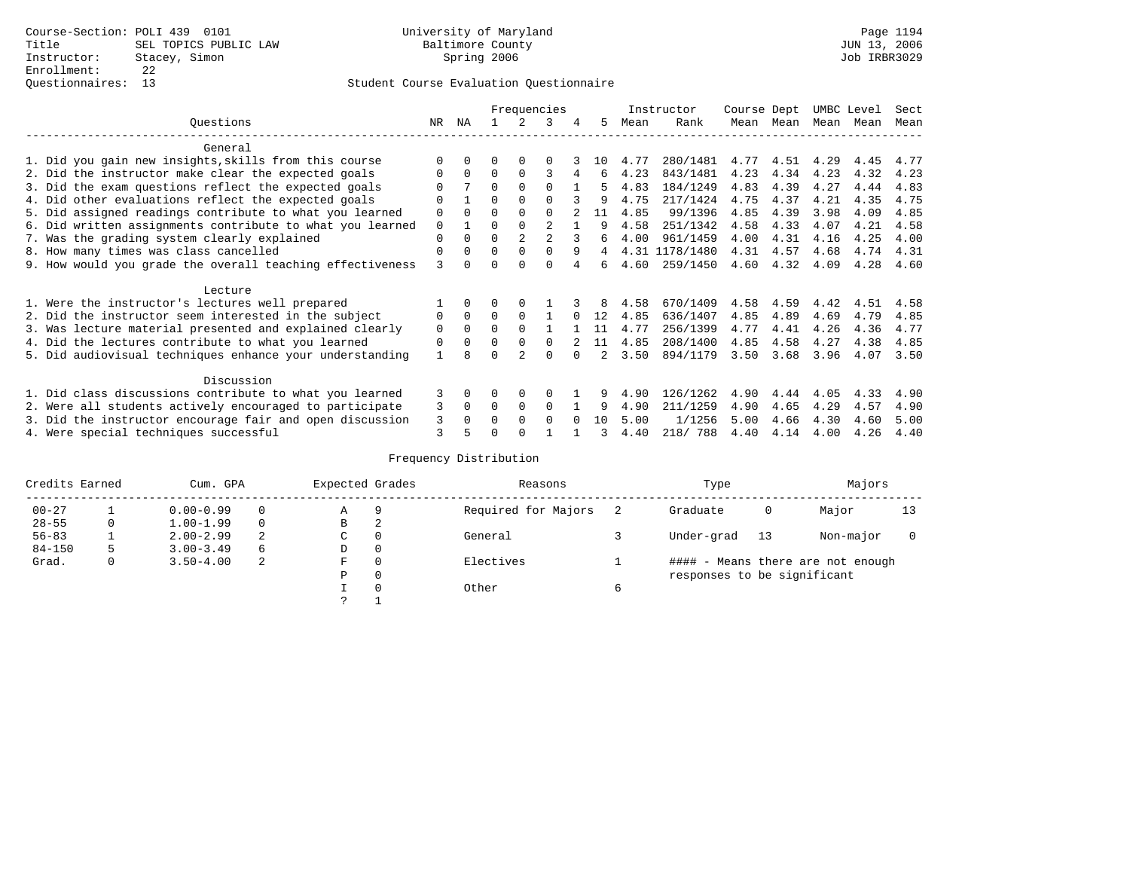|                                                           |          |          |          |          | Frequencies    |   |     |      | Instructor     | Course Dept |      | UMBC Level |      | Sect |
|-----------------------------------------------------------|----------|----------|----------|----------|----------------|---|-----|------|----------------|-------------|------|------------|------|------|
| Questions                                                 | NR.      | ΝA       |          |          | 3              | 4 | 5.  | Mean | Rank           | Mean        | Mean | Mean       | Mean | Mean |
| General                                                   |          |          |          |          |                |   |     |      |                |             |      |            |      |      |
| 1. Did you gain new insights, skills from this course     |          | $\Omega$ | U        | $\Omega$ | O              |   | 1 O | 4.77 | 280/1481       | 4.77        | 4.51 | 4.29       | 4.45 | 4.77 |
| 2. Did the instructor make clear the expected goals       |          | $\Omega$ | $\Omega$ | $\Omega$ | 3              | 4 | 6   | 4.23 | 843/1481       | 4.23        | 4.34 | 4.23       | 4.32 | 4.23 |
| 3. Did the exam questions reflect the expected goals      |          |          | O        | $\Omega$ | $\Omega$       |   |     | 4.83 | 184/1249       | 4.83        | 4.39 | 4.27       | 4.44 | 4.83 |
| 4. Did other evaluations reflect the expected goals       | $\Omega$ |          | O        | $\Omega$ | $\Omega$       |   |     | 4.75 | 217/1424       | 4.75        | 4.37 | 4.21       | 4.35 | 4.75 |
| 5. Did assigned readings contribute to what you learned   | 0        | $\Omega$ |          | $\Omega$ | $\Omega$       |   | 11  | 4.85 | 99/1396        | 4.85        | 4.39 | 3.98       | 4.09 | 4.85 |
| 6. Did written assignments contribute to what you learned | 0        |          |          |          | $\mathfrak{D}$ |   | 9   | 4.58 | 251/1342       | 4.58        | 4.33 | 4.07       | 4.21 | 4.58 |
| 7. Was the grading system clearly explained               | 0        |          |          |          | $\mathfrak{D}$ |   |     | 4.00 | 961/1459       | 4.00        | 4.31 | 4.16       | 4.25 | 4.00 |
| 8. How many times was class cancelled                     | $\Omega$ | $\Omega$ | 0        | $\Omega$ | $\Omega$       | 9 | 4   |      | 4.31 1178/1480 | 4.31        | 4.57 | 4.68       | 4.74 | 4.31 |
| 9. How would you grade the overall teaching effectiveness | ζ        |          |          |          | U              |   |     | 4.60 | 259/1450       | 4.60        | 4.32 | 4.09       | 4.28 | 4.60 |
| Lecture                                                   |          |          |          |          |                |   |     |      |                |             |      |            |      |      |
| 1. Were the instructor's lectures well prepared           |          |          |          |          |                |   |     | 4.58 | 670/1409       | 4.58        | 4.59 | 4.42       | 4.51 | 4.58 |
| 2. Did the instructor seem interested in the subject      | 0        | $\Omega$ | $\Omega$ | $\Omega$ |                |   | 12  | 4.85 | 636/1407       | 4.85        | 4.89 | 4.69       | 4.79 | 4.85 |
| 3. Was lecture material presented and explained clearly   | 0        | $\Omega$ | 0        | $\Omega$ |                |   | 11  | 4.77 | 256/1399       | 4.77        | 4.41 | 4.26       | 4.36 | 4.77 |
| 4. Did the lectures contribute to what you learned        | 0        | $\Omega$ |          | $\Omega$ | <sup>0</sup>   |   | 11  | 4.85 | 208/1400       | 4.85        | 4.58 | 4.27       | 4.38 | 4.85 |
| 5. Did audiovisual techniques enhance your understanding  |          | R        |          |          |                |   |     | 3.50 | 894/1179       | 3.50        | 3.68 | 3.96       | 4.07 | 3.50 |
| Discussion                                                |          |          |          |          |                |   |     |      |                |             |      |            |      |      |
| 1. Did class discussions contribute to what you learned   | 3        | $\Omega$ | U        | $\Omega$ | O              |   |     | 4.90 | 126/1262       | 4.90        | 4.44 | 4.05       | 4.33 | 4.90 |
| 2. Were all students actively encouraged to participate   | 3        | $\Omega$ | $\Omega$ | 0        | $\Omega$       |   | 9   | 4.90 | 211/1259       | 4.90        | 4.65 | 4.29       | 4.57 | 4.90 |
| 3. Did the instructor encourage fair and open discussion  | 3        | $\Omega$ | U        | $\Omega$ | <sup>0</sup>   |   | 1 O | 5.00 | 1/1256         | 5.00        | 4.66 | 4.30       | 4.60 | 5.00 |
| 4. Were special techniques successful                     | 3        |          |          |          |                |   |     | 4.40 | 218/ 788       | 4.40        | 4.14 | 4.00       | 4.26 | 4.40 |

| Credits Earned |   | Cum. GPA      |   | Expected Grades |          | Reasons             |   | Type                        |     | Majors                            |    |
|----------------|---|---------------|---|-----------------|----------|---------------------|---|-----------------------------|-----|-----------------------------------|----|
| $00 - 27$      |   | $0.00 - 0.99$ |   | Α               | 9        | Required for Majors |   | Graduate                    | 0   | Major                             | 13 |
| $28 - 55$      | 0 | $1.00 - 1.99$ |   | В               | 2        |                     |   |                             |     |                                   |    |
| $56 - 83$      |   | $2.00 - 2.99$ | 2 | $\sim$<br>◡     | 0        | General             |   | Under-grad                  | -13 | Non-major                         |    |
| $84 - 150$     | 5 | $3.00 - 3.49$ | 6 | D               | 0        |                     |   |                             |     |                                   |    |
| Grad.          | 0 | $3.50 - 4.00$ | 2 | F               | 0        | Electives           |   |                             |     | #### - Means there are not enough |    |
|                |   |               |   | Ρ               | 0        |                     |   | responses to be significant |     |                                   |    |
|                |   |               |   |                 | $\Omega$ | Other               | 6 |                             |     |                                   |    |
|                |   |               |   | C               |          |                     |   |                             |     |                                   |    |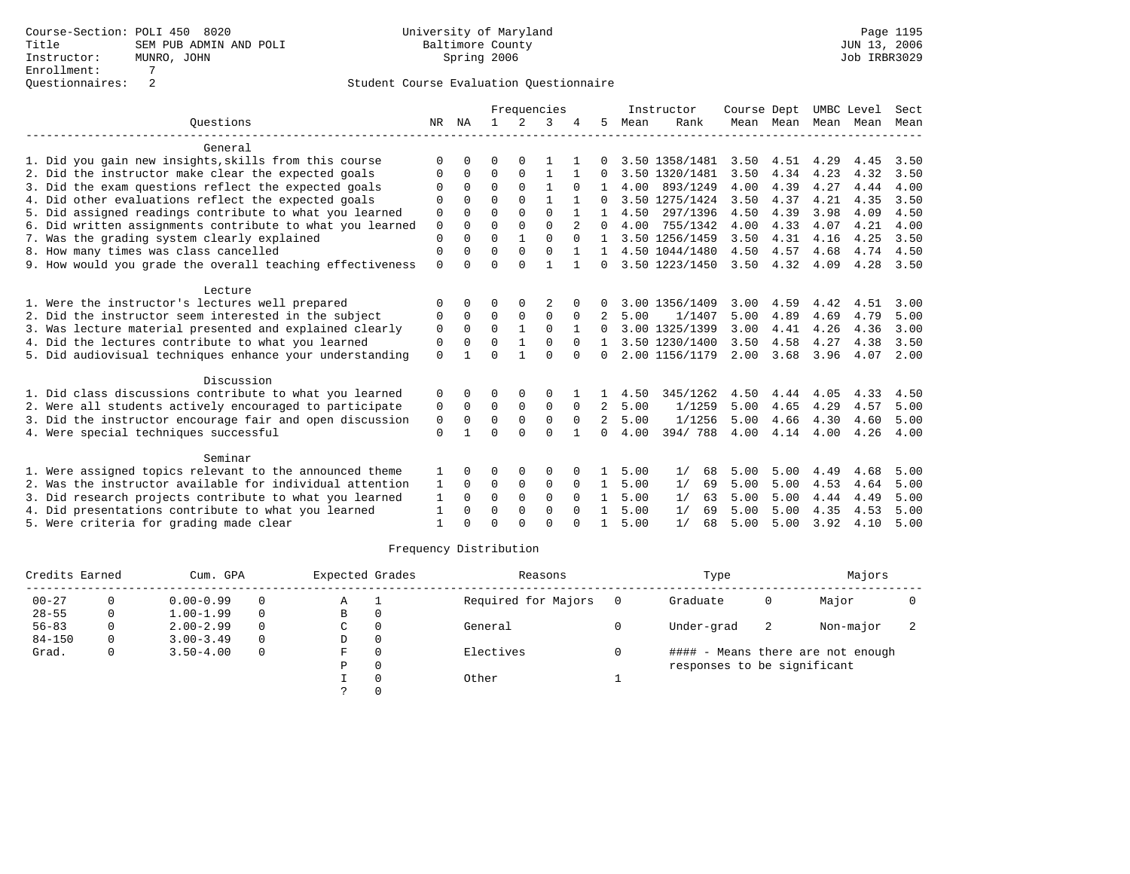|                                                           |             |          |              |          | Frequencies  |          |              |      | Instructor     | Course Dept |           | UMBC Level |      | Sect |
|-----------------------------------------------------------|-------------|----------|--------------|----------|--------------|----------|--------------|------|----------------|-------------|-----------|------------|------|------|
| Ouestions                                                 | NR.         | NA       | $\mathbf{1}$ | $2^{1}$  | 3            |          | 5            | Mean | Rank           |             | Mean Mean | Mean       | Mean | Mean |
| General                                                   |             |          |              |          |              |          |              |      |                |             |           |            |      |      |
| 1. Did you gain new insights, skills from this course     | ∩           |          | $\Omega$     |          |              |          |              |      | 3.50 1358/1481 | 3.50        | 4.51      | 4.29       | 4.45 | 3.50 |
| 2. Did the instructor make clear the expected goals       | O           | $\Omega$ | $\Omega$     | $\Omega$ | $\mathbf{1}$ |          | <sup>0</sup> |      | 3.50 1320/1481 | 3.50        | 4.34      | 4.23       | 4.32 | 3.50 |
| 3. Did the exam questions reflect the expected goals      | ∩           | $\Omega$ | $\Omega$     | $\Omega$ |              | $\Omega$ |              | 4.00 | 893/1249       | 4.00        | 4.39      | 4.27       | 4.44 | 4.00 |
| 4. Did other evaluations reflect the expected goals       | $\Omega$    |          | $\Omega$     | $\Omega$ | 1            |          | <sup>0</sup> |      | 3.50 1275/1424 | 3.50        | 4.37      | 4.21       | 4.35 | 3.50 |
| 5. Did assigned readings contribute to what you learned   | 0           | $\Omega$ | $\Omega$     | $\Omega$ | $\Omega$     |          |              | 4.50 | 297/1396       | 4.50        | 4.39      | 3.98       | 4.09 | 4.50 |
| 6. Did written assignments contribute to what you learned | $\mathbf 0$ | $\Omega$ | $\Omega$     | $\Omega$ | $\Omega$     | 2        | $\Omega$     | 4.00 | 755/1342       | 4.00        | 4.33      | 4.07       | 4.21 | 4.00 |
| 7. Was the grading system clearly explained               | $\Omega$    |          | $\Omega$     |          | $\Omega$     |          |              |      | 3.50 1256/1459 | 3.50        | 4.31      | 4.16       | 4.25 | 3.50 |
| 8. How many times was class cancelled                     | 0           | $\Omega$ | $\Omega$     | $\Omega$ | $\Omega$     |          | $\mathbf{1}$ |      | 4.50 1044/1480 | 4.50        | 4.57      | 4.68       | 4.74 | 4.50 |
| 9. How would you grade the overall teaching effectiveness | $\mathbf 0$ |          | $\Omega$     | $\cap$   |              |          | $\Omega$     |      | 3.50 1223/1450 | 3.50        | 4.32      | 4.09       | 4.28 | 3.50 |
| Lecture                                                   |             |          |              |          |              |          |              |      |                |             |           |            |      |      |
| 1. Were the instructor's lectures well prepared           | $\Omega$    |          | O            |          |              |          |              |      | 3.00 1356/1409 | 3.00        | 4.59      | 4.42       | 4.51 | 3.00 |
| 2. Did the instructor seem interested in the subject      | $\Omega$    | $\Omega$ | $\Omega$     | $\Omega$ | $\Omega$     |          |              | 5.00 | 1/1407         | 5.00        | 4.89      | 4.69       | 4.79 | 5.00 |
| 3. Was lecture material presented and explained clearly   | 0           | $\Omega$ | $\Omega$     |          | $\Omega$     |          | $\Omega$     |      | 3.00 1325/1399 | 3.00        | 4.41      | 4.26       | 4.36 | 3.00 |
| 4. Did the lectures contribute to what you learned        | 0           | $\Omega$ | $\Omega$     |          | $\Omega$     | $\Omega$ |              |      | 3.50 1230/1400 | 3.50        | 4.58      | 4.27       | 4.38 | 3.50 |
| 5. Did audiovisual techniques enhance your understanding  | $\Omega$    |          | $\Omega$     |          | $\Omega$     | $\Omega$ | <sup>0</sup> |      | 2.00 1156/1179 | 2.00        | 3.68      | 3.96       | 4.07 | 2.00 |
| Discussion                                                |             |          |              |          |              |          |              |      |                |             |           |            |      |      |
| 1. Did class discussions contribute to what you learned   | 0           |          | O            |          | O            |          |              | 4.50 | 345/1262       | 4.50        | 4.44      | 4.05       | 4.33 | 4.50 |
| 2. Were all students actively encouraged to participate   | 0           | $\Omega$ | $\Omega$     | $\Omega$ | $\Omega$     | $\Omega$ | 2            | 5.00 | 1/1259         | 5.00        | 4.65      | 4.29       | 4.57 | 5.00 |
| 3. Did the instructor encourage fair and open discussion  | 0           | $\Omega$ | $\Omega$     | $\Omega$ | $\mathbf 0$  | $\Omega$ | 2            | 5.00 | 1/1256         | 5.00        | 4.66      | 4.30       | 4.60 | 5.00 |
| 4. Were special techniques successful                     | $\Omega$    |          | $\Omega$     | $\Omega$ | $\Omega$     |          | $\Omega$     | 4.00 | 394/788        | 4.00        | 4.14      | 4.00       | 4.26 | 4.00 |
| Seminar                                                   |             |          |              |          |              |          |              |      |                |             |           |            |      |      |
| 1. Were assigned topics relevant to the announced theme   |             |          |              |          | $\Omega$     |          |              | 5.00 | 1/<br>68       | 5.00        | 5.00      | 4.49       | 4.68 | 5.00 |
| 2. Was the instructor available for individual attention  | 1           | $\Omega$ | 0            | 0        | 0            | $\Omega$ | $\mathbf{1}$ | 5.00 | 1/<br>69       | 5.00        | 5.00      | 4.53       | 4.64 | 5.00 |
| 3. Did research projects contribute to what you learned   | 1           | $\Omega$ | $\Omega$     | $\Omega$ | 0            | $\Omega$ | 1.           | 5.00 | 63<br>1/       | 5.00        | 5.00      | 4.44       | 4.49 | 5.00 |
| 4. Did presentations contribute to what you learned       |             | $\Omega$ | $\Omega$     | $\Omega$ | $\Omega$     | $\Omega$ |              | 5.00 | 1/<br>69       | 5.00        | 5.00      | 4.35       | 4.53 | 5.00 |
| 5. Were criteria for grading made clear                   |             |          | $\Omega$     |          | $\cap$       |          |              | 5.00 | 1/<br>68       | 5.00        | 5.00      | 3.92       | 4.10 | 5.00 |

| Credits Earned |   | Cum. GPA      |   | Expected Grades |          | Reasons             | Type                        |    | Majors                            |  |
|----------------|---|---------------|---|-----------------|----------|---------------------|-----------------------------|----|-----------------------------------|--|
| $00 - 27$      |   | $0.00 - 0.99$ |   | Α               |          | Required for Majors | Graduate                    | 0  | Major                             |  |
| $28 - 55$      | 0 | $1.00 - 1.99$ |   | В               | 0        |                     |                             |    |                                   |  |
| $56 - 83$      | 0 | $2.00 - 2.99$ | 0 | C.              | 0        | General             | Under-grad                  | -2 | Non-major                         |  |
| $84 - 150$     |   | $3.00 - 3.49$ |   | D               | 0        |                     |                             |    |                                   |  |
| Grad.          | 0 | $3.50 - 4.00$ | 0 | F               | $\Omega$ | Electives           |                             |    | #### - Means there are not enough |  |
|                |   |               |   | Ρ               | 0        |                     | responses to be significant |    |                                   |  |
|                |   |               |   |                 | $\Omega$ | Other               |                             |    |                                   |  |
|                |   |               |   |                 |          |                     |                             |    |                                   |  |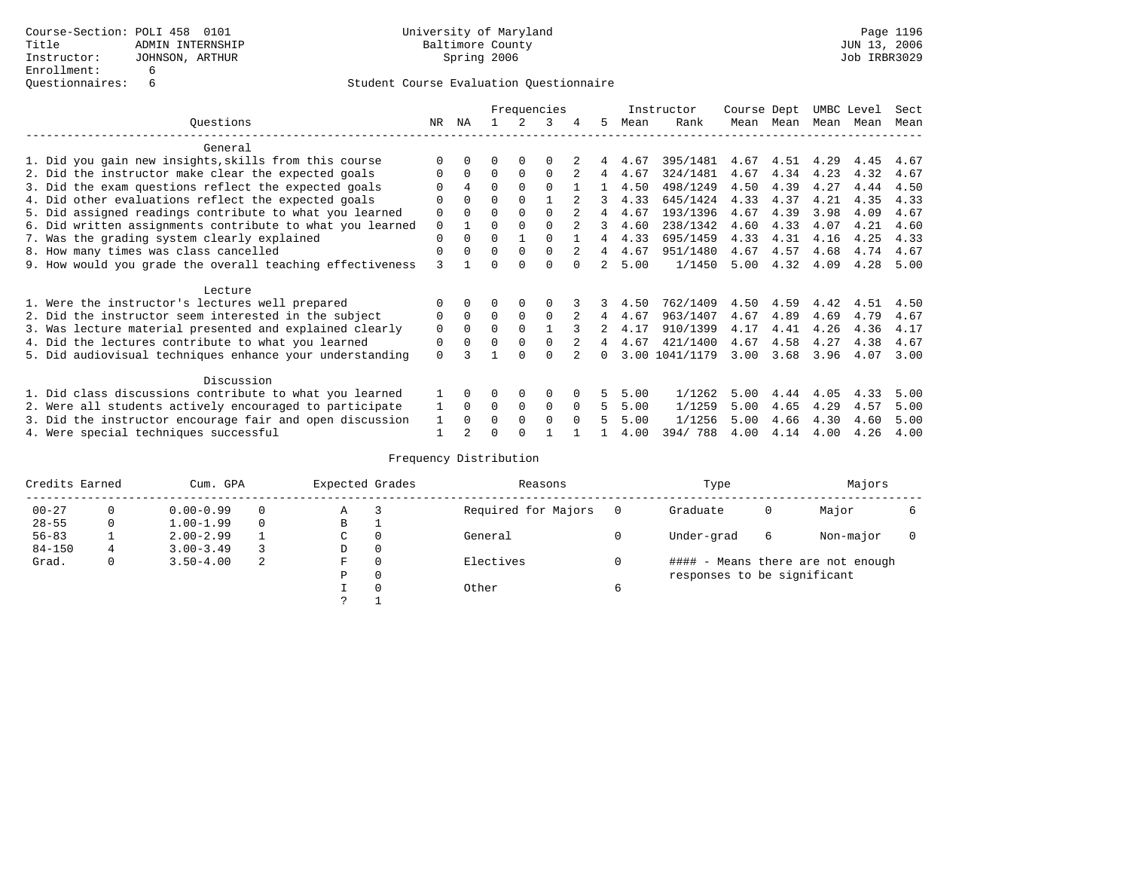|                                                           |             |              |          |          | Frequencies |          |    |      | Instructor | Course Dept |      | UMBC Level |      | Sect |
|-----------------------------------------------------------|-------------|--------------|----------|----------|-------------|----------|----|------|------------|-------------|------|------------|------|------|
| Ouestions                                                 | NR.         | ΝA           |          |          | 3           |          | 5. | Mean | Rank       | Mean        | Mean | Mean       | Mean | Mean |
| General                                                   |             |              |          |          |             |          |    |      |            |             |      |            |      |      |
| 1. Did you gain new insights, skills from this course     | ∩           |              | O        | 0        | $\Omega$    |          |    | 4.67 | 395/1481   | 4.67        | 4.51 | 4.29       | 4.45 | 4.67 |
| 2. Did the instructor make clear the expected goals       | $\Omega$    | $\Omega$     | $\Omega$ | $\Omega$ | $\Omega$    |          | 4  | 4.67 | 324/1481   | 4.67        | 4.34 | 4.23       | 4.32 | 4.67 |
| 3. Did the exam questions reflect the expected goals      |             | 4            | $\Omega$ | $\Omega$ | $\Omega$    |          |    | 4.50 | 498/1249   | 4.50        | 4.39 | 4.27       | 4.44 | 4.50 |
| 4. Did other evaluations reflect the expected goals       | $\Omega$    |              | $\Omega$ |          |             |          |    | 4.33 | 645/1424   | 4.33        | 4.37 | 4.21       | 4.35 | 4.33 |
| 5. Did assigned readings contribute to what you learned   | 0           |              | $\Omega$ |          | $\Omega$    |          | 4  | 4.67 | 193/1396   | 4.67        | 4.39 | 3.98       | 4.09 | 4.67 |
| 6. Did written assignments contribute to what you learned | $\mathbf 0$ |              | $\Omega$ |          |             |          | 3  | 4.60 | 238/1342   | 4.60        | 4.33 | 4.07       | 4.21 | 4.60 |
| 7. Was the grading system clearly explained               | $\Omega$    |              | $\Omega$ |          | $\cap$      |          | 4  | 4.33 | 695/1459   | 4.33        | 4.31 | 4.16       | 4.25 | 4.33 |
| 8. How many times was class cancelled                     | $\Omega$    | <sup>0</sup> | $\Omega$ | $\Omega$ | $\Omega$    |          | 4  | 4.67 | 951/1480   | 4.67        | 4.57 | 4.68       | 4.74 | 4.67 |
| 9. How would you grade the overall teaching effectiveness | 3           |              | U        | ∩        | $\cap$      | $\cap$   |    | 5.00 | 1/1450     | 5.00        | 4.32 | 4.09       | 4.28 | 5.00 |
| Lecture                                                   |             |              |          |          |             |          |    |      |            |             |      |            |      |      |
| 1. Were the instructor's lectures well prepared           |             |              |          |          |             |          |    | 4.50 | 762/1409   | 4.50        | 4.59 | 4.42       | 4.51 | 4.50 |
| 2. Did the instructor seem interested in the subject      | 0           | $\Omega$     | $\Omega$ | $\Omega$ | $\Omega$    |          | 4  | 4.67 | 963/1407   | 4.67        | 4.89 | 4.69       | 4.79 | 4.67 |
| 3. Was lecture material presented and explained clearly   | $\mathbf 0$ | $\Omega$     | $\Omega$ |          |             |          |    | 4.17 | 910/1399   | 4.17        | 4.41 | 4.26       | 4.36 | 4.17 |
| 4. Did the lectures contribute to what you learned        | 0           |              | $\Omega$ |          | $\Omega$    |          | 4  | 4.67 | 421/1400   | 4.67        | 4.58 | 4.27       | 4.38 | 4.67 |
| 5. Did audiovisual techniques enhance your understanding  | $\Omega$    |              |          |          | $\cap$      |          |    | 3.00 | 1041/1179  | 3.00        | 3.68 | 3.96       | 4.07 | 3.00 |
| Discussion                                                |             |              |          |          |             |          |    |      |            |             |      |            |      |      |
| 1. Did class discussions contribute to what you learned   |             |              | 0        | 0        | $\Omega$    |          |    | 5.00 | 1/1262     | 5.00        | 4.44 | 4.05       | 4.33 | 5.00 |
| 2. Were all students actively encouraged to participate   |             | $\Omega$     | 0        | 0        | $\Omega$    | $\Omega$ | 5  | 5.00 | 1/1259     | 5.00        | 4.65 | 4.29       | 4.57 | 5.00 |
| 3. Did the instructor encourage fair and open discussion  |             |              | O        | $\Omega$ | $\Omega$    | $\Omega$ |    | 5.00 | 1/1256     | 5.00        | 4.66 | 4.30       | 4.60 | 5.00 |
| 4. Were special techniques successful                     |             |              | U        |          |             |          |    | 4.00 | 394/788    | 4.00        | 4.14 | 4.00       | 4.26 | 4.00 |

| Credits Earned |          | Cum. GPA      |   | Expected Grades |          | Reasons             |   | Type                        |   | Majors                            |  |
|----------------|----------|---------------|---|-----------------|----------|---------------------|---|-----------------------------|---|-----------------------------------|--|
| $00 - 27$      | $\Omega$ | $0.00 - 0.99$ |   | Α               |          | Required for Majors | 0 | Graduate                    | 0 | Major                             |  |
| $28 - 55$      | 0        | $1.00 - 1.99$ |   | В               | ÷        |                     |   |                             |   |                                   |  |
| $56 - 83$      |          | $2.00 - 2.99$ |   | $\sim$<br>◡     | 0        | General             |   | Under-grad                  | 6 | Non-major                         |  |
| $84 - 150$     | 4        | $3.00 - 3.49$ |   | D               | 0        |                     |   |                             |   |                                   |  |
| Grad.          | 0        | $3.50 - 4.00$ | 2 | F               | 0        | Electives           | 0 |                             |   | #### - Means there are not enough |  |
|                |          |               |   | Ρ               | 0        |                     |   | responses to be significant |   |                                   |  |
|                |          |               |   |                 | $\Omega$ | Other               | 6 |                             |   |                                   |  |
|                |          |               |   | C               |          |                     |   |                             |   |                                   |  |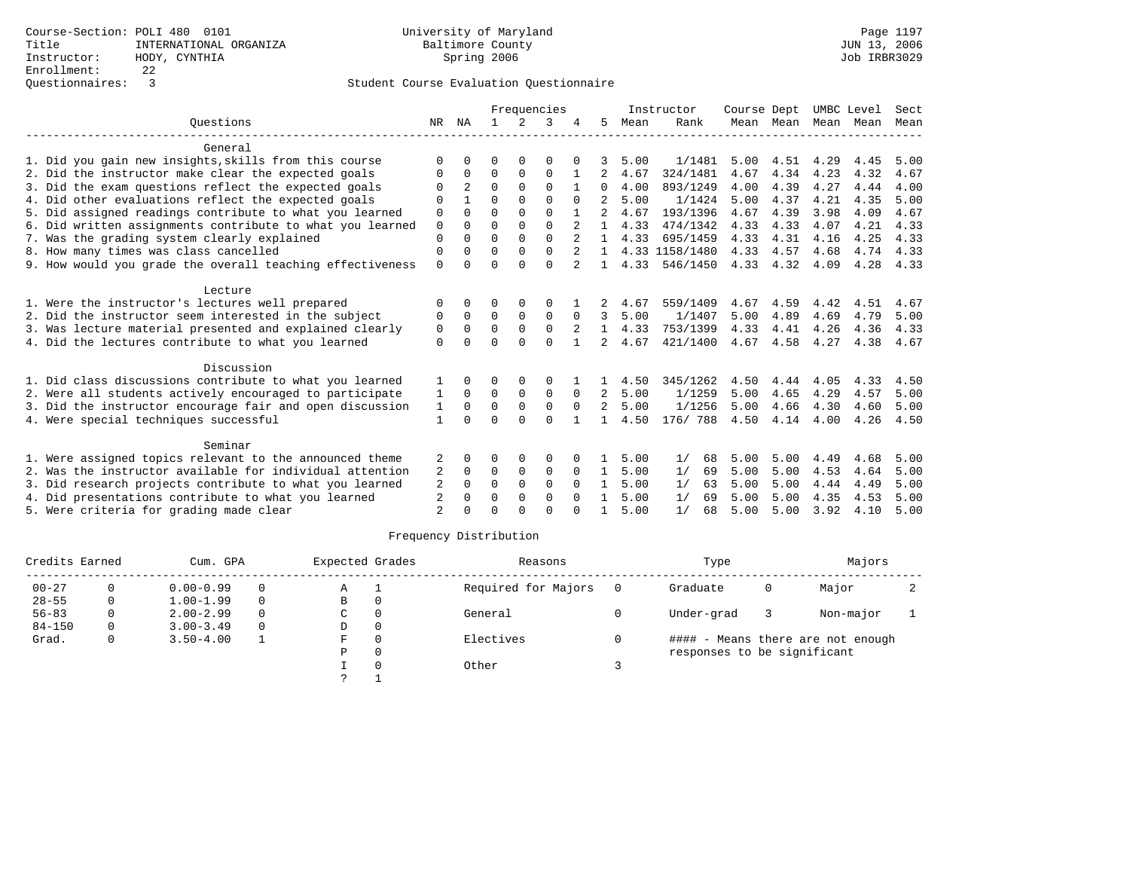|                                                           |              |          |          |             | Frequencies |          |              |      | Instructor     | Course Dept |           | UMBC Level |      | Sect |
|-----------------------------------------------------------|--------------|----------|----------|-------------|-------------|----------|--------------|------|----------------|-------------|-----------|------------|------|------|
| Ouestions                                                 | NR           | ΝA       |          | 2           | 3           |          | 5            | Mean | Rank           |             | Mean Mean | Mean Mean  |      | Mean |
| General                                                   |              |          |          |             |             |          |              |      |                |             |           |            |      |      |
| 1. Did you gain new insights, skills from this course     |              |          | ∩        |             | O           |          |              | 5.00 | 1/1481         | 5.00        | 4.51      | 4.29       | 4.45 | 5.00 |
| 2. Did the instructor make clear the expected goals       | 0            | $\Omega$ | $\Omega$ | $\Omega$    | $\Omega$    |          | 2            | 4.67 | 324/1481       | 4.67        | 4.34      | 4.23       | 4.32 | 4.67 |
| 3. Did the exam questions reflect the expected goals      | $\Omega$     | 2        | $\Omega$ | $\Omega$    | $\Omega$    |          | $\Omega$     | 4.00 | 893/1249       | 4.00        | 4.39      | 4.27       | 4.44 | 4.00 |
| 4. Did other evaluations reflect the expected goals       | O            |          | $\Omega$ | $\Omega$    | $\cap$      |          | 2            | 5.00 | 1/1424         | 5.00        | 4.37      | 4.21       | 4.35 | 5.00 |
| 5. Did assigned readings contribute to what you learned   | $\mathbf 0$  |          | $\Omega$ |             | $\Omega$    |          | 2            | 4.67 | 193/1396       | 4.67        | 4.39      | 3.98       | 4.09 | 4.67 |
| 6. Did written assignments contribute to what you learned | $\mathbf 0$  | $\Omega$ | $\Omega$ | $\Omega$    | $\Omega$    |          | $\mathbf{1}$ | 4.33 | 474/1342       | 4.33        | 4.33      | 4.07       | 4.21 | 4.33 |
| 7. Was the grading system clearly explained               | $\Omega$     | $\cap$   | $\Omega$ | $\Omega$    | $\Omega$    |          | $\mathbf{1}$ | 4.33 | 695/1459       | 4.33        | 4.31      | 4.16       | 4.25 | 4.33 |
| 8. How many times was class cancelled                     | $\Omega$     |          | $\Omega$ | $\Omega$    | $\Omega$    |          | $\mathbf{1}$ |      | 4.33 1158/1480 | 4.33        | 4.57      | 4.68       | 4.74 | 4.33 |
| 9. How would you grade the overall teaching effectiveness | $\Omega$     | $\Omega$ | $\Omega$ | $\cap$      | $\cap$      |          | $\mathbf{1}$ | 4.33 | 546/1450       | 4.33        | 4.32      | 4.09       | 4.28 | 4.33 |
| Lecture                                                   |              |          |          |             |             |          |              |      |                |             |           |            |      |      |
| 1. Were the instructor's lectures well prepared           | $\Omega$     | $\Omega$ | $\Omega$ | 0           | 0           |          |              | 4.67 | 559/1409       | 4.67        | 4.59      | 4.42       | 4.51 | 4.67 |
| 2. Did the instructor seem interested in the subject      | $\Omega$     | $\Omega$ | $\Omega$ | $\mathbf 0$ | $\Omega$    | $\Omega$ | 3            | 5.00 | 1/1407         | 5.00        | 4.89      | 4.69       | 4.79 | 5.00 |
| 3. Was lecture material presented and explained clearly   | $\mathbf 0$  | $\Omega$ | $\Omega$ | $\Omega$    | $\Omega$    |          | $\mathbf{1}$ | 4.33 | 753/1399       | 4.33        | 4.41      | 4.26       | 4.36 | 4.33 |
| 4. Did the lectures contribute to what you learned        | $\Omega$     | $\cap$   | $\Omega$ | $\cap$      | $\Omega$    |          | $2^{\circ}$  | 4.67 | 421/1400       |             | 4.67 4.58 | 4.27       | 4.38 | 4.67 |
| Discussion                                                |              |          |          |             |             |          |              |      |                |             |           |            |      |      |
| 1. Did class discussions contribute to what you learned   |              |          | $\Omega$ | 0           | 0           |          |              | 4.50 | 345/1262       | 4.50        | 4.44      | 4.05       | 4.33 | 4.50 |
| 2. Were all students actively encouraged to participate   | 1            | $\Omega$ | 0        | $\mathbf 0$ | 0           | $\Omega$ | 2            | 5.00 | 1/1259         | 5.00        | 4.65      | 4.29       | 4.57 | 5.00 |
| 3. Did the instructor encourage fair and open discussion  | 1            | $\Omega$ | $\Omega$ | $\Omega$    | $\Omega$    | $\Omega$ | 2            | 5.00 | 1/1256         | 5.00        | 4.66      | 4.30       | 4.60 | 5.00 |
| 4. Were special techniques successful                     | $\mathbf{1}$ | $\Omega$ | $\Omega$ | $\Omega$    | $\Omega$    |          | $\mathbf{1}$ | 4.50 | 176/788        | 4.50        | 4.14 4.00 |            | 4.26 | 4.50 |
|                                                           |              |          |          |             |             |          |              |      |                |             |           |            |      |      |
| Seminar                                                   |              |          |          |             |             |          |              |      |                |             |           |            |      |      |
| 1. Were assigned topics relevant to the announced theme   | 2            |          | 0        | 0           | $\Omega$    |          |              | 5.00 | 1/<br>68       | 5.00        | 5.00      | 4.49       | 4.68 | 5.00 |
| 2. Was the instructor available for individual attention  | 2            | $\Omega$ | $\Omega$ | $\Omega$    | 0           | $\Omega$ | $\mathbf{1}$ | 5.00 | 69<br>1/       | 5.00        | 5.00      | 4.53       | 4.64 | 5.00 |
| 3. Did research projects contribute to what you learned   | 2            | $\Omega$ | $\Omega$ | $\Omega$    | $\Omega$    | $\Omega$ | 1.           | 5.00 | 1/<br>63       | 5.00        | 5.00      | 4.44       | 4.49 | 5.00 |
| 4. Did presentations contribute to what you learned       | 2            | $\Omega$ | $\Omega$ | $\Omega$    | $\Omega$    | $\Omega$ |              | 5.00 | 1/<br>69       | 5.00        | 5.00      | 4.35       | 4.53 | 5.00 |
| 5. Were criteria for grading made clear                   | 2            | $\cap$   | ∩        | $\cap$      | ∩           |          |              | 5.00 | 1/<br>68       | 5.00        | 5.00      | 3.92       | 4.10 | 5.00 |

| Credits Earned |          | Cum. GPA      |          | Expected Grades |          | Reasons             |     | Type                        |   | Majors                            |   |
|----------------|----------|---------------|----------|-----------------|----------|---------------------|-----|-----------------------------|---|-----------------------------------|---|
| $00 - 27$      | 0        | $0.00 - 0.99$ | $\Omega$ | Α               |          | Required for Majors | - 0 | Graduate                    | 0 | Major                             | ∠ |
| $28 - 55$      | 0        | $1.00 - 1.99$ | $\Omega$ | в               | 0        |                     |     |                             |   |                                   |   |
| $56 - 83$      | 0        | $2.00 - 2.99$ | $\Omega$ | C               | $\Omega$ | General             |     | Under-grad                  |   | Non-major                         |   |
| $84 - 150$     | $\Omega$ | $3.00 - 3.49$ | $\Omega$ | D               | 0        |                     |     |                             |   |                                   |   |
| Grad.          | $\Omega$ | $3.50 - 4.00$ |          | F.              | $\Omega$ | Electives           |     |                             |   | #### - Means there are not enough |   |
|                |          |               |          | Ρ               | 0        |                     |     | responses to be significant |   |                                   |   |
|                |          |               |          |                 |          | Other               |     |                             |   |                                   |   |
|                |          |               |          |                 |          |                     |     |                             |   |                                   |   |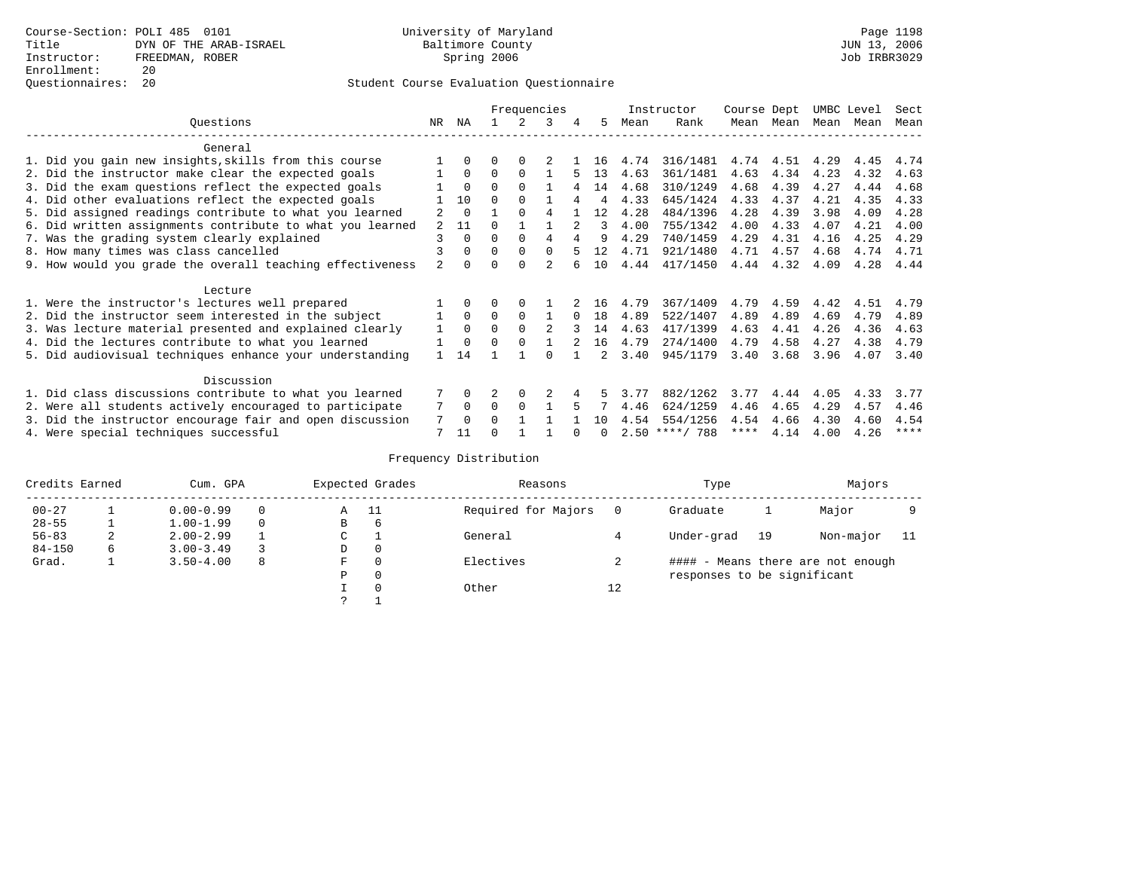## Questionnaires: 20 Student Course Evaluation Questionnaire

|                                                           |                |             |          |          | Frequencies    |          |              |      | Instructor       | Course Dept |           | UMBC Level |      | Sect        |
|-----------------------------------------------------------|----------------|-------------|----------|----------|----------------|----------|--------------|------|------------------|-------------|-----------|------------|------|-------------|
| Ouestions                                                 | NR.            | ΝA          |          |          | 3              | 4        | 5.           | Mean | Rank             | Mean        | Mean      | Mean       | Mean | Mean        |
| General                                                   |                |             |          |          |                |          |              |      |                  |             |           |            |      |             |
| 1. Did you gain new insights, skills from this course     |                | $\Omega$    | O        | $\Omega$ |                |          | 16           | 4.74 | 316/1481         |             | 4.74 4.51 | 4.29       | 4.45 | 4.74        |
| 2. Did the instructor make clear the expected goals       |                | $\Omega$    | $\Omega$ | $\Omega$ |                |          | 13           | 4.63 | 361/1481         | 4.63        | 4.34      | 4.23       | 4.32 | 4.63        |
| 3. Did the exam questions reflect the expected goals      |                | $\Omega$    | $\Omega$ | $\Omega$ |                | 4        | 14           | 4.68 | 310/1249         | 4.68        | 4.39      | 4.27       | 4.44 | 4.68        |
| 4. Did other evaluations reflect the expected goals       |                | 10          | $\Omega$ | $\Omega$ |                | 4        | 4            | 4.33 | 645/1424         | 4.33        | 4.37      | 4.21       | 4.35 | 4.33        |
| 5. Did assigned readings contribute to what you learned   |                | $\Omega$    |          | $\Omega$ | 4              |          | 12           | 4.28 | 484/1396         | 4.28        | 4.39      | 3.98       | 4.09 | 4.28        |
| 6. Did written assignments contribute to what you learned | $\mathfrak{D}$ | 11          | $\cap$   |          |                |          | 3            | 4.00 | 755/1342         | 4.00        | 4.33      | 4.07       | 4.21 | 4.00        |
| 7. Was the grading system clearly explained               | 3              | $\Omega$    | $\Omega$ | $\Omega$ | 4              |          | q            | 4.29 | 740/1459         | 4.29        | 4.31      | 4.16       | 4.25 | 4.29        |
| 8. How many times was class cancelled                     |                | $\Omega$    | $\Omega$ | $\Omega$ | $\Omega$       |          | 12           | 4.71 | 921/1480         | 4.71        | 4.57      | 4.68       | 4.74 | 4.71        |
| 9. How would you grade the overall teaching effectiveness | $\mathfrak{D}$ | $\cap$      | U        | $\cap$   | $\mathfrak{D}$ |          | 10           | 4.44 | 417/1450         | 4.44        | 4.32      | 4.09       | 4.28 | 4.44        |
|                                                           |                |             |          |          |                |          |              |      |                  |             |           |            |      |             |
| Lecture                                                   |                |             |          |          |                |          |              |      |                  |             |           |            |      |             |
| 1. Were the instructor's lectures well prepared           |                |             |          |          |                |          | 16           | 4.79 | 367/1409         | 4.79        | 4.59      | 4.42       | 4.51 | 4.79        |
| 2. Did the instructor seem interested in the subject      |                | $\Omega$    | $\Omega$ | $\Omega$ |                | $\Omega$ | 18           | 4.89 | 522/1407         | 4.89        | 4.89      | 4.69       | 4.79 | 4.89        |
| 3. Was lecture material presented and explained clearly   | 1              | $\Omega$    | $\Omega$ | $\Omega$ |                |          | 14           | 4.63 | 417/1399         | 4.63        | 4.41      | 4.26       | 4.36 | 4.63        |
| 4. Did the lectures contribute to what you learned        |                | $\Omega$    | $\Omega$ | $\Omega$ |                |          | 16           | 4.79 | 274/1400         | 4.79        | 4.58      | 4.27       | 4.38 | 4.79        |
| 5. Did audiovisual techniques enhance your understanding  |                | 14          |          |          |                |          |              | 3.40 | 945/1179         | 3.40        | 3.68      | 3.96       | 4.07 | 3.40        |
|                                                           |                |             |          |          |                |          |              |      |                  |             |           |            |      |             |
| Discussion                                                |                |             |          |          |                |          |              |      |                  |             |           |            |      |             |
| 1. Did class discussions contribute to what you learned   |                | $\Omega$    |          | $\Omega$ |                |          |              | 3.77 | 882/1262         | 3.77        | 4.44      | 4.05       | 4.33 | 3.77        |
| 2. Were all students actively encouraged to participate   |                | $\mathbf 0$ | $\Omega$ | $\Omega$ |                |          |              | 4.46 | 624/1259         | 4.46        | 4.65      | 4.29       | 4.57 | 4.46        |
| 3. Did the instructor encourage fair and open discussion  | 7              | $\Omega$    | 0        |          |                |          | 1 O          | 4.54 | 554/1256         | 4.54        | 4.66      | 4.30       | 4.60 | 4.54        |
| 4. Were special techniques successful                     | 7              | 11          |          |          |                |          | <sup>n</sup> |      | $2.50$ ****/ 788 | ****        | 4.14      | 4.00       | 4.26 | $***$ * * * |

| Credits Earned |   | Cum. GPA      |   |             | Expected Grades | Reasons             |    | Type                        |    | Majors                            |  |
|----------------|---|---------------|---|-------------|-----------------|---------------------|----|-----------------------------|----|-----------------------------------|--|
| $00 - 27$      |   | $0.00 - 0.99$ |   | Α           | - 11            | Required for Majors | 0  | Graduate                    |    | Major                             |  |
| $28 - 55$      | ᅩ | $1.00 - 1.99$ |   | В           | 6               |                     |    |                             |    |                                   |  |
| $56 - 83$      | 2 | $2.00 - 2.99$ |   | $\sim$<br>◡ |                 | General             |    | Under-grad                  | 19 | Non-major                         |  |
| $84 - 150$     | 6 | $3.00 - 3.49$ |   | D           | 0               |                     |    |                             |    |                                   |  |
| Grad.          |   | $3.50 - 4.00$ | 8 | F           | 0               | Electives           |    |                             |    | #### - Means there are not enough |  |
|                |   |               |   | Ρ           | 0               |                     |    | responses to be significant |    |                                   |  |
|                |   |               |   |             | $\Omega$        | Other               | 12 |                             |    |                                   |  |
|                |   |               |   | C           |                 |                     |    |                             |    |                                   |  |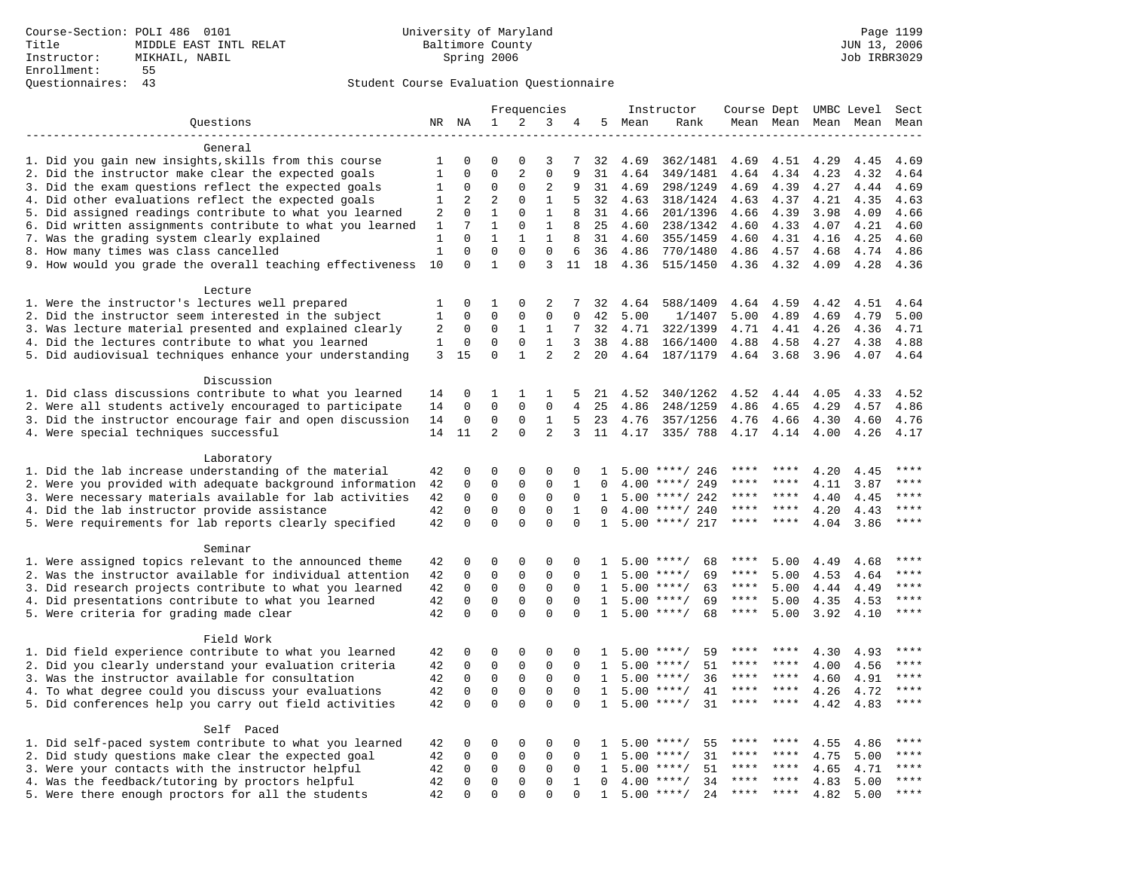|                                                            |                |                            |                             |                         | Frequencies                |                         |              |              | Instructor              | Course Dept UMBC Level |                     |      |      | Sect        |
|------------------------------------------------------------|----------------|----------------------------|-----------------------------|-------------------------|----------------------------|-------------------------|--------------|--------------|-------------------------|------------------------|---------------------|------|------|-------------|
| Questions                                                  |                | NR NA                      | $\mathbf 1$                 | 2                       | 3                          | 4                       | 5            | Mean         | Rank                    |                        | Mean Mean Mean Mean |      |      | Mean        |
|                                                            |                |                            |                             |                         |                            |                         |              |              |                         |                        |                     |      |      |             |
| General                                                    |                |                            |                             |                         |                            |                         |              |              |                         |                        |                     |      |      |             |
| 1. Did you gain new insights, skills from this course      | 1              | $\Omega$                   | $\mathbf 0$                 | $\Omega$                | 3                          |                         | 32           | 4.69         | 362/1481                | 4.69                   | 4.51                | 4.29 | 4.45 | 4.69        |
| 2. Did the instructor make clear the expected goals        | $\mathbf{1}$   | $\mathbf 0$                | $\mathbf{0}$                | $\overline{2}$          | $\mathbf 0$                | 9                       | 31           | 4.64         | 349/1481                | 4.64                   | 4.34                | 4.23 | 4.32 | 4.64        |
| 3. Did the exam questions reflect the expected goals       | 1              | $\Omega$                   | $\Omega$                    | $\Omega$                | $\overline{c}$             | 9                       | 31           | 4.69         | 298/1249                | 4.69                   | 4.39                | 4.27 | 4.44 | 4.69        |
| 4. Did other evaluations reflect the expected goals        | $\mathbf{1}$   | 2                          | $\overline{2}$              | $\mathbf 0$             | $\mathbf{1}$               | 5                       | 32           | 4.63         | 318/1424                | 4.63                   | 4.37                | 4.21 | 4.35 | 4.63        |
| 5. Did assigned readings contribute to what you learned    | 2              | $\mathbf 0$                | $\mathbf{1}$                | $\mathbf 0$             | $\mathbf{1}$               | 8                       | 31           | 4.66         | 201/1396                | 4.66                   | 4.39                | 3.98 | 4.09 | 4.66        |
| 6. Did written assignments contribute to what you learned  | 1              | 7                          | $\mathbf{1}$                | $\mathbf 0$             | $\mathbf{1}$               | 8                       | 25           | 4.60         | 238/1342                | 4.60                   | 4.33                | 4.07 | 4.21 | 4.60        |
| 7. Was the grading system clearly explained                | 1              | $\Omega$                   | $\mathbf{1}$                | $\mathbf{1}$            | $\mathbf{1}$               | 8                       | 31           | 4.60         | 355/1459                | 4.60                   | 4.31                | 4.16 | 4.25 | 4.60        |
| 8. How many times was class cancelled                      | $\mathbf{1}$   | $\Omega$                   | $\mathbf{0}$                | $\Omega$                | $\Omega$                   | 6                       | 36           | 4.86         | 770/1480                | 4.86                   | 4.57                | 4.68 | 4.74 | 4.86        |
| 9. How would you grade the overall teaching effectiveness  | 10             | $\Omega$                   | $\mathbf{1}$                | $\Omega$                | 3                          | 11                      | 18           | 4.36         | 515/1450                | 4.36                   | 4.32                | 4.09 | 4.28 | 4.36        |
|                                                            |                |                            |                             |                         |                            |                         |              |              |                         |                        |                     |      |      |             |
| Lecture<br>1. Were the instructor's lectures well prepared | 1              | 0                          | 1                           | $\mathbf 0$             | 2                          | 7                       | 32           | 4.64         | 588/1409                | 4.64                   | 4.59                | 4.42 | 4.51 | 4.64        |
| 2. Did the instructor seem interested in the subject       | $\mathbf{1}$   | 0                          | $\mathbf{0}$                | $\mathbf 0$             | $\mathbf{0}$               | $\Omega$                | 42           | 5.00         | 1/1407                  | 5.00                   | 4.89                | 4.69 | 4.79 | 5.00        |
| 3. Was lecture material presented and explained clearly    | $\overline{a}$ | $\mathbf 0$                | $\mathbf 0$                 | 1                       | $\mathbf{1}$               | 7                       | 32           | 4.71         | 322/1399                | 4.71                   | 4.41                | 4.26 | 4.36 | 4.71        |
| 4. Did the lectures contribute to what you learned         | $\mathbf{1}$   | $\mathbf 0$                | $\mathbf{0}$                | $\mathbf 0$             | $\mathbf{1}$               | 3                       | 38           | 4.88         | 166/1400                | 4.88                   | 4.58                | 4.27 | 4.38 | 4.88        |
| 5. Did audiovisual techniques enhance your understanding   | 3              | 15                         | $\mathbf 0$                 | $\mathbf{1}$            | $\overline{a}$             | 2                       | 20           | 4.64         | 187/1179                | 4.64                   | 3.68                | 3.96 | 4.07 | 4.64        |
|                                                            |                |                            |                             |                         |                            |                         |              |              |                         |                        |                     |      |      |             |
| Discussion                                                 |                |                            |                             |                         |                            |                         |              |              |                         |                        |                     |      |      |             |
| 1. Did class discussions contribute to what you learned    | 14             | 0                          | 1                           | 1                       | 1                          | 5                       | 21           | 4.52         | 340/1262                | 4.52                   | 4.44                | 4.05 | 4.33 | 4.52        |
| 2. Were all students actively encouraged to participate    | 14             | $\mathbf 0$                | $\mathbf 0$                 | $\mathbf 0$             | $\mathbf 0$                | $\overline{4}$          | 25           | 4.86         | 248/1259                | 4.86                   | 4.65                | 4.29 | 4.57 | 4.86        |
| 3. Did the instructor encourage fair and open discussion   | 14             | $\mathbf 0$                | $\mathbf 0$                 | $\mathbf 0$             | $\mathbf{1}$               | 5                       | 23           | 4.76         | 357/1256                | 4.76                   | 4.66                | 4.30 | 4.60 | 4.76        |
| 4. Were special techniques successful                      | 14             | 11                         | 2                           | 0                       | 2                          | 3                       | 11           | 4.17         | 335/788                 | 4.17                   | 4.14                | 4.00 | 4.26 | 4.17        |
|                                                            |                |                            |                             |                         |                            |                         |              |              |                         |                        |                     |      |      |             |
| Laboratory                                                 |                |                            |                             |                         |                            |                         |              |              |                         |                        |                     |      |      |             |
| 1. Did the lab increase understanding of the material      | 42             | 0                          | $\mathbf 0$                 | $\Omega$                | 0                          | $\Omega$                | $\mathbf{1}$ |              | $5.00$ ****/ 246        |                        |                     | 4.20 | 4.45 |             |
| 2. Were you provided with adequate background information  | 42             | $\mathbf 0$                | $\mathbf 0$                 | $\mathbf 0$             | $\mathbf 0$                | 1                       | $\mathbf 0$  | 4.00         | ****/ 249               | ****                   | ****                | 4.11 | 3.87 | $***$ * * * |
| 3. Were necessary materials available for lab activities   | 42             | $\mathsf{O}\xspace$        | $\mathbf{0}$                | $\mathbf 0$             | $\mathbf 0$                | $\Omega$                | 1            | 5.00         | ****/ 242               | ****                   | ****                | 4.40 | 4.45 | $***$ * * * |
| 4. Did the lab instructor provide assistance               | 42             | $\mathbf 0$                | $\mathbf{0}$                | $\mathbf 0$             | $\mathbf{0}$               | $\mathbf 1$             | $\Omega$     |              | $4.00$ ****/ 240        | ****                   | ****                | 4.20 | 4.43 | ****        |
| 5. Were requirements for lab reports clearly specified     | 42             | $\Omega$                   | $\Omega$                    | $\Omega$                | $\Omega$                   | $\Omega$                | $\mathbf{1}$ | 5.00         | ****/ 217               | ****                   | ****                | 4.04 | 3.86 | ****        |
|                                                            |                |                            |                             |                         |                            |                         |              |              |                         |                        |                     |      |      |             |
| Seminar                                                    |                |                            |                             |                         |                            |                         |              |              |                         |                        |                     |      |      |             |
| 1. Were assigned topics relevant to the announced theme    | 42             | $\mathbf 0$                | $\mathbf 0$                 | $\mathsf 0$             | $\mathbf{0}$               | 0                       | 1            |              | 68<br>$5.00$ ****/      | ****                   | 5.00                | 4.49 | 4.68 | ****        |
| 2. Was the instructor available for individual attention   | 42             | 0                          | $\mathbf 0$                 | 0                       | $\mathsf 0$                | 0                       | 1            | 5.00         | $***/$<br>69            | ****                   | 5.00                | 4.53 | 4.64 | $***$       |
| 3. Did research projects contribute to what you learned    | 42             | $\mathbf 0$                | $\mathbf{0}$                | $\mathbf 0$             | $\mathbf{0}$               | $\Omega$                | $\mathbf{1}$ |              | $5.00$ ****/<br>63      | $***$ * *              | 5.00                | 4.44 | 4.49 | $***$       |
| 4. Did presentations contribute to what you learned        | 42             | $\Omega$                   | $\mathbf{0}$                | $\Omega$                | $\Omega$                   | $\Omega$                | $\mathbf{1}$ | 5.00         | $***$ /<br>69           | $***$ * *              | 5.00                | 4.35 | 4.53 | $***$ * * * |
| 5. Were criteria for grading made clear                    | 42             | $\Omega$                   | $\Omega$                    | $\Omega$                | $\Omega$                   | $\Omega$                | $\mathbf{1}$ |              | $5.00$ ****/<br>68      | ****                   | 5.00                | 3.92 | 4.10 | ****        |
|                                                            |                |                            |                             |                         |                            |                         |              |              |                         |                        |                     |      |      |             |
| Field Work                                                 |                |                            |                             |                         |                            |                         |              |              |                         | ****                   |                     |      |      | * * * *     |
| 1. Did field experience contribute to what you learned     | 42             | 0                          | $\mathbf 0$                 | $\mathbf 0$             | 0                          | $\Omega$                | -1           | 5.00         | 59<br>$***$ /           | ****                   | ****                | 4.30 | 4.93 | ****        |
| 2. Did you clearly understand your evaluation criteria     | 42             | $\mathbf 0$                | $\mathbf 0$                 | $\mathbf 0$             | $\mathbf 0$                | $\Omega$                | $\mathbf{1}$ | 5.00         | 51<br>$***/$<br>$***$ / | ****                   | $***$ *             | 4.00 | 4.56 | ****        |
| 3. Was the instructor available for consultation           | 42             | $\mathbf 0$                | $\mathbf{0}$                | $\mathbf 0$             | $\mathbf{0}$               | $\Omega$                | $\mathbf{1}$ | 5.00         | 36<br>$***/$            | $***$ * * *            | $***$ *             | 4.60 | 4.91 | $***$       |
| 4. To what degree could you discuss your evaluations       | 42             | $\mathbf 0$<br>$\mathbf 0$ | $\mathbf 0$<br>$\mathbf{0}$ | $\mathsf 0$<br>$\Omega$ | $\mathsf 0$<br>$\mathbf 0$ | $\mathbf 0$<br>$\Omega$ | 1            | 5.00<br>5.00 | 41<br>$***$ /<br>31     | $***$ * * *            | $***$               | 4.26 | 4.72 | $***$       |
| 5. Did conferences help you carry out field activities     | 42             |                            |                             |                         |                            |                         | 1            |              |                         |                        |                     | 4.42 | 4.83 |             |
| Self Paced                                                 |                |                            |                             |                         |                            |                         |              |              |                         |                        |                     |      |      |             |
| 1. Did self-paced system contribute to what you learned    | 42             | 0                          | $\mathbf 0$                 | $\mathbf 0$             | 0                          | $\mathbf 0$             | 1            | 5.00         | $***/$<br>55            |                        |                     | 4.55 | 4.86 | ****        |
| 2. Did study questions make clear the expected goal        | 42             | $\Omega$                   | $\mathbf 0$                 | $\mathsf 0$             | $\mathsf 0$                | $\Omega$                | $\mathbf{1}$ | 5.00         | $***/$<br>31            | ****                   | $***$ *             | 4.75 | 5.00 | ****        |
| 3. Were your contacts with the instructor helpful          | 42             | $\mathsf{O}\xspace$        | $\mathsf 0$                 | $\mathsf{O}\xspace$     | $\mathsf 0$                | $\mathbf 0$             | 1            | 5.00         | 51<br>$***/$            | ****                   | ****                | 4.65 | 4.71 | $***$       |
| 4. Was the feedback/tutoring by proctors helpful           | 42             | 0                          | $\mathbf 0$                 | $\mathbf 0$             | $\mathbf 0$                | 1                       | $\Omega$     | 4.00         | $***/$<br>34            | ****                   | ****                | 4.83 | 5.00 | ****        |
| 5. Were there enough proctors for all the students         | 42             | $\Omega$                   | $\mathbf{0}$                | $\Omega$                | $\Omega$                   | $\Omega$                | 1            |              | $5.00$ ****/<br>24      | $***$ * * *            | ****                | 4.82 | 5.00 | ****        |
|                                                            |                |                            |                             |                         |                            |                         |              |              |                         |                        |                     |      |      |             |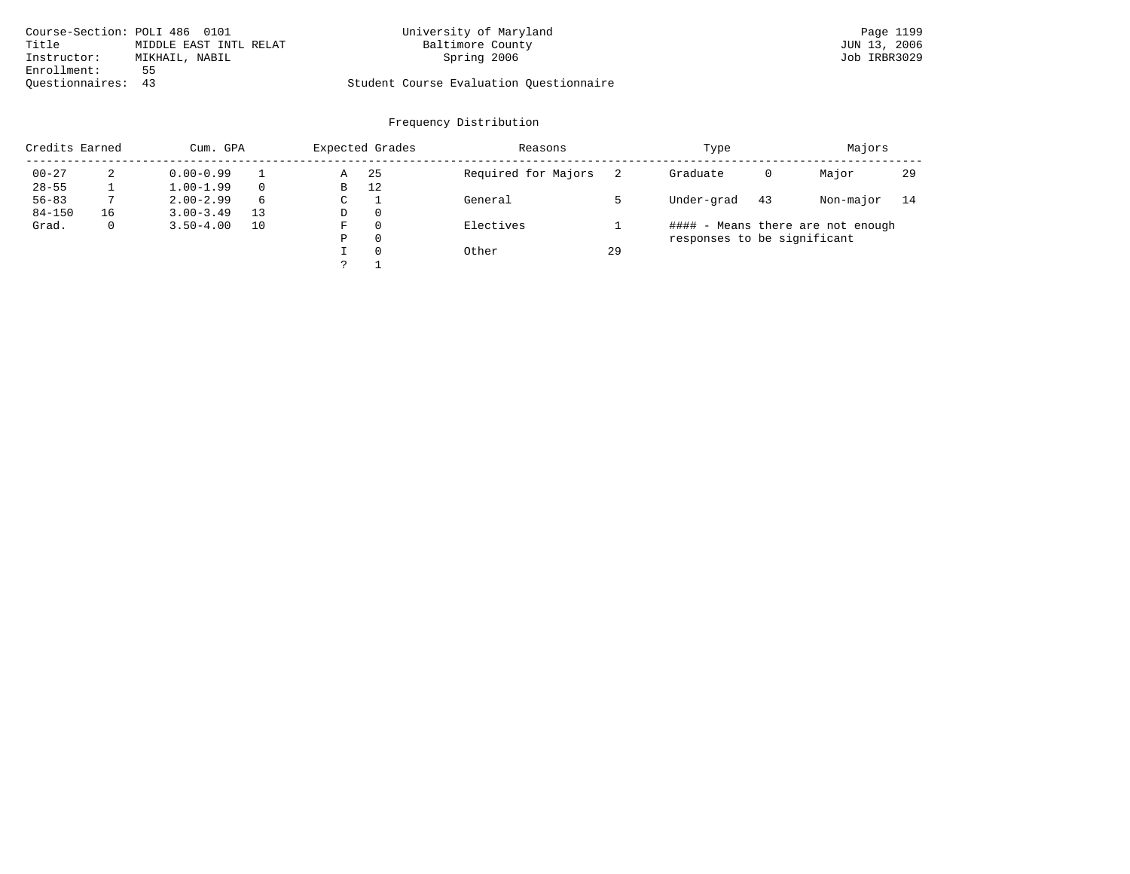| Course-Section: POLI 486 0101 |                        | University of Maryland                  | Page 1199    |
|-------------------------------|------------------------|-----------------------------------------|--------------|
| Title                         | MIDDLE EAST INTL RELAT | Baltimore County                        | JUN 13, 2006 |
| Instructor:                   | MIKHAIL, NABIL         | Spring 2006                             | Job IRBR3029 |
| Enrollment:                   | 55                     |                                         |              |
| Ouestionnaires: 43            |                        | Student Course Evaluation Questionnaire |              |

| Credits Earned |    | Cum. GPA      |          |   | Expected Grades | Reasons             |    | Type                        |    | Majors                            |    |
|----------------|----|---------------|----------|---|-----------------|---------------------|----|-----------------------------|----|-----------------------------------|----|
| $00 - 27$      |    | $0.00 - 0.99$ |          | Α | 25              | Required for Majors |    | Graduate                    | 0  | Major                             | 29 |
| $28 - 55$      |    | $1.00 - 1.99$ | $\Omega$ | в | 12              |                     |    |                             |    |                                   |    |
| $56 - 83$      |    | $2.00 - 2.99$ | 6        | C |                 | General             |    | Under-grad                  | 43 | Non-major                         | 14 |
| $84 - 150$     | 16 | $3.00 - 3.49$ | 13       | D | $\mathbf{0}$    |                     |    |                             |    |                                   |    |
| Grad.          | 0  | $3.50 - 4.00$ | 10       | F | $\Omega$        | Electives           |    |                             |    | #### - Means there are not enough |    |
|                |    |               |          | Ρ | $\Omega$        |                     |    | responses to be significant |    |                                   |    |
|                |    |               |          |   | $\Omega$        | Other               | 29 |                             |    |                                   |    |
|                |    |               |          |   |                 |                     |    |                             |    |                                   |    |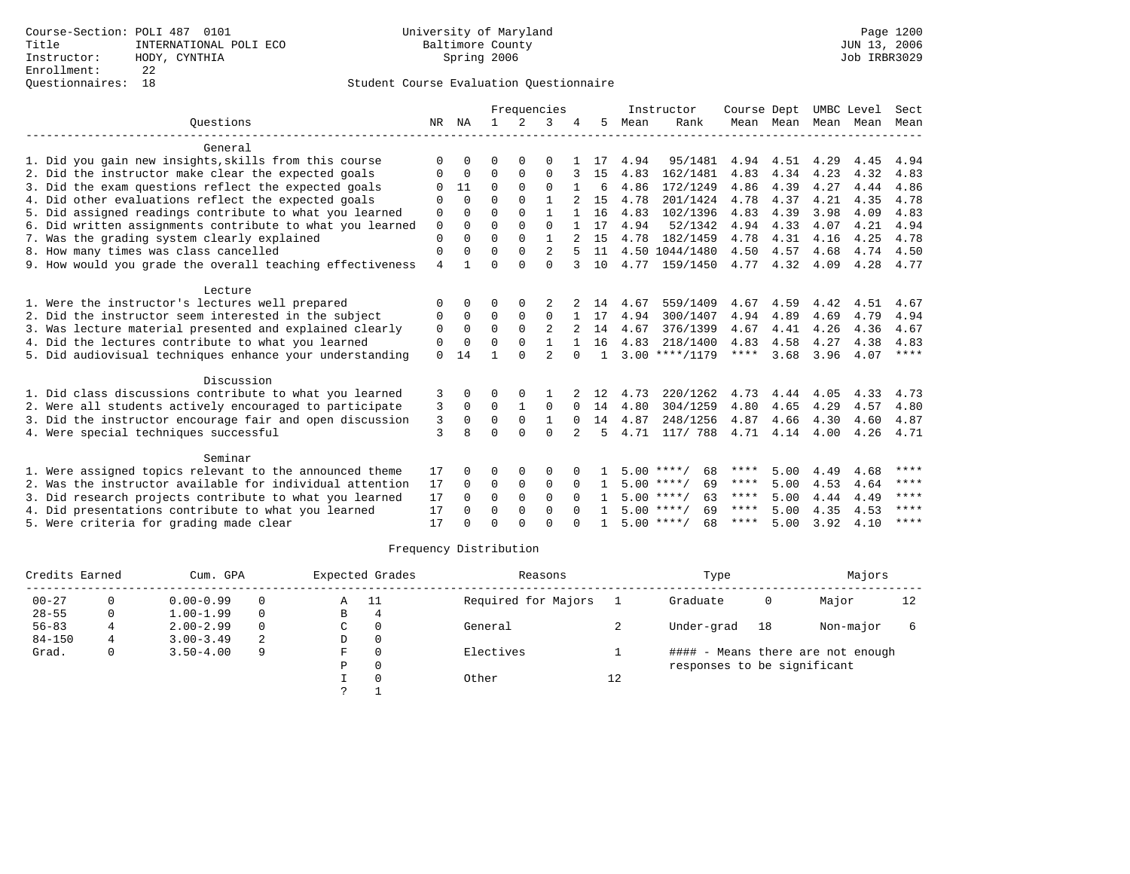|                                                           |          |          |              |             | Frequencies    |          |              |      | Instructor         | Course Dept |           | UMBC Level |      | Sect        |
|-----------------------------------------------------------|----------|----------|--------------|-------------|----------------|----------|--------------|------|--------------------|-------------|-----------|------------|------|-------------|
| Ouestions                                                 | NR       | NA       | $\mathbf{1}$ | $2^{1}$     | 3              |          | 5.           | Mean | Rank               |             | Mean Mean | Mean       | Mean | Mean        |
| General                                                   |          |          |              |             |                |          |              |      |                    |             |           |            |      |             |
| 1. Did you gain new insights, skills from this course     | $\Omega$ |          | $\Omega$     | $\Omega$    | O              |          | -17          | 4.94 | 95/1481            | 4.94        | 4.51      | 4.29       | 4.45 | 4.94        |
| 2. Did the instructor make clear the expected goals       | 0        | $\Omega$ | $\Omega$     | $\Omega$    | $\Omega$       |          | 15           | 4.83 | 162/1481           | 4.83        | 4.34      | 4.23       | 4.32 | 4.83        |
| 3. Did the exam questions reflect the expected goals      |          | 11       | $\Omega$     | $\Omega$    | $\Omega$       |          | 6            | 4.86 | 172/1249           | 4.86        | 4.39      | 4.27       | 4.44 | 4.86        |
| 4. Did other evaluations reflect the expected goals       | $\Omega$ | $\Omega$ | $\Omega$     | $\Omega$    |                |          | 15           | 4.78 | 201/1424           | 4.78        | 4.37      | 4.21       | 4.35 | 4.78        |
| 5. Did assigned readings contribute to what you learned   | $\Omega$ | $\Omega$ | $\Omega$     | $\Omega$    |                |          | 16           | 4.83 | 102/1396           | 4.83        | 4.39      | 3.98       | 4.09 | 4.83        |
| 6. Did written assignments contribute to what you learned | $\Omega$ | $\Omega$ | $\Omega$     | $\Omega$    | $\Omega$       |          | 17           | 4.94 | 52/1342            | 4.94        | 4.33      | 4.07       | 4.21 | 4.94        |
| 7. Was the grading system clearly explained               | $\Omega$ | $\Omega$ | $\Omega$     | $\Omega$    |                |          | 1.5          | 4.78 | 182/1459           | 4.78        | 4.31      | 4.16       | 4.25 | 4.78        |
| 8. How many times was class cancelled                     | $\Omega$ | $\Omega$ | $\Omega$     | $\Omega$    | $\mathfrak{D}$ |          | 11           |      | 4.50 1044/1480     | 4.50        | 4.57      | 4.68       | 4.74 | 4.50        |
| 9. How would you grade the overall teaching effectiveness | 4        |          | $\Omega$     | $\cap$      | $\Omega$       |          | 10           | 4.77 | 159/1450           | 4.77        | 4.32      | 4.09       | 4.28 | 4.77        |
| Lecture                                                   |          |          |              |             |                |          |              |      |                    |             |           |            |      |             |
| 1. Were the instructor's lectures well prepared           | O        |          | ∩            |             |                |          | 14           | 4.67 | 559/1409           | 4.67        | 4.59      | 4.42       | 4.51 | 4.67        |
| 2. Did the instructor seem interested in the subject      | 0        | $\Omega$ | $\Omega$     | $\Omega$    | $\Omega$       |          | 17           | 4.94 | 300/1407           | 4.94        | 4.89      | 4.69       | 4.79 | 4.94        |
| 3. Was lecture material presented and explained clearly   | 0        | $\Omega$ | $\Omega$     | $\Omega$    | $\overline{a}$ |          | 14           | 4.67 | 376/1399           | 4.67        | 4.41      | 4.26       | 4.36 | 4.67        |
| 4. Did the lectures contribute to what you learned        | 0        | $\Omega$ | $\Omega$     | $\Omega$    | $\mathbf{1}$   |          | 16           | 4.83 | 218/1400           | 4.83        | 4.58      | 4.27       | 4.38 | 4.83        |
| 5. Did audiovisual techniques enhance your understanding  | $\Omega$ | 14       |              |             |                | $\cap$   | $\mathbf{1}$ |      | $3.00$ ****/1179   | $***$ * * * | 3.68      | 3.96       | 4.07 | $***$ * * * |
| Discussion                                                |          |          |              |             |                |          |              |      |                    |             |           |            |      |             |
| 1. Did class discussions contribute to what you learned   | 3        |          | $\Omega$     | $\Omega$    |                |          | 12           | 4.73 | 220/1262           | 4.73        | 4.44      | 4.05       | 4.33 | 4.73        |
| 2. Were all students actively encouraged to participate   | 3        | $\Omega$ | $\Omega$     |             | $\Omega$       | $\Omega$ | 14           | 4.80 | 304/1259           | 4.80        | 4.65      | 4.29       | 4.57 | 4.80        |
| 3. Did the instructor encourage fair and open discussion  | 3        | $\Omega$ | $\Omega$     | $\Omega$    | $\mathbf{1}$   | $\Omega$ | 14           | 4.87 | 248/1256           | 4.87        | 4.66      | 4.30       | 4.60 | 4.87        |
| 4. Were special techniques successful                     | 3        | R        | $\Omega$     | $\Omega$    | $\Omega$       |          | 5            | 4.71 | 117/ 788           | 4.71        | 4.14 4.00 |            | 4.26 | 4.71        |
| Seminar                                                   |          |          |              |             |                |          |              |      |                    |             |           |            |      |             |
| 1. Were assigned topics relevant to the announced theme   | 17       |          | $\Omega$     | $\Omega$    | $\Omega$       |          |              |      | $5.00$ ****/<br>68 | ****        | 5.00      | 4.49       | 4.68 | ****        |
| 2. Was the instructor available for individual attention  | 17       | $\Omega$ | $\Omega$     | $\mathbf 0$ | 0              |          |              |      | $5.00$ ****/<br>69 | ****        | 5.00      | 4.53       | 4.64 | $***$ * * * |
| 3. Did research projects contribute to what you learned   | 17       | $\Omega$ | $\Omega$     | $\Omega$    | $\Omega$       | $\cap$   |              |      | $5.00$ ****/<br>63 | ****        | 5.00      | 4.44       | 4.49 | ****        |
| 4. Did presentations contribute to what you learned       | 17       | $\Omega$ | $\Omega$     | $\Omega$    | $\Omega$       |          |              |      | $5.00$ ****/<br>69 | ****        | 5.00      | 4.35       | 4.53 | ****        |
| 5. Were criteria for grading made clear                   | 17       |          | $\cap$       | $\cap$      | $\cap$         |          |              |      | $5.00$ ****/<br>68 | ****        | 5.00      | 3.92       | 4.10 | $***$ * * * |

| Credits Earned |   | Cum. GPA      |          |   | Expected Grades | Reasons             |  | Type                        |    | Majors                            |    |
|----------------|---|---------------|----------|---|-----------------|---------------------|--|-----------------------------|----|-----------------------------------|----|
| $00 - 27$      |   | $0.00 - 0.99$ | $\Omega$ | Α | - 11            | Required for Majors |  | Graduate                    | 0  | Major                             | 12 |
| $28 - 55$      | 0 | $1.00 - 1.99$ | $\Omega$ | B | 4               |                     |  |                             |    |                                   |    |
| $56 - 83$      |   | $2.00 - 2.99$ | $\Omega$ | C |                 | General             |  | Under-grad                  | 18 | Non-major                         |    |
| $84 - 150$     | 4 | $3.00 - 3.49$ | 2        | D |                 |                     |  |                             |    |                                   |    |
| Grad.          | 0 | $3.50 - 4.00$ | 9        | F |                 | Electives           |  |                             |    | #### - Means there are not enough |    |
|                |   |               |          | P |                 |                     |  | responses to be significant |    |                                   |    |
|                |   |               |          |   | Other           | 12                  |  |                             |    |                                   |    |
|                |   |               |          |   |                 |                     |  |                             |    |                                   |    |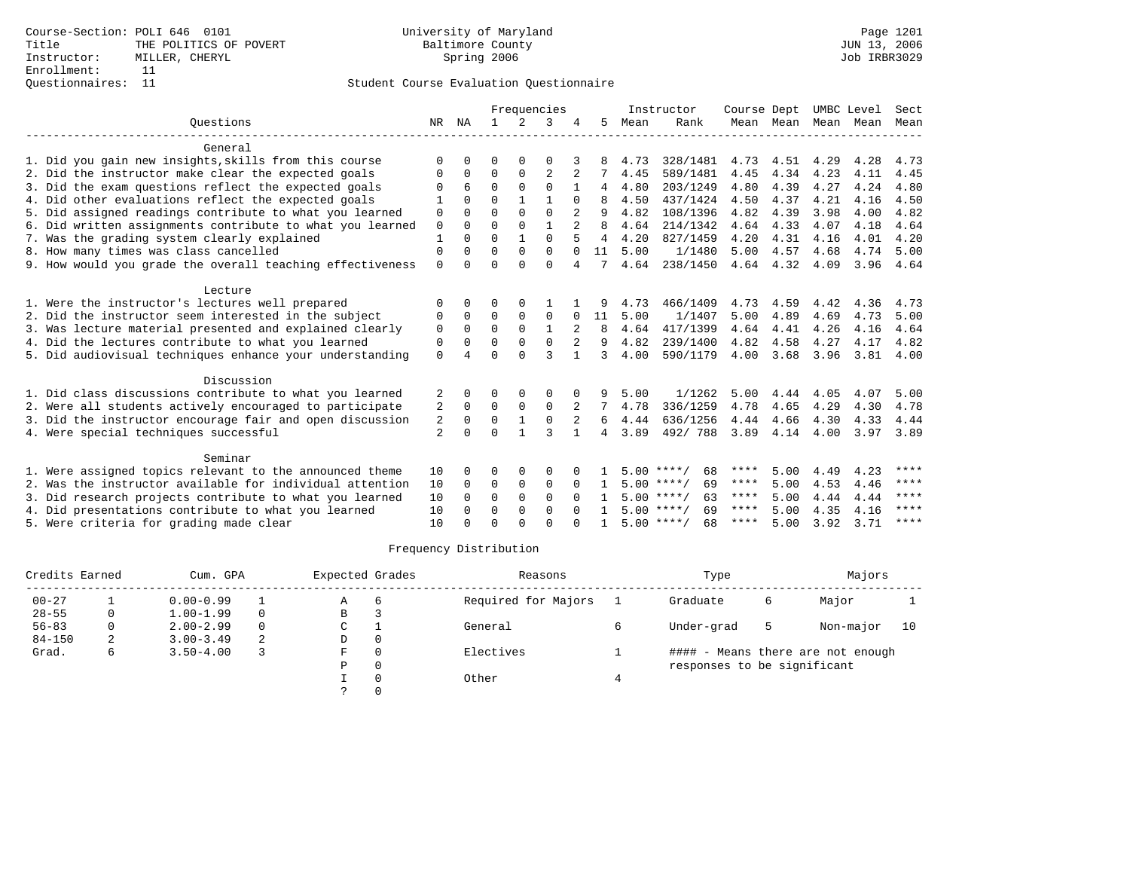|                                                           |                |          |              |                | Frequencies    |                |                |      | Instructor         | Course Dept |           | UMBC Level |      | Sect |
|-----------------------------------------------------------|----------------|----------|--------------|----------------|----------------|----------------|----------------|------|--------------------|-------------|-----------|------------|------|------|
| Ouestions                                                 | NR             | ΝA       | $\mathbf{1}$ | $\overline{2}$ | 3              |                | 5.             | Mean | Rank               |             | Mean Mean | Mean       | Mean | Mean |
| General                                                   |                |          |              |                |                |                |                |      |                    |             |           |            |      |      |
| 1. Did you gain new insights, skills from this course     | $\Omega$       | O        | O            | $\Omega$       | $\Omega$       |                |                | 4.73 | 328/1481           | 4.73        | 4.51      | 4.29       | 4.28 | 4.73 |
| 2. Did the instructor make clear the expected goals       | $\Omega$       | 0        | $\Omega$     | $\mathbf 0$    | $\overline{a}$ | 2              | 7              | 4.45 | 589/1481           | 4.45        | 4.34      | 4.23       | 4.11 | 4.45 |
| 3. Did the exam questions reflect the expected goals      | $\Omega$       | 6        | $\Omega$     | $\Omega$       | $\Omega$       |                |                | 4.80 | 203/1249           | 4.80        | 4.39      | 4.27       | 4.24 | 4.80 |
| 4. Did other evaluations reflect the expected goals       |                | 0        | $\Omega$     |                |                |                |                | 4.50 | 437/1424           | 4.50        | 4.37      | 4.21       | 4.16 | 4.50 |
| 5. Did assigned readings contribute to what you learned   | 0              | 0        | $\Omega$     | $\Omega$       | $\Omega$       |                |                | 4.82 | 108/1396           | 4.82        | 4.39      | 3.98       | 4.00 | 4.82 |
| 6. Did written assignments contribute to what you learned | $\mathsf 0$    | $\Omega$ | $\Omega$     | $\Omega$       | $\mathbf{1}$   | $\overline{2}$ | R              | 4.64 | 214/1342           | 4.64        | 4.33      | 4.07       | 4.18 | 4.64 |
| 7. Was the grading system clearly explained               | $\mathbf{1}$   | $\Omega$ | $\Omega$     | $\mathbf{1}$   | $\Omega$       |                | 4              | 4.20 | 827/1459           | 4.20        | 4.31      | 4.16       | 4.01 | 4.20 |
| 8. How many times was class cancelled                     | $\mathbf{0}$   | $\Omega$ | $\Omega$     | $\Omega$       | $\Omega$       | $\Omega$       | 11             | 5.00 | 1/1480             | 5.00        | 4.57      | 4.68       | 4.74 | 5.00 |
| 9. How would you grade the overall teaching effectiveness | $\Omega$       | $\cap$   | $\Omega$     | $\Omega$       | $\Omega$       | 4              | 7              | 4.64 | 238/1450           |             | 4.64 4.32 | 4.09       | 3.96 | 4.64 |
| Lecture                                                   |                |          |              |                |                |                |                |      |                    |             |           |            |      |      |
| 1. Were the instructor's lectures well prepared           | $\Omega$       | 0        | 0            | $\Omega$       |                |                |                | 4.73 | 466/1409           | 4.73        | 4.59      | 4.42       | 4.36 | 4.73 |
| 2. Did the instructor seem interested in the subject      | $\Omega$       | $\Omega$ | $\Omega$     | $\Omega$       | $\Omega$       | $\Omega$       | 11             | 5.00 | 1/1407             | 5.00        | 4.89      | 4.69       | 4.73 | 5.00 |
| 3. Was lecture material presented and explained clearly   | $\mathbf 0$    | $\Omega$ | $\Omega$     | $\Omega$       | $\mathbf{1}$   | $\overline{a}$ | 8              | 4.64 | 417/1399           | 4.64        | 4.41      | 4.26       | 4.16 | 4.64 |
| 4. Did the lectures contribute to what you learned        | 0              | $\Omega$ | $\Omega$     | $\Omega$       | $\Omega$       |                | 9              | 4.82 | 239/1400           | 4.82        | 4.58      | 4.27       | 4.17 | 4.82 |
| 5. Did audiovisual techniques enhance your understanding  | $\Omega$       | 4        | $\Omega$     | $\Omega$       | 3              |                | 3              | 4.00 | 590/1179           | 4.00        | 3.68      | 3.96       | 3.81 | 4.00 |
| Discussion                                                |                |          |              |                |                |                |                |      |                    |             |           |            |      |      |
| 1. Did class discussions contribute to what you learned   | 2              | 0        | O            | 0              | 0              |                | 9              | 5.00 | 1/1262             | 5.00        | 4.44      | 4.05       | 4.07 | 5.00 |
| 2. Were all students actively encouraged to participate   | 2              | $\Omega$ | $\Omega$     | $\mathbf 0$    | $\Omega$       |                | 7              | 4.78 | 336/1259           | 4.78        | 4.65      | 4.29       | 4.30 | 4.78 |
| 3. Did the instructor encourage fair and open discussion  | 2              | 0        | 0            | $\mathbf{1}$   | $\mathbf 0$    |                | б.             | 4.44 | 636/1256           | 4.44        | 4.66      | 4.30       | 4.33 | 4.44 |
| 4. Were special techniques successful                     | $\overline{a}$ | $\Omega$ | $\cap$       |                | २              | $\mathbf{1}$   | $\overline{4}$ | 3.89 | 492/788            | 3.89        | 4.14      | 4.00       | 3.97 | 3.89 |
| Seminar                                                   |                |          |              |                |                |                |                |      |                    |             |           |            |      |      |
| 1. Were assigned topics relevant to the announced theme   | 10             | 0        | 0            | $\Omega$       | $\mathbf 0$    |                |                |      | $5.00$ ****/<br>68 | ****        | 5.00      | 4.49       | 4.23 | **** |
| 2. Was the instructor available for individual attention  | 10             | $\Omega$ | $\Omega$     | $\Omega$       | $\Omega$       | $\Omega$       | 1.             |      | $5.00$ ****/<br>69 | ****        | 5.00      | 4.53       | 4.46 | **** |
| 3. Did research projects contribute to what you learned   | 10             | $\Omega$ | $\mathbf 0$  | $\Omega$       | $\Omega$       | $\Omega$       |                |      | $5.00$ ****/<br>63 | ****        | 5.00      | 4.44       | 4.44 | **** |
| 4. Did presentations contribute to what you learned       | 10             | $\Omega$ | $\Omega$     | $\Omega$       | $\Omega$       | $\Omega$       | $\mathbf{1}$   |      | $5.00$ ****/<br>69 | ****        | 5.00      | 4.35       | 4.16 | **** |
| 5. Were criteria for grading made clear                   | 10             |          | U            | ∩              | $\cap$         |                |                |      | $5.00$ ****/<br>68 | ****        | 5.00      | 3.92       | 3.71 | **** |

| Credits Earned |   | Cum. GPA      |   | Expected Grades |          | Reasons             | Type                        |   | Majors                            |    |
|----------------|---|---------------|---|-----------------|----------|---------------------|-----------------------------|---|-----------------------------------|----|
| $00 - 27$      |   | $0.00 - 0.99$ |   | Α               | -6       | Required for Majors | Graduate                    | 6 | Major                             |    |
| $28 - 55$      | 0 | $1.00 - 1.99$ |   | В               |          |                     |                             |   |                                   |    |
| $56 - 83$      |   | $2.00 - 2.99$ |   | C               |          | General             | Under-grad                  | 5 | Non-major                         | 10 |
| $84 - 150$     | 2 | $3.00 - 3.49$ | 2 | D               | $\Omega$ |                     |                             |   |                                   |    |
| Grad.          | 6 | $3.50 - 4.00$ |   | F.              | $\Omega$ | Electives           |                             |   | #### - Means there are not enough |    |
|                |   |               |   | P               | $\Omega$ |                     | responses to be significant |   |                                   |    |
|                |   |               |   |                 |          | Other               |                             |   |                                   |    |
|                |   |               |   |                 |          |                     |                             |   |                                   |    |